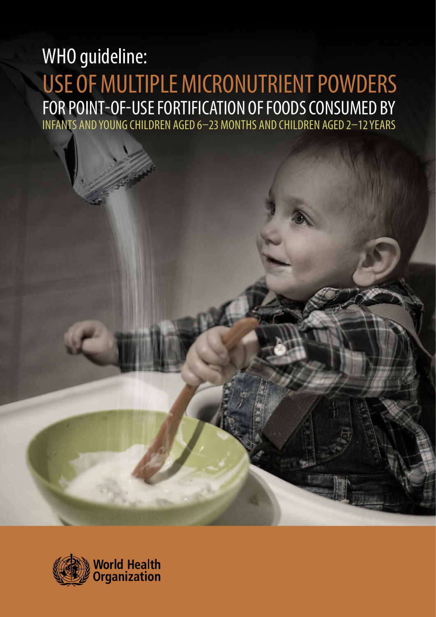# WHO guideline: USE OF MULTIPLE MICRONUTRIENT POWDERS FOR POINT-OF-USE FORTIFICATION OF FOODS CONSUMED BY INFANTS AND YOUNG CHILDREN AGED 6–23 MONTHS AND CHILDREN AGED 2–12 YEARS

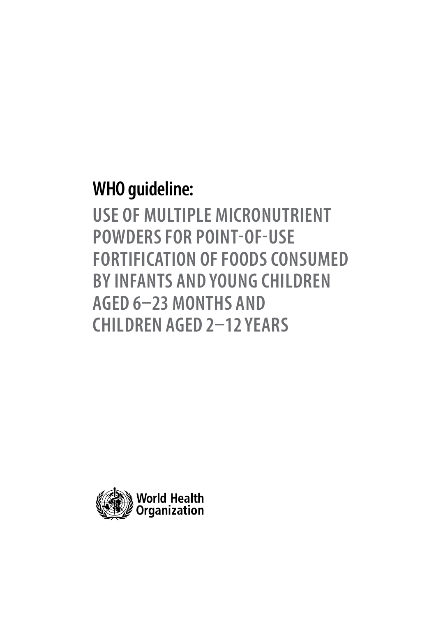# **WHO guideline:**

**USE OF MULTIPLE MICRONUTRIENT POWDERS FOR POINT-OF-USE FORTIFICATION OF FOODS CONSUMED BY INFANTS AND YOUNG CHILDREN AGED 6–23 MONTHS AND CHILDREN AGED 2–12 YEARS**

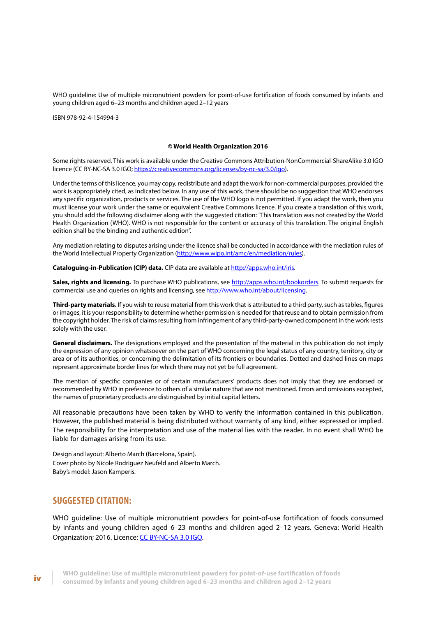WHO guideline: Use of multiple micronutrient powders for point-of-use fortification of foods consumed by infants and young children aged 6–23 months and children aged 2–12 years

ISBN 978-92-4-154994-3

#### **© World Health Organization 2016**

Some rights reserved. This work is available under the Creative Commons Attribution-NonCommercial-ShareAlike 3.0 IGO licence (CC BY-NC-SA 3.0 IGO;<https://creativecommons.org/licenses/by-nc-sa/3.0/igo>).

Under the terms of this licence, you may copy, redistribute and adapt the work for non-commercial purposes, provided the work is appropriately cited, as indicated below. In any use of this work, there should be no suggestion that WHO endorses any specific organization, products or services. The use of the WHO logo is not permitted. If you adapt the work, then you must license your work under the same or equivalent Creative Commons licence. If you create a translation of this work, you should add the following disclaimer along with the suggested citation: *"*This translation was not created by the World Health Organization (WHO). WHO is not responsible for the content or accuracy of this translation. The original English edition shall be the binding and authentic edition".

Any mediation relating to disputes arising under the licence shall be conducted in accordance with the mediation rules of the World Intellectual Property Organization ([http://www.wipo.int/amc/en/mediation/rules](http://www.wipo.int/amc/en/mediation/rules/)).

Cataloguing-in-Publication (CIP) data. CIP data are available at [http://apps.who.int/iris.](http://apps.who.int/iris/)

**Sales, rights and licensing.** To purchase WHO publications, see [http://apps.who.int/bookorders.](http://apps.who.int/bookorders) To submit requests for commercial use and queries on rights and licensing, see [http://www.who.int/about/licensing.](http://www.who.int/about/licensing)

**Third-party materials.** If you wish to reuse material from this work that is attributed to a third party, such as tables, figures or images, it is your responsibility to determine whether permission is needed for that reuse and to obtain permission from the copyright holder. The risk of claims resulting from infringement of any third-party-owned component in the work rests solely with the user.

**General disclaimers.** The designations employed and the presentation of the material in this publication do not imply the expression of any opinion whatsoever on the part of WHO concerning the legal status of any country, territory, city or area or of its authorities, or concerning the delimitation of its frontiers or boundaries. Dotted and dashed lines on maps represent approximate border lines for which there may not yet be full agreement.

The mention of specific companies or of certain manufacturers' products does not imply that they are endorsed or recommended by WHO in preference to others of a similar nature that are not mentioned. Errors and omissions excepted, the names of proprietary products are distinguished by initial capital letters.

All reasonable precautions have been taken by WHO to verify the information contained in this publication. However, the published material is being distributed without warranty of any kind, either expressed or implied. The responsibility for the interpretation and use of the material lies with the reader. In no event shall WHO be liable for damages arising from its use.

Design and layout: Alberto March (Barcelona, Spain). Cover photo by Nicole Rodriguez Neufeld and Alberto March. Baby's model: Jason Kamperis.

## **SUGGESTED CITATION:**

WHO guideline: Use of mu[ltiple micronutrient p](https://creativecommons.org/licenses/by-nc-sa/3.0/igo)owders for point-of-use fortification of foods consumed by infants and young children aged 6–23 months and children aged 2–12 years. Geneva: World Health Organization; 2016. Licence: CC BY-NC-SA 3.0 IGO.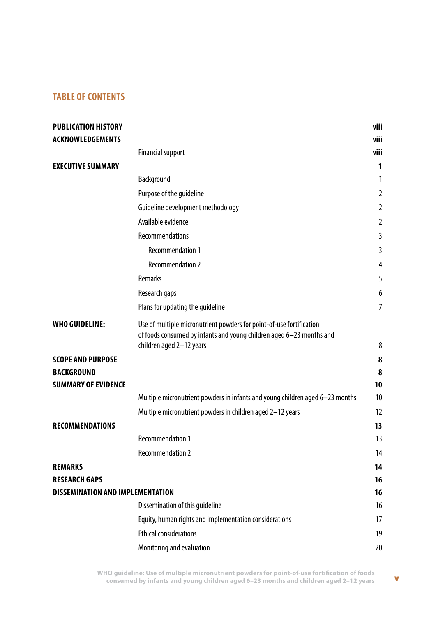## **TABLE OF CONTENTS**

| <b>PUBLICATION HISTORY</b>                      |                                                                                                                                              | viii           |
|-------------------------------------------------|----------------------------------------------------------------------------------------------------------------------------------------------|----------------|
| <b>ACKNOWLEDGEMENTS</b>                         |                                                                                                                                              | viii           |
|                                                 | <b>Financial support</b>                                                                                                                     | viii           |
| <b>EXECUTIVE SUMMARY</b>                        |                                                                                                                                              | 1              |
|                                                 | Background                                                                                                                                   | 1              |
|                                                 | Purpose of the guideline                                                                                                                     | $\overline{2}$ |
|                                                 | Guideline development methodology                                                                                                            | 2              |
|                                                 | Available evidence                                                                                                                           | 2              |
|                                                 | <b>Recommendations</b>                                                                                                                       | 3              |
|                                                 | <b>Recommendation 1</b>                                                                                                                      | 3              |
|                                                 | <b>Recommendation 2</b>                                                                                                                      | 4              |
|                                                 | Remarks                                                                                                                                      | 5              |
|                                                 | Research gaps                                                                                                                                | 6              |
|                                                 | Plans for updating the guideline                                                                                                             | $\overline{7}$ |
| <b>WHO GUIDELINE:</b>                           | Use of multiple micronutrient powders for point-of-use fortification<br>of foods consumed by infants and young children aged 6-23 months and |                |
|                                                 | children aged 2-12 years                                                                                                                     | 8              |
| <b>SCOPE AND PURPOSE</b>                        |                                                                                                                                              | 8              |
| <b>BACKGROUND</b><br><b>SUMMARY OF EVIDENCE</b> |                                                                                                                                              | 8<br>10        |
|                                                 | Multiple micronutrient powders in infants and young children aged 6-23 months                                                                | 10             |
|                                                 | Multiple micronutrient powders in children aged 2-12 years                                                                                   | 12             |
| <b>RECOMMENDATIONS</b>                          |                                                                                                                                              | 13             |
|                                                 | <b>Recommendation 1</b>                                                                                                                      | 13             |
|                                                 | <b>Recommendation 2</b>                                                                                                                      | 14             |
| <b>REMARKS</b>                                  |                                                                                                                                              | 14             |
| <b>RESEARCH GAPS</b>                            |                                                                                                                                              | 16             |
| <b>DISSEMINATION AND IMPLEMENTATION</b>         |                                                                                                                                              | 16             |
|                                                 | Dissemination of this guideline                                                                                                              | 16             |
|                                                 | Equity, human rights and implementation considerations                                                                                       | 17             |
|                                                 | <b>Ethical considerations</b>                                                                                                                | 19             |
|                                                 | Monitoring and evaluation                                                                                                                    | 20             |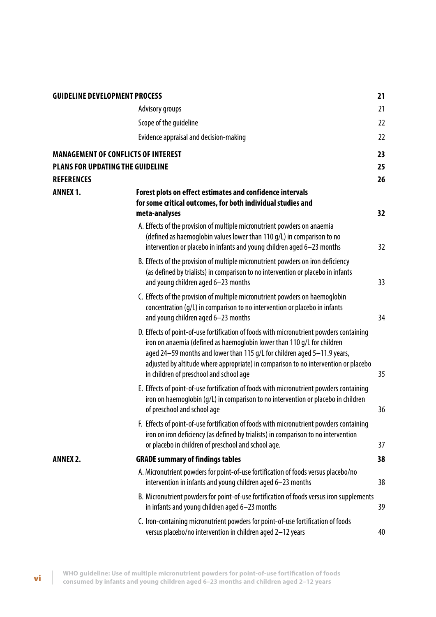| <b>GUIDELINE DEVELOPMENT PROCESS</b>    |                                                                                                                                                                                                                                                                                                                                                                                  | 21       |
|-----------------------------------------|----------------------------------------------------------------------------------------------------------------------------------------------------------------------------------------------------------------------------------------------------------------------------------------------------------------------------------------------------------------------------------|----------|
|                                         | Advisory groups                                                                                                                                                                                                                                                                                                                                                                  | 21       |
|                                         | Scope of the quideline                                                                                                                                                                                                                                                                                                                                                           | 22       |
|                                         | Evidence appraisal and decision-making                                                                                                                                                                                                                                                                                                                                           | 22       |
| <b>PLANS FOR UPDATING THE GUIDELINE</b> | <b>MANAGEMENT OF CONFLICTS OF INTEREST</b>                                                                                                                                                                                                                                                                                                                                       | 23<br>25 |
| <b>REFERENCES</b>                       |                                                                                                                                                                                                                                                                                                                                                                                  | 26       |
| <b>ANNEX 1.</b>                         | Forest plots on effect estimates and confidence intervals<br>for some critical outcomes, for both individual studies and<br>meta-analyses                                                                                                                                                                                                                                        | 32       |
|                                         | A. Effects of the provision of multiple micronutrient powders on anaemia<br>(defined as haemoglobin values lower than 110 g/L) in comparison to no<br>intervention or placebo in infants and young children aged 6-23 months                                                                                                                                                     | 32       |
|                                         | B. Effects of the provision of multiple micronutrient powders on iron deficiency<br>(as defined by trialists) in comparison to no intervention or placebo in infants<br>and young children aged 6-23 months                                                                                                                                                                      | 33       |
|                                         | C. Effects of the provision of multiple micronutrient powders on haemoglobin<br>concentration (g/L) in comparison to no intervention or placebo in infants<br>and young children aged 6-23 months                                                                                                                                                                                | 34       |
|                                         | D. Effects of point-of-use fortification of foods with micronutrient powders containing<br>iron on anaemia (defined as haemoglobin lower than 110 g/L for children<br>aged 24-59 months and lower than 115 g/L for children aged 5-11.9 years,<br>adjusted by altitude where appropriate) in comparison to no intervention or placebo<br>in children of preschool and school age | 35       |
|                                         | E. Effects of point-of-use fortification of foods with micronutrient powders containing<br>iron on haemoglobin (q/L) in comparison to no intervention or placebo in children<br>of preschool and school age                                                                                                                                                                      | 36       |
|                                         | F. Effects of point-of-use fortification of foods with micronutrient powders containing<br>iron on iron deficiency (as defined by trialists) in comparison to no intervention<br>or placebo in children of preschool and school age.                                                                                                                                             | 37       |
| <b>ANNEX 2.</b>                         | <b>GRADE summary of findings tables</b>                                                                                                                                                                                                                                                                                                                                          | 38       |
|                                         | A. Micronutrient powders for point-of-use fortification of foods versus placebo/no<br>intervention in infants and young children aged 6-23 months                                                                                                                                                                                                                                | 38       |
|                                         | B. Micronutrient powders for point-of-use fortification of foods versus iron supplements<br>in infants and young children aged 6-23 months                                                                                                                                                                                                                                       | 39       |
|                                         | C. Iron-containing micronutrient powders for point-of-use fortification of foods<br>versus placebo/no intervention in children aged 2-12 years                                                                                                                                                                                                                                   | 40       |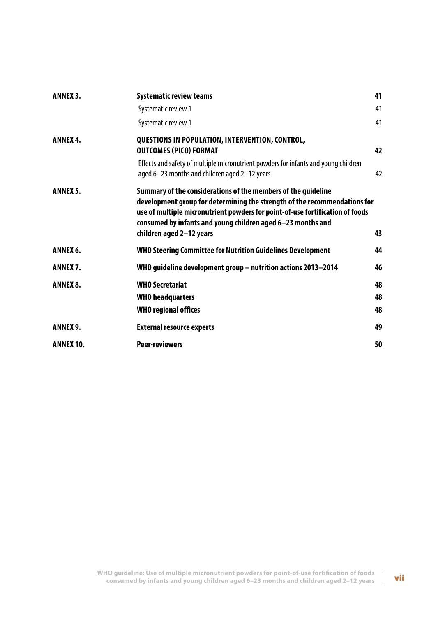| <b>ANNEX 3.</b>  | <b>Systematic review teams</b>                                                                                                                                                                                                                                                                                         | 41 |
|------------------|------------------------------------------------------------------------------------------------------------------------------------------------------------------------------------------------------------------------------------------------------------------------------------------------------------------------|----|
|                  | Systematic review 1                                                                                                                                                                                                                                                                                                    | 41 |
|                  | Systematic review 1                                                                                                                                                                                                                                                                                                    | 41 |
| <b>ANNEX 4.</b>  | QUESTIONS IN POPULATION, INTERVENTION, CONTROL,<br><b>OUTCOMES (PICO) FORMAT</b>                                                                                                                                                                                                                                       | 42 |
|                  | Effects and safety of multiple micronutrient powders for infants and young children<br>aged 6-23 months and children aged 2-12 years                                                                                                                                                                                   | 42 |
| <b>ANNEX 5.</b>  | Summary of the considerations of the members of the guideline<br>development group for determining the strength of the recommendations for<br>use of multiple micronutrient powders for point-of-use fortification of foods<br>consumed by infants and young children aged 6-23 months and<br>children aged 2-12 years | 43 |
| ANNEX 6.         | <b>WHO Steering Committee for Nutrition Guidelines Development</b>                                                                                                                                                                                                                                                     | 44 |
| ANNEX 7.         | WHO guideline development group - nutrition actions 2013-2014                                                                                                                                                                                                                                                          | 46 |
| <b>ANNEX 8.</b>  | <b>WHO Secretariat</b>                                                                                                                                                                                                                                                                                                 | 48 |
|                  | <b>WHO</b> headquarters                                                                                                                                                                                                                                                                                                | 48 |
|                  | <b>WHO regional offices</b>                                                                                                                                                                                                                                                                                            | 48 |
| <b>ANNEX 9.</b>  | <b>External resource experts</b>                                                                                                                                                                                                                                                                                       | 49 |
| <b>ANNEX 10.</b> | <b>Peer-reviewers</b>                                                                                                                                                                                                                                                                                                  | 50 |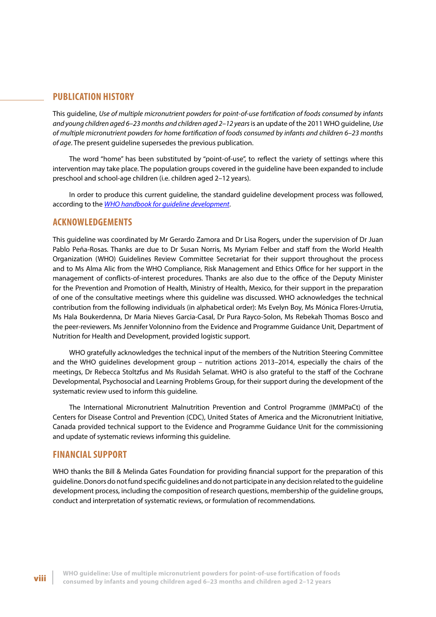## <span id="page-7-0"></span>**PUBLICATION HISTORY**

This guideline, *Use of multiple micronutrient powders for point-of-use fortification of foods consumed by infants and young children aged 6–23 months and children aged 2–12 years* is an update of the 2011 WHO guideline, *Use of multiple micronutrient powders for home fortification of foods consumed by infants and children 6–23 months of age*. The present guideline supersedes the previous publication.

The word "home" has been substituted by "point-of-use", to reflect the variety of settings where this intervention may take place. The population groups covered in the guideline have been expanded to include preschool and school-age children (i.e. children aged 2–12 years).

In order to produce this current guideline, the standard guideline development process was followed, according to the *[WHO handbook for guideline development](http://apps.who.int/iris/bitstream/10665/75146/1/9789241548441_eng.pdf?ua=1)*.

## **ACKNOWLEDGEMENTS**

This guideline was coordinated by Mr Gerardo Zamora and Dr Lisa Rogers, under the supervision of Dr Juan Pablo Peña-Rosas. Thanks are due to Dr Susan Norris, Ms Myriam Felber and staff from the World Health Organization (WHO) Guidelines Review Committee Secretariat for their support throughout the process and to Ms Alma Alic from the WHO Compliance, Risk Management and Ethics Office for her support in the management of conflicts-of-interest procedures. Thanks are also due to the office of the Deputy Minister for the Prevention and Promotion of Health, Ministry of Health, Mexico, for their support in the preparation of one of the consultative meetings where this guideline was discussed. WHO acknowledges the technical contribution from the following individuals (in alphabetical order): Ms Evelyn Boy, Ms Mónica Flores-Urrutia, Ms Hala Boukerdenna, Dr Maria Nieves Garcia-Casal, Dr Pura Rayco-Solon, Ms Rebekah Thomas Bosco and the peer-reviewers. Ms Jennifer Volonnino from the Evidence and Programme Guidance Unit, Department of Nutrition for Health and Development, provided logistic support.

WHO gratefully acknowledges the technical input of the members of the Nutrition Steering Committee and the WHO guidelines development group – nutrition actions 2013–2014, especially the chairs of the meetings, Dr Rebecca Stoltzfus and Ms Rusidah Selamat. WHO is also grateful to the staff of the Cochrane Developmental, Psychosocial and Learning Problems Group, for their support during the development of the systematic review used to inform this guideline.

The International Micronutrient Malnutrition Prevention and Control Programme (IMMPaCt) of the Centers for Disease Control and Prevention (CDC), United States of America and the Micronutrient Initiative, Canada provided technical support to the Evidence and Programme Guidance Unit for the commissioning and update of systematic reviews informing this guideline.

## **FINANCIAL SUPPORT**

WHO thanks the Bill & Melinda Gates Foundation for providing financial support for the preparation of this guideline. Donors do not fund specific guidelines and do not participate in any decision related to the guideline development process, including the composition of research questions, membership of the guideline groups, conduct and interpretation of systematic reviews, or formulation of recommendations.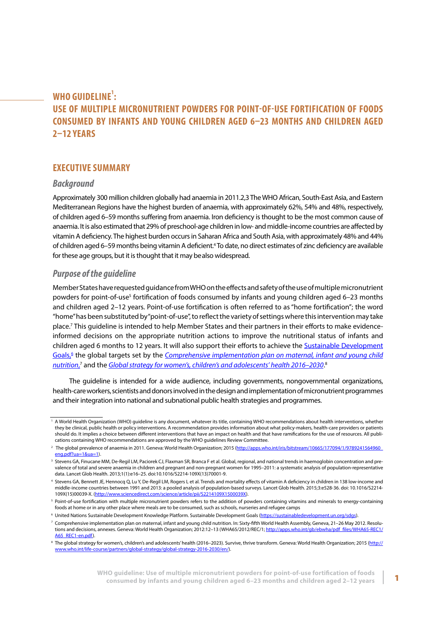## <span id="page-8-0"></span>**WHO GUIDELINE<sup>1</sup> : USE OF MULTIPLE MICRONUTRIENT POWDERS FOR POINT-OF-USE FORTIFICATION OF FOODS CONSUMED BY INFANTS AND YOUNG CHILDREN AGED 6–23 MONTHS AND CHILDREN AGED 2–12 YEARS**

## **EXECUTIVE SUMMARY**

## *Background*

Approximately 300 million children globally had anaemia in 2011.2,3 The WHO African, South-East Asia, and Eastern Mediterranean Regions have the highest burden of anaemia, with approximately 62%, 54% and 48%, respectively, of children aged 6–59 months suffering from anaemia. Iron deficiency is thought to be the most common cause of anaemia. It is also estimated that 29% of preschool-age children in low- and middle-income countries are affected by vitamin A deficiency. The highest burden occurs in Saharan Africa and South Asia, with approximately 48% and 44% of children aged 6–59 months being vitamin A deficient.4 To date, no direct estimates of zinc deficiency are available for these age groups, but it is thought that it may bealso widespread.

## *Purpose of the guideline*

Member States have requested guidance from WHO on the effects and safety of the use of multiple micronutrient powders for point-of-use<sup>5</sup> fortification of foods consumed by infants and young children aged 6–23 months and children aged 2–12 years. Point-of-use fortification is often referred to as "home fortification"; the word "home" has been substituted by "point-of-use", to reflect the variety of settings where this intervention may take place.7 This guideline is intended to help Member States and their partners in their efforts to make evidenceinformed decisions on the appropriate nutrition actions to improve the nutritional status of infants and children aged 6 months to 12 years. It will also support their efforts to achieve the [Sustainable Development](https://sustainabledevelopment.un.org/?menu=1300) [Goals](https://sustainabledevelopment.un.org/?menu=1300),<sup>6</sup> the global targets set by the *[Comprehensive implementation plan on maternal, infant and young child](http://www.who.int/nutrition/publications/CIP_document/en/) [nutrition](http://www.who.int/nutrition/publications/CIP_document/en/)*, 7 and the *[Global strategy for women's, children's and adolescents' health 2016–2030](http://www.who.int/life-course/publications/global-strategy-2016-2030/en/)*. 8

The guideline is intended for a wide audience, including governments, nongovernmental organizations, health-care workers, scientists and donors involved in the design and implementation of micronutrient programmes and their integration into national and subnational public health strategies and programmes.

<sup>&</sup>lt;sup>1</sup> A World Health Organization (WHO) quideline is any document, whatever its title, containing WHO recommendations about health interventions, whether they be clinical, public health or policy interventions. A recommendation provides information about what policy-makers, health-care providers or patients should do. It implies a choice between different interventions that have an impact on health and that have ramifications for the use of resources. All publications containing WHO recommendations are approved by the WHO guidelines Review Committee.

<sup>&</sup>lt;sup>2</sup> The global prevalence of anaemia in 2011. Geneva: World Health Organization; 2015 (http://apps.who.int/iris/bitstream/10665/177094/1/9789241564960 [eng.pdf?ua=1&ua=1\)](http://apps.who.int/iris/bitstream/10665/177094/1/9789241564960_eng.pdf?ua=1&ua=1).

<sup>&</sup>lt;sup>3</sup> Stevens GA, Finucane MM, De-Regil LM, Paciorek CJ, Flaxman SR, Branca F et al. Global, regional, and national trends in haemoglobin concentration and prevalence of total and severe anaemia in children and pregnant and non-pregnant women for 1995–2011: a systematic analysis of population-representative data. Lancet Glob Health. 2013;1(1):e16–25. doi:10.1016/S2214-109X(13)70001-9.

<sup>4</sup> Stevens GA, Bennett JE, Hennocq Q, Lu Y, De-Regil LM, Rogers L et al. Trends and mortality effects of vitamin A deficiency in children in 138 low-income and middle-income countries between 1991 and 2013: a pooled analysis of population-based surveys. Lancet Glob Health. 2015;3:e528-36. doi: 10.1016/S2214- 109X(15)00039-X. (<http://www.sciencedirect.com/science/article/pii/S2214109X1500039X>).

<sup>&</sup>lt;sup>5</sup> Point-of-use fortification with multiple micronutrient powders refers to the addition of powders containing vitamins and minerals to energy-containing foods at home or in any other place where meals are to be consumed, such as schools, nurseries and refugee camps

<sup>&</sup>lt;sup>6</sup> United Nations Sustainable Development Knowledge Platform. Sustainable Development Goals (<https://sustainabledevelopment.un.org/sdgs>).

<sup>7</sup> Comprehensive implementation plan on maternal, infant and young child nutrition. In: Sixty-fifth World Health Assembly, Geneva, 21–26 May 2012. Resolutions and decisions, annexes. Geneva: World Health Organization; 2012:12-13 (WHA65/2012/REC/1; [http://apps.who.int/gb/ebwha/pdf\\_files/WHA65-REC1/](http://apps.who.int/gb/ebwha/pdf_files/WHA65-REC1/A65_REC1-en.pdf) [A65\\_REC1-en.pdf\)](http://apps.who.int/gb/ebwha/pdf_files/WHA65-REC1/A65_REC1-en.pdf).

<sup>&</sup>lt;sup>8</sup> The global strategy for women's, children's and adolescents' health (2016–2023). Survive, thrive transform. Geneva: World Health Organization; 2015 ([http://](http://www.who.int/life-course/partners/global-strategy/global-strategy-2016-2030/en/) [www.who.int/life-course/partners/global-strategy/global-strategy-2016-2030/en/](http://www.who.int/life-course/partners/global-strategy/global-strategy-2016-2030/en/)).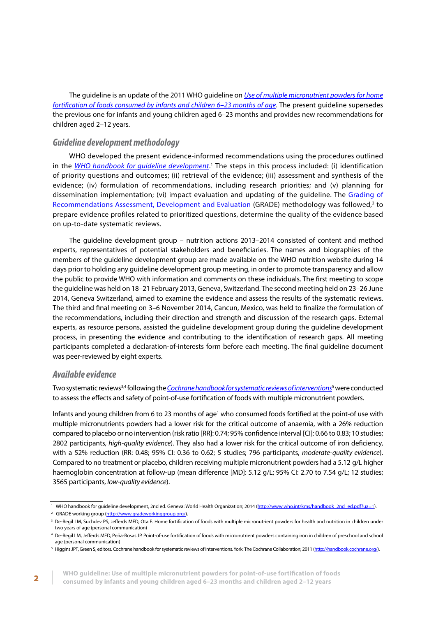<span id="page-9-0"></span>The guideline is an update of the 2011 WHO guideline on *[Use of multiple micronutrient powders for home](http://apps.who.int/iris/bitstream/10665/44651/1/9789241502047_eng.pdf) [fortification of foods consumed by infants and children 6–23 months of age](http://apps.who.int/iris/bitstream/10665/44651/1/9789241502047_eng.pdf)*. The present guideline supersedes the previous one for infants and young children aged 6–23 months and provides new recommendations for children aged 2–12 years.

## *Guideline development methodology*

WHO developed the present evidence-informed recommendations using the procedures outlined in the <u>[WHO handbook for guideline development](http://www.who.int/kms/handbook_2nd_ed.pdf)</u>.<sup>1</sup> The steps in this process included: (i) identification of priority questions and outcomes; (ii) retrieval of the evidence; (iii) assessment and synthesis of the evidence; (iv) formulation of recommendations, including research priorities; and (v) planning for dissemination implementation; (vi) impact evaluation and updating of the quideline. The [Grading of](http://www.gradeworkinggroup.org/) [Recommendations Assessment, Development and Evaluation](http://www.gradeworkinggroup.org/) (GRADE) methodology was followed,<sup>2</sup> to prepare evidence profiles related to prioritized questions, determine the quality of the evidence based on up-to-date systematic reviews.

The guideline development group – nutrition actions 2013–2014 consisted of content and method experts, representatives of potential stakeholders and beneficiaries. The names and biographies of the members of the guideline development group are made available on the WHO nutrition website during 14 days prior to holding any guideline development group meeting, in order to promote transparency and allow the public to provide WHO with information and comments on these individuals. The first meeting to scope the guideline was held on 18–21 February 2013, Geneva, Switzerland. The second meeting held on 23–26 June 2014, Geneva Switzerland, aimed to examine the evidence and assess the results of the systematic reviews. The third and final meeting on 3–6 November 2014, Cancun, Mexico, was held to finalize the formulation of the recommendations, including their direction and strength and discussion of the research gaps. External experts, as resource persons, assisted the guideline development group during the guideline development process, in presenting the evidence and contributing to the identification of research gaps. All meeting participants completed a declaration-of-interests form before each meeting. The final guideline document was peer-reviewed by eight experts.

## *Available evidence*

Two systematic reviews<sup>3,4</sup> following the <u>[Cochrane handbook for systematic reviews of interventions](http://handbook.cochrane.org/)<sup>5</sup> were conducted</u> to assess the effects and safety of point-of-use fortification of foods with multiple micronutrient powders.

Infants and young children from 6 to 23 months of age<sup>1</sup> who consumed foods fortified at the point-of use with multiple micronutrients powders had a lower risk for the critical outcome of anaemia, with a 26% reduction compared to placebo or no intervention (risk ratio [RR]: 0.74; 95% confidence interval [CI]: 0.66 to 0.83; 10 studies; 2802 participants, *high-quality evidence*). They also had a lower risk for the critical outcome of iron deficiency, with a 52% reduction (RR: 0.48; 95% CI: 0.36 to 0.62; 5 studies; 796 participants, *moderate-quality evidence*). Compared to no treatment or placebo, children receiving multiple micronutrient powders had a 5.12 g/L higher haemoglobin concentration at follow-up (mean difference [MD]: 5.12 g/L; 95% CI: 2.70 to 7.54 g/L; 12 studies; 3565 participants, *low-quality evidence*).

<sup>&</sup>lt;sup>1</sup> WHO handbook for guideline development, 2nd ed. Geneva: World Health Organization; 2014 ([http://www.who.int/kms/handbook\\_2nd\\_ed.pdf?ua=1](http://www.who.int/kms/handbook_2nd_ed.pdf?ua=1)). <sup>2</sup> GRADE working group [\(http://www.gradeworkinggroup.org/](http://www.gradeworkinggroup.org/)).

<sup>&</sup>lt;sup>3</sup> De-Regil LM, Suchdev PS, Jefferds MED, Ota E. Home fortification of foods with multiple micronutrient powders for health and nutrition in children under two years of age (personal communication)

<sup>4</sup> De-Regil LM, Jefferds MED, Peña-Rosas JP. Point-of-use fortification of foods with micronutrient powders containing iron in children of preschool and school age (personal communication)

<sup>&</sup>lt;sup>5</sup> Higgins JPT, Green S, editors. Cochrane handbook for systematic reviews of interventions. York: The Cochrane Collaboration; 2011 ([http://handbook.cochrane.org/\)](http://handbook.cochrane.org/).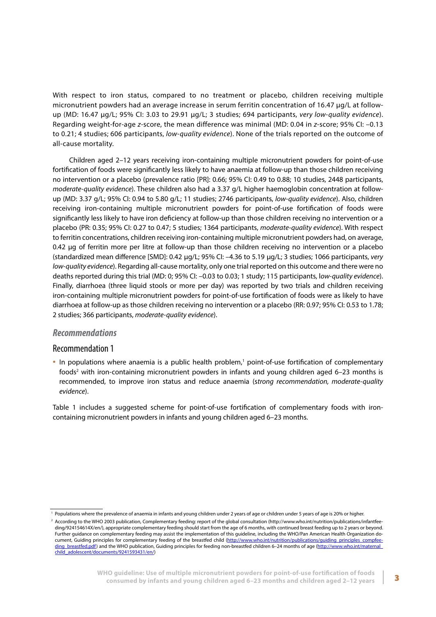<span id="page-10-0"></span>With respect to iron status, compared to no treatment or placebo, children receiving multiple micronutrient powders had an average increase in serum ferritin concentration of 16.47 μg/L at followup (MD: 16.47 μg/L; 95% CI: 3.03 to 29.91 μg/L; 3 studies; 694 participants, *very low-quality evidence*). Regarding weight-for-age *z*-score, the mean difference was minimal (MD: 0.04 in *z*-score; 95% CI: –0.13 to 0.21; 4 studies; 606 participants, *low-quality evidence*). None of the trials reported on the outcome of all-cause mortality.

Children aged 2–12 years receiving iron-containing multiple micronutrient powders for point-of-use fortification of foods were significantly less likely to have anaemia at follow-up than those children receiving no intervention or a placebo (prevalence ratio [PR]: 0.66; 95% CI: 0.49 to 0.88; 10 studies, 2448 participants, *moderate-quality evidence*). These children also had a 3.37 g/L higher haemoglobin concentration at followup (MD: 3.37 g/L; 95% CI: 0.94 to 5.80 g/L; 11 studies; 2746 participants, *low-quality evidence*). Also, children receiving iron-containing multiple micronutrient powders for point-of-use fortification of foods were significantly less likely to have iron deficiency at follow-up than those children receiving no intervention or a placebo (PR: 0.35; 95% CI: 0.27 to 0.47; 5 studies; 1364 participants, *moderate-quality evidence*). With respect to ferritin concentrations, children receiving iron-containing multiple micronutrient powders had, on average, 0.42 μg of ferritin more per litre at follow-up than those children receiving no intervention or a placebo (standardized mean difference [SMD]: 0.42 μg/L; 95% CI: –4.36 to 5.19 μg/L; 3 studies; 1066 participants, *very low-quality evidence*). Regarding all-cause mortality, only one trial reported on this outcome and there were no deaths reported during this trial (MD: 0; 95% CI: –0.03 to 0.03; 1 study; 115 participants, l*ow-quality evidence*). Finally, diarrhoea (three liquid stools or more per day) was reported by two trials and children receiving iron-containing multiple micronutrient powders for point-of-use fortification of foods were as likely to have diarrhoea at follow-up as those children receiving no intervention or a placebo (RR: 0.97; 95% CI: 0.53 to 1.78; 2 studies; 366 participants, *moderate-quality evidence*).

## *Recommendations*

### Recommendation 1

• In populations where anaemia is a public health problem,<sup>1</sup> point-of-use fortification of complementary foods<sup>2</sup> with iron-containing micronutrient powders in infants and young children aged 6–23 months is recommended, to improve iron status and reduce anaemia (s*trong recommendation, moderate-quality evidence*).

Table 1 includes a suggested scheme for point-of-use fortification of complementary foods with ironcontaining micronutrient powders in infants and young children aged 6–23 months.

<sup>&</sup>lt;sup>1</sup> Populations where the prevalence of anaemia in infants and young children under 2 years of age or children under 5 years of age is 20% or higher.

<sup>2</sup> According to the WHO 2003 publication, Complementary feeding: report of the global consultation (http://www.who.int/nutrition/publications/infantfeeding/924154614X/en/), appropriate complementary feeding should start from the age of 6 months, with continued breast feeding up to 2 years or beyond. Further guidance on complementary feeding may assist the implementation of this guideline, including the WHO/Pan American Health Organization do-cument, Guiding principles for complementary feeding of the breastfed child [\(http://www.who.int/nutrition/publications/guiding\\_principles\\_compfee](http://www.who.int/nutrition/publications/guiding_principles_compfeeding_breastfed.pdf)[ding\\_breastfed.pdf\)](http://www.who.int/nutrition/publications/guiding_principles_compfeeding_breastfed.pdf) and the WHO publication, Guiding principles for feeding non-breastfed children 6-24 months of age ([http://www.who.int/maternal\\_](http://www.who.int/maternal_child_adolescent/documents/9241593431/en/) [child\\_adolescent/documents/9241593431/en/\)](http://www.who.int/maternal_child_adolescent/documents/9241593431/en/)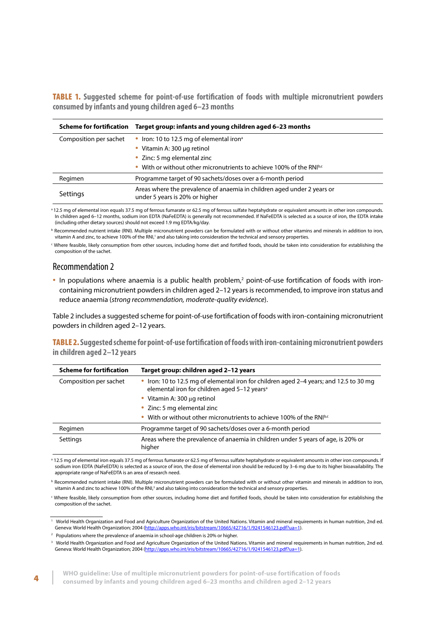<span id="page-11-0"></span>TABLE 1. **Suggested scheme for point-of-use fortification of foods with multiple micronutrient powders consumed by infants and young children aged 6–23 months**

| <b>Scheme for fortification</b> | Target group: infants and young children aged 6-23 months                                                 |
|---------------------------------|-----------------------------------------------------------------------------------------------------------|
| Composition per sachet          | • Iron: 10 to 12.5 mg of elemental iron <sup>a</sup>                                                      |
|                                 | • Vitamin A: 300 µg retinol                                                                               |
|                                 | • Zinc: 5 mg elemental zinc                                                                               |
|                                 | With or without other micronutrients to achieve 100% of the RNI <sup>b,c</sup>                            |
| Regimen                         | Programme target of 90 sachets/doses over a 6-month period                                                |
| Settings                        | Areas where the prevalence of anaemia in children aged under 2 years or<br>under 5 years is 20% or higher |

<sup>a</sup> 12.5 mg of elemental iron equals 37.5 mg of ferrous fumarate or 62.5 mg of ferrous sulfate heptahydrate or equivalent amounts in other iron compounds. In children aged 6–12 months, sodium iron EDTA (NaFeEDTA) is generally not recommended. If NaFeEDTA is selected as a source of iron, the EDTA intake (including other dietary sources) should not exceed 1.9 mg EDTA/kg/day.

**b** Recommended nutrient intake (RNI). Multiple micronutrient powders can be formulated with or without other vitamins and minerals in addition to iron, vitamin A and zinc, to achieve 100% of the RNI,<sup>1</sup> and also taking into consideration the technical and sensory properties.

c Where feasible, likely consumption from other sources, including home diet and fortified foods, should be taken into consideration for establishing the composition of the sachet.

### Recommendation 2

• In populations where anaemia is a public health problem,<sup>2</sup> point-of-use fortification of foods with ironcontaining micronutrient powders in children aged 2–12 years is recommended, to improve iron status and reduce anaemia (*strong recommendation, moderate-quality evidence*).

Table 2 includes a suggested scheme for point-of-use fortification of foods with iron-containing micronutrient powders in children aged 2–12 years.

TABLE 2. **Suggested scheme for point-of-use fortification of foods with iron-containing micronutrient powders in children aged 2–12 years**

| <b>Scheme for fortification</b> | Target group: children aged 2-12 years                                                                                                             |
|---------------------------------|----------------------------------------------------------------------------------------------------------------------------------------------------|
| Composition per sachet          | • Iron: 10 to 12.5 mg of elemental iron for children aged 2-4 years; and 12.5 to 30 mg<br>elemental iron for children aged 5-12 years <sup>a</sup> |
|                                 | • Vitamin A: 300 $\mu$ g retinol                                                                                                                   |
|                                 | • Zinc: 5 mg elemental zinc                                                                                                                        |
|                                 | • With or without other micronutrients to achieve 100% of the RNI <sup>b,c</sup>                                                                   |
| Regimen                         | Programme target of 90 sachets/doses over a 6-month period                                                                                         |
| Settings                        | Areas where the prevalence of anaemia in children under 5 years of age, is 20% or<br>higher                                                        |

a 12.5 mg of elemental iron equals 37.5 mg of ferrous fumarate or 62.5 mg of ferrous sulfate heptahydrate or equivalent amounts in other iron compounds. If sodium iron EDTA (NaFeEDTA) is selected as a source of iron, the dose of elemental iron should be reduced by 3–6 mg due to its higher bioavailability. The appropriate range of NaFeEDTA is an area of research need.

b Recommended nutrient intake (RNI). Multiple micronutrient powders can be formulated with or without other vitamin and minerals in addition to iron, vitamin A and zinc to achieve 100% of the RNI,<sup>3</sup> and also taking into consideration the technical and sensory properties.

c Where feasible, likely consumption from other sources, including home diet and fortified foods, should be taken into consideration for establishing the composition of the sachet.

<sup>1</sup> World Health Organization and Food and Agriculture Organization of the United Nations. Vitamin and mineral requirements in human nutrition, 2nd ed. Geneva: World Health Organization; 2004 [\(http://apps.who.int/iris/bitstream/10665/42716/1/9241546123.pdf?ua=1\)](http://apps.who.int/iris/bitstream/10665/42716/1/9241546123.pdf?ua=1).

<sup>2</sup> Populations where the prevalence of anaemia in school-age children is 20% or higher.

<sup>3</sup> World Health Organization and Food and Agriculture Organization of the United Nations. Vitamin and mineral requirements in human nutrition, 2nd ed. Geneva: World Health Organization; 2004 [\(http://apps.who.int/iris/bitstream/10665/42716/1/9241546123.pdf?ua=1\)](http://apps.who.int/iris/bitstream/10665/42716/1/9241546123.pdf?ua=1).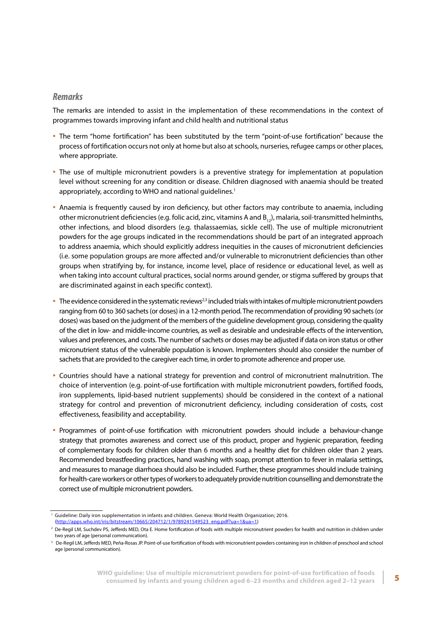## <span id="page-12-0"></span>*Remarks*

The remarks are intended to assist in the implementation of these recommendations in the context of programmes towards improving infant and child health and nutritional status

- The term "home fortification" has been substituted by the term "point-of-use fortification" because the process of fortification occurs not only at home but also at schools, nurseries, refugee camps or other places, where appropriate.
- The use of multiple micronutrient powders is a preventive strategy for implementation at population level without screening for any condition or disease. Children diagnosed with anaemia should be treated appropriately, according to WHO and national quidelines.<sup>1</sup>
- Anaemia is frequently caused by iron deficiency, but other factors may contribute to anaemia, including other micronutrient deficiencies (e.g. folic acid, zinc, vitamins A and  $B_{12}$ ), malaria, soil-transmitted helminths, other infections, and blood disorders (e.g. thalassaemias, sickle cell). The use of multiple micronutrient powders for the age groups indicated in the recommendations should be part of an integrated approach to address anaemia, which should explicitly address inequities in the causes of micronutrient deficiencies (i.e. some population groups are more affected and/or vulnerable to micronutrient deficiencies than other groups when stratifying by, for instance, income level, place of residence or educational level, as well as when taking into account cultural practices, social norms around gender, or stigma suffered by groups that are discriminated against in each specific context).
- $\bullet$  The evidence considered in the systematic reviews<sup>2,3</sup> included trials with intakes of multiple micronutrient powders ranging from 60 to 360 sachets (or doses) in a 12-month period. The recommendation of providing 90 sachets (or doses) was based on the judgment of the members of the guideline development group, considering the quality of the diet in low- and middle-income countries, as well as desirable and undesirable effects of the intervention, values and preferences, and costs. The number of sachets or doses may be adjusted if data on iron status or other micronutrient status of the vulnerable population is known. Implementers should also consider the number of sachets that are provided to the caregiver each time, in order to promote adherence and proper use.
- Countries should have a national strategy for prevention and control of micronutrient malnutrition. The choice of intervention (e.g. point-of-use fortification with multiple micronutrient powders, fortified foods, iron supplements, lipid-based nutrient supplements) should be considered in the context of a national strategy for control and prevention of micronutrient deficiency, including consideration of costs, cost effectiveness, feasibility and acceptability.
- Programmes of point-of-use fortification with micronutrient powders should include a behaviour-change strategy that promotes awareness and correct use of this product, proper and hygienic preparation, feeding of complementary foods for children older than 6 months and a healthy diet for children older than 2 years. Recommended breastfeeding practices, hand washing with soap, prompt attention to fever in malaria settings, and measures to manage diarrhoea should also be included. Further, these programmes should include training for health-care workers or other types of workers to adequately provide nutrition counselling and demonstrate the correct use of multiple micronutrient powders.

<sup>1</sup> Guideline: Daily iron supplementation in infants and children. Geneva: World Health Organization; 2016. ([http://apps.who.int/iris/bitstream/10665/204712/1/9789241549523\\_eng.pdf?ua=1&ua=1](http://apps.who.int/iris/bitstream/10665/204712/1/9789241549523_eng.pdf?ua=1&ua=1))

<sup>&</sup>lt;sup>2</sup> De-Regil LM, Suchdev PS, Jefferds MED, Ota E. Home fortification of foods with multiple micronutrient powders for health and nutrition in children under two years of age (personal communication).

<sup>&</sup>lt;sup>3</sup> De-Regil LM, Jefferds MED, Peña-Rosas JP. Point-of-use fortification of foods with micronutrient powders containing iron in children of preschool and school age (personal communication).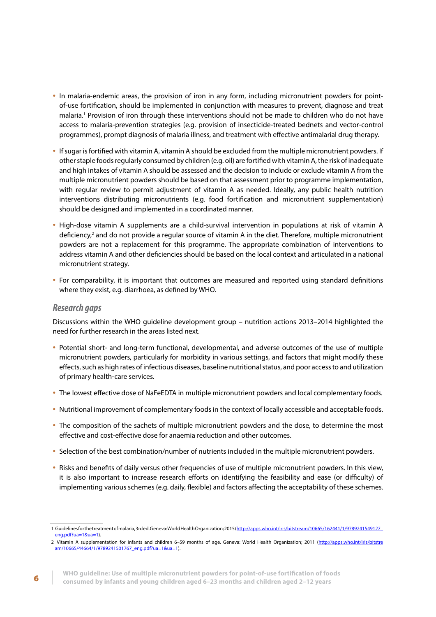- <span id="page-13-0"></span>• In malaria-endemic areas, the provision of iron in any form, including micronutrient powders for pointof-use fortification, should be implemented in conjunction with measures to prevent, diagnose and treat malaria.1 Provision of iron through these interventions should not be made to children who do not have access to malaria-prevention strategies (e.g. provision of insecticide-treated bednets and vector-control programmes), prompt diagnosis of malaria illness, and treatment with effective antimalarial drug therapy.
- If sugar is fortified with vitamin A, vitamin A should be excluded from the multiple micronutrient powders. If other staple foods regularly consumed by children (e.g. oil) are fortified with vitamin A, the risk of inadequate and high intakes of vitamin A should be assessed and the decision to include or exclude vitamin A from the multiple micronutrient powders should be based on that assessment prior to programme implementation, with regular review to permit adjustment of vitamin A as needed. Ideally, any public health nutrition interventions distributing micronutrients (e.g. food fortification and micronutrient supplementation) should be designed and implemented in a coordinated manner.
- High-dose vitamin A supplements are a child-survival intervention in populations at risk of vitamin A deficiency,<sup>2</sup> and do not provide a regular source of vitamin A in the diet. Therefore, multiple micronutrient powders are not a replacement for this programme. The appropriate combination of interventions to address vitamin A and other deficiencies should be based on the local context and articulated in a national micronutrient strategy.
- For comparability, it is important that outcomes are measured and reported using standard definitions where they exist, e.g. diarrhoea, as defined by WHO.

### *Research gaps*

Discussions within the WHO guideline development group – nutrition actions 2013–2014 highlighted the need for further research in the areas listed next.

- Potential short- and long-term functional, developmental, and adverse outcomes of the use of multiple micronutrient powders, particularly for morbidity in various settings, and factors that might modify these effects, such as high rates of infectious diseases, baseline nutritional status, and poor access to and utilization of primary health-care services.
- The lowest effective dose of NaFeEDTA in multiple micronutrient powders and local complementary foods.
- Nutritional improvement of complementary foods in the context of locally accessible and acceptable foods.
- The composition of the sachets of multiple micronutrient powders and the dose, to determine the most effective and cost-effective dose for anaemia reduction and other outcomes.
- Selection of the best combination/number of nutrients included in the multiple micronutrient powders.
- Risks and benefits of daily versus other frequencies of use of multiple micronutrient powders. In this view, it is also important to increase research efforts on identifying the feasibility and ease (or difficulty) of implementing various schemes (e.g. daily, flexible) and factors affecting the acceptability of these schemes.

<sup>1</sup> Guidelines for the treatment of malaria, 3rd ed. Geneva: World Health Organization; 2015 [\(http://apps.who.int/iris/bitstream/10665/162441/1/9789241549127\\_](http://apps.who.int/iris/bitstream/10665/162441/1/9789241549127_eng.pdf?ua=1&ua=1) [eng.pdf?ua=1&ua=1\)](http://apps.who.int/iris/bitstream/10665/162441/1/9789241549127_eng.pdf?ua=1&ua=1).

<sup>2</sup> Vitamin A supplementation for infants and children 6–59 months of age. Geneva: World Health Organization; 2011 [\(http://apps.who.int/iris/bitstre](http://apps.who.int/iris/bitstream/10665/44664/1/9789241501767_eng.pdf?ua=1&ua=1) [am/10665/44664/1/9789241501767\\_eng.pdf?ua=1&ua=1](http://apps.who.int/iris/bitstream/10665/44664/1/9789241501767_eng.pdf?ua=1&ua=1)).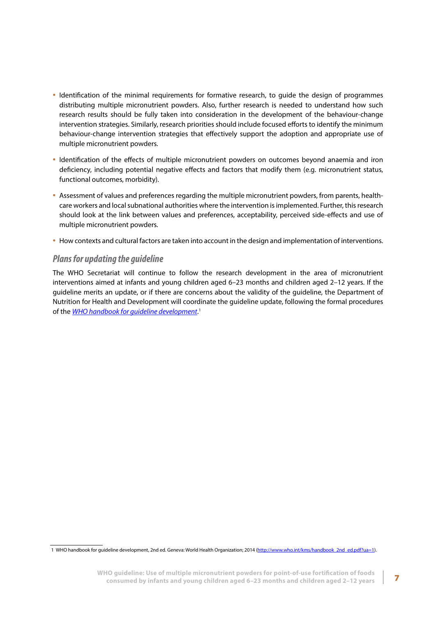- <span id="page-14-0"></span>• Identification of the minimal requirements for formative research, to guide the design of programmes distributing multiple micronutrient powders. Also, further research is needed to understand how such research results should be fully taken into consideration in the development of the behaviour-change intervention strategies. Similarly, research priorities should include focused efforts to identify the minimum behaviour-change intervention strategies that effectively support the adoption and appropriate use of multiple micronutrient powders.
- Identification of the effects of multiple micronutrient powders on outcomes beyond anaemia and iron deficiency, including potential negative effects and factors that modify them (e.g. micronutrient status, functional outcomes, morbidity).
- Assessment of values and preferences regarding the multiple micronutrient powders, from parents, healthcare workers and local subnational authorities where the intervention is implemented. Further, this research should look at the link between values and preferences, acceptability, perceived side-effects and use of multiple micronutrient powders.
- How contexts and cultural factors are taken into account in the design and implementation of interventions.

## *Plans for updating the guideline*

The WHO Secretariat will continue to follow the research development in the area of micronutrient interventions aimed at infants and young children aged 6–23 months and children aged 2–12 years. If the guideline merits an update, or if there are concerns about the validity of the guideline, the Department of Nutrition for Health and Development will coordinate the guideline update, following the formal procedures of the *[WHO handbook for guideline development](http://www.who.int/kms/handbook_2nd_ed.pdf)*. 1

<sup>1</sup> WHO handbook for guideline development, 2nd ed. Geneva: World Health Organization; 2014 ([http://www.who.int/kms/handbook\\_2nd\\_ed.pdf?ua=1](http://www.who.int/kms/handbook_2nd_ed.pdf?ua=1)).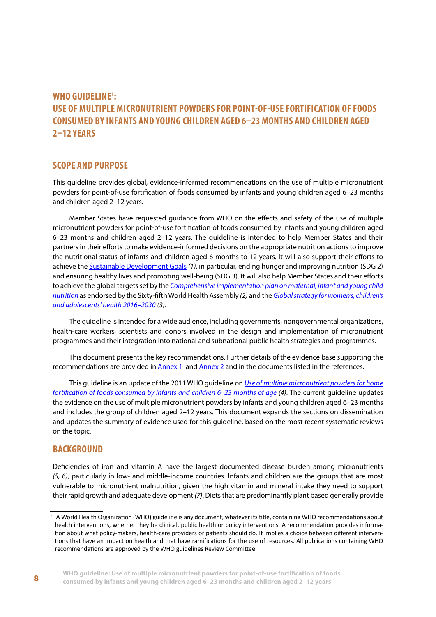## <span id="page-15-0"></span>**WHO GUIDELINE1 : USE OF MULTIPLE MICRONUTRIENT POWDERS FOR POINT-OF-USE FORTIFICATION OF FOODS CONSUMED BY INFANTS AND YOUNG CHILDREN AGED 6–23 MONTHS AND CHILDREN AGED 2–12 YEARS**

## **SCOPE AND PURPOSE**

This guideline provides global, evidence-informed recommendations on the use of multiple micronutrient powders for point-of-use fortification of foods consumed by infants and young children aged 6–23 months and children aged 2–12 years.

Member States have requested guidance from WHO on the effects and safety of the use of multiple micronutrient powders for point-of-use fortification of foods consumed by infants and young children aged 6–23 months and children aged 2–12 years. The guideline is intended to help Member States and their partners in their efforts to make evidence-informed decisions on the appropriate nutrition actions to improve the nutritional status of infants and children aged 6 months to 12 years. It will also support their efforts to achieve the [Sustainable Development Goals](https://sustainabledevelopment.un.org/sdgs) *(1)*, in particular, ending hunger and improving nutrition (SDG 2) and ensuring healthy lives and promoting well-being (SDG 3). It will also help Member States and their efforts to achieve the global targets set by the *[Comprehensive implementation plan on maternal, infant and young child](http://www.who.int/nutrition/publications/CIP_document/en/) [nutrition](http://www.who.int/nutrition/publications/CIP_document/en/)* as endorsed by the Sixty-fifth World Health Assembly *(2)* and the *[Global strategy for women's, children's](http://www.who.int/life-course/publications/global-strategy-2016-2030/en/) [and adolescents' health 2016–2030](http://www.who.int/life-course/publications/global-strategy-2016-2030/en/) (3)*.

The guideline is intended for a wide audience, including governments, nongovernmental organizations, health-care workers, scientists and donors involved in the design and implementation of micronutrient programmes and their integration into national and subnational public health strategies and programmes.

This document presents the key recommendations. Further details of the evidence base supporting the recommendations are provided in [Annex 1](#page-39-0) and [Annex 2](#page-45-0) and in the documents listed in the references.

This guideline is an update of the 2011 WHO guideline on *[Use of multiple micronutrient powders for home](http://apps.who.int/iris/bitstream/10665/44651/1/9789241502047_eng.pdf) [fortification of foods consumed by infants and children 6–23 months of age](http://apps.who.int/iris/bitstream/10665/44651/1/9789241502047_eng.pdf) (4)*. The current guideline updates the evidence on the use of multiple micronutrient powders by infants and young children aged 6–23 months and includes the group of children aged 2–12 years. This document expands the sections on dissemination and updates the summary of evidence used for this guideline, based on the most recent systematic reviews on the topic.

#### **BACKGROUND**

Deficiencies of iron and vitamin A have the largest documented disease burden among micronutrients *(5, 6)*, particularly in low- and middle-income countries. Infants and children are the groups that are most vulnerable to micronutrient malnutrition, given the high vitamin and mineral intake they need to support their rapid growth and adequate development *(7)*. Diets that are predominantly plant based generally provide

<sup>&</sup>lt;sup>1</sup> A World Health Organization (WHO) guideline is any document, whatever its title, containing WHO recommendations about health interventions, whether they be clinical, public health or policy interventions. A recommendation provides information about what policy-makers, health-care providers or patients should do. It implies a choice between different interventions that have an impact on health and that have ramifications for the use of resources. All publications containing WHO recommendations are approved by the WHO guidelines Review Committee.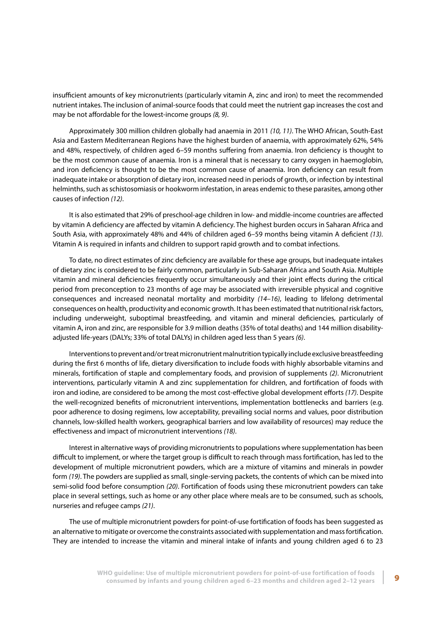insufficient amounts of key micronutrients (particularly vitamin A, zinc and iron) to meet the recommended nutrient intakes. The inclusion of animal-source foods that could meet the nutrient gap increases the cost and may be not affordable for the lowest-income groups *(8, 9)*.

Approximately 300 million children globally had anaemia in 2011 *(10, 11)*. The WHO African, South-East Asia and Eastern Mediterranean Regions have the highest burden of anaemia, with approximately 62%, 54% and 48%, respectively, of children aged 6–59 months suffering from anaemia. Iron deficiency is thought to be the most common cause of anaemia. Iron is a mineral that is necessary to carry oxygen in haemoglobin, and iron deficiency is thought to be the most common cause of anaemia. Iron deficiency can result from inadequate intake or absorption of dietary iron, increased need in periods of growth, or infection by intestinal helminths, such as schistosomiasis or hookworm infestation, in areas endemic to these parasites, among other causes of infection *(12)*.

It is also estimated that 29% of preschool-age children in low- and middle-income countries are affected by vitamin A deficiency are affected by vitamin A deficiency. The highest burden occurs in Saharan Africa and South Asia, with approximately 48% and 44% of children aged 6–59 months being vitamin A deficient *(13).* Vitamin A is required in infants and children to support rapid growth and to combat infections.

To date, no direct estimates of zinc deficiency are available for these age groups, but inadequate intakes of dietary zinc is considered to be fairly common, particularly in Sub-Saharan Africa and South Asia. Multiple vitamin and mineral deficiencies frequently occur simultaneously and their joint effects during the critical period from preconception to 23 months of age may be associated with irreversible physical and cognitive consequences and increased neonatal mortality and morbidity *(14–16)*, leading to lifelong detrimental consequences on health, productivity and economic growth. It has been estimated that nutritional risk factors, including underweight, suboptimal breastfeeding, and vitamin and mineral deficiencies, particularly of vitamin A, iron and zinc, are responsible for 3.9 million deaths (35% of total deaths) and 144 million disabilityadjusted life-years (DALYs; 33% of total DALYs) in children aged less than 5 years *(6)*.

Interventions to prevent and/or treat micronutrient malnutrition typically include exclusive breastfeeding during the first 6 months of life, dietary diversification to include foods with highly absorbable vitamins and minerals, fortification of staple and complementary foods, and provision of supplements *(2)*. Micronutrient interventions, particularly vitamin A and zinc supplementation for children, and fortification of foods with iron and iodine, are considered to be among the most cost-effective global development efforts *(17)*. Despite the well-recognized benefits of micronutrient interventions, implementation bottlenecks and barriers (e.g. poor adherence to dosing regimens, low acceptability, prevailing social norms and values, poor distribution channels, low-skilled health workers, geographical barriers and low availability of resources) may reduce the effectiveness and impact of micronutrient interventions *(18)*.

Interest in alternative ways of providing micronutrients to populations where supplementation has been difficult to implement, or where the target group is difficult to reach through mass fortification, has led to the development of multiple micronutrient powders, which are a mixture of vitamins and minerals in powder form *(19)*. The powders are supplied as small, single-serving packets, the contents of which can be mixed into semi-solid food before consumption *(20)*. Fortification of foods using these micronutrient powders can take place in several settings, such as home or any other place where meals are to be consumed, such as schools, nurseries and refugee camps *(21)*.

The use of multiple micronutrient powders for point-of-use fortification of foods has been suggested as an alternative to mitigate or overcome the constraints associated with supplementation and mass fortification. They are intended to increase the vitamin and mineral intake of infants and young children aged 6 to 23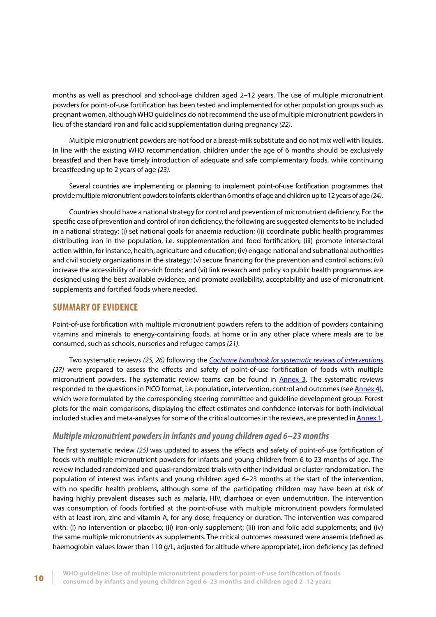<span id="page-17-0"></span>months as well as preschool and school-age children aged 2–12 years. The use of multiple micronutrient powders for point-of-use fortification has been tested and implemented for other population groups such as pregnant women, although WHO guidelines do not recommend the use of multiple micronutrient powders in lieu of the standard iron and folic acid supplementation during pregnancy *(22)*.

Multiple micronutrient powders are not food or a breast-milk substitute and do not mix well with liquids. In line with the existing WHO recommendation, children under the age of 6 months should be exclusively breastfed and then have timely introduction of adequate and safe complementary foods, while continuing breastfeeding up to 2 years of age *(23)*.

Several countries are implementing or planning to implement point-of-use fortification programmes that provide multiple micronutrient powders to infants older than 6 months of age and children up to 12 years of age *(24)*.

Countries should have a national strategy for control and prevention of micronutrient deficiency. For the specific case of prevention and control of iron deficiency, the following are suggested elements to be included in a national strategy: (i) set national goals for anaemia reduction; (ii) coordinate public health programmes distributing iron in the population, i.e. supplementation and food fortification; (iii) promote intersectoral action within, for instance, health, agriculture and education; (iv) engage national and subnational authorities and civil society organizations in the strategy; (v) secure financing for the prevention and control actions; (vi) increase the accessibility of iron-rich foods; and (vi) link research and policy so public health programmes are designed using the best available evidence, and promote availability, acceptability and use of micronutrient supplements and fortified foods where needed.

### **SUMMARY OF EVIDENCE**

Point-of-use fortification with multiple micronutrient powders refers to the addition of powders containing vitamins and minerals to energy-containing foods, at home or in any other place where meals are to be consumed, such as schools, nurseries and refugee camps *(21)*.

Two systematic reviews *(25, 26)* following the *[Cochrane handbook for systematic reviews of interventions](http://handbook.cochrane.org/) (27)* were prepared to assess the effects and safety of point-of-use fortification of foods with multiple micronutrient powders. The systematic review teams can be found in **Annex 3**. The systematic reviews responded to the questions in PICO format, i.e. population, intervention, control and outcomes (see [Annex 4\),](#page-49-0)  which were formulated by the corresponding steering committee and guideline development group. Forest plots for the main comparisons, displaying the effect estimates and confidence intervals for both individual included studies and meta-analyses for some of the critical outcomes in the reviews, are presented in [Annex 1.](#page-39-0)

### *Multiple micronutrient powders in infants and young children aged 6–23 months*

The first systematic review *(25)* was updated to assess the effects and safety of point-of-use fortification of foods with multiple micronutrient powders for infants and young children from 6 to 23 months of age. The review included randomized and quasi-randomized trials with either individual or cluster randomization. The population of interest was infants and young children aged 6–23 months at the start of the intervention, with no specific health problems, although some of the participating children may have been at risk of having highly prevalent diseases such as malaria, HIV, diarrhoea or even undernutrition. The intervention was consumption of foods fortified at the point-of-use with multiple micronutrient powders formulated with at least iron, zinc and vitamin A, for any dose, frequency or duration. The intervention was compared with: (i) no intervention or placebo; (ii) iron-only supplement; (iii) iron and folic acid supplements; and (iv) the same multiple micronutrients as supplements. The critical outcomes measured were anaemia (defined as haemoglobin values lower than 110 g/L, adjusted for altitude where appropriate), iron deficiency (as defined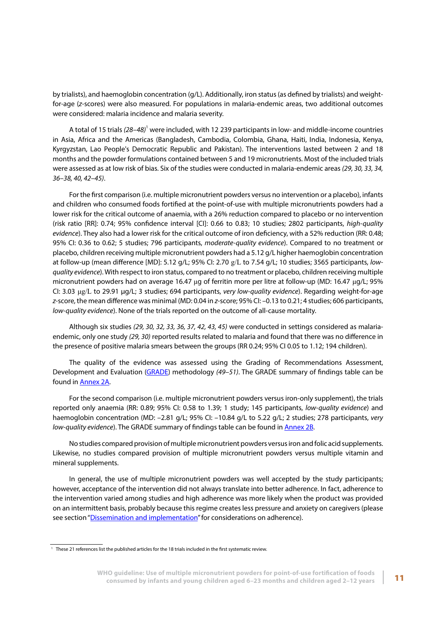by trialists), and haemoglobin concentration (g/L). Additionally, iron status (as defined by trialists) and weightfor-age (*z*-scores) were also measured. For populations in malaria-endemic areas, two additional outcomes were considered: malaria incidence and malaria severity.

A total of 15 trials (28–48)<sup>1</sup> were included, with 12 239 participants in low- and middle-income countries in Asia, Africa and the Americas (Bangladesh, Cambodia, Colombia, Ghana, Haiti, India, Indonesia, Kenya, Kyrgyzstan, Lao People's Democratic Republic and Pakistan). The interventions lasted between 2 and 18 months and the powder formulations contained between 5 and 19 micronutrients. Most of the included trials were assessed as at low risk of bias. Six of the studies were conducted in malaria-endemic areas *(29, 30, 33, 34, 36–38, 40, 42–45)*.

For the first comparison (i.e. multiple micronutrient powders versus no intervention or a placebo), infants and children who consumed foods fortified at the point-of-use with multiple micronutrients powders had a lower risk for the critical outcome of anaemia, with a 26% reduction compared to placebo or no intervention (risk ratio [RR]: 0.74; 95% confidence interval [CI]: 0.66 to 0.83; 10 studies; 2802 participants, *high-quality evidence*). They also had a lower risk for the critical outcome of iron deficiency, with a 52% reduction (RR: 0.48; 95% CI: 0.36 to 0.62; 5 studies; 796 participants, *moderate-quality evidence*). Compared to no treatment or placebo, children receiving multiple micronutrient powders had a 5.12 g/L higher haemoglobin concentration at follow-up (mean difference [MD]: 5.12 g/L; 95% CI: 2.70 g/L to 7.54 g/L; 10 studies; 3565 participants, *lowquality evidence*). With respect to iron status, compared to no treatment or placebo, children receiving multiple micronutrient powders had on average 16.47 μg of ferritin more per litre at follow-up (MD: 16.47 μg/L; 95% CI: 3.03 μg/L to 29.91 μg/L; 3 studies; 694 participants, *very low-quality evidence*). Regarding weight-for-age *z*-score, the mean difference was minimal (MD: 0.04 in *z*-score; 95% CI: –0.13 to 0.21; 4 studies; 606 participants, *low-quality evidence*). None of the trials reported on the outcome of all-cause mortality.

Although six studies *(29, 30, 32, 33, 36, 37, 42, 43, 45)* were conducted in settings considered as malariaendemic, only one study *(29, 30)* reported results related to malaria and found that there was no difference in the presence of positive malaria smears between the groups (RR 0.24; 95% CI 0.05 to 1.12; 194 children).

The quality of the evidence was assessed using the Grading of Recommendations Assessment, Development and Evaluation [\(GRADE\)](http://www.gradeworkinggroup.org/) methodology *(49–51)*. The GRADE summary of findings table can be found in [Annex 2A.](#page-45-0)

For the second comparison (i.e. multiple micronutrient powders versus iron-only supplement), the trials reported only anaemia (RR: 0.89; 95% CI: 0.58 to 1.39; 1 study; 145 participants, *low-quality evidence*) and haemoglobin concentration (MD: –2.81 g/L; 95% CI: –10.84 g/L to 5.22 g/L; 2 studies; 278 participants, *very low-quality evidence*). The GRADE summary of findings table can be found in **Annex 2B**.

No studies compared provision of multiple micronutrient powders versus iron and folic acid supplements. Likewise, no studies compared provision of multiple micronutrient powders versus multiple vitamin and mineral supplements.

In general, the use of multiple micronutrient powders was well accepted by the study participants; however, acceptance of the intervention did not always translate into better adherence. In fact, adherence to the intervention varied among studies and high adherence was more likely when the product was provided on an intermittent basis, probably because this regime creates less pressure and anxiety on caregivers (please see section "Dissemination and implementation" for considerations on adherence).

<sup>&</sup>lt;sup>1</sup> These 21 references list the published articles for the 18 trials included in the first systematic review.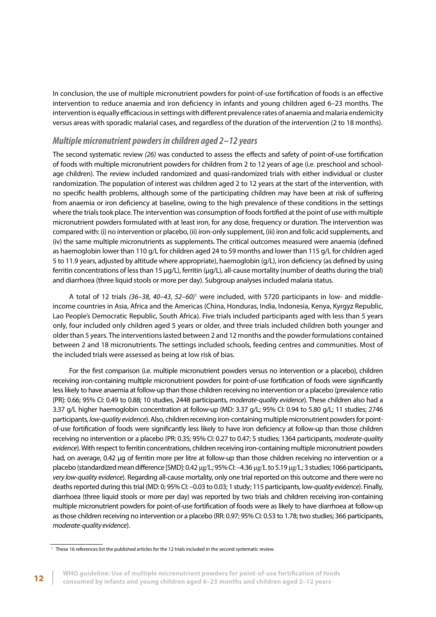<span id="page-19-0"></span>In conclusion, the use of multiple micronutrient powders for point-of-use fortification of foods is an effective intervention to reduce anaemia and iron deficiency in infants and young children aged 6–23 months. The intervention is equally efficacious in settings with different prevalence rates of anaemia and malaria endemicity versus areas with sporadic malarial cases, and regardless of the duration of the intervention (2 to 18 months).

## *Multiple micronutrient powders in children aged 2–12 years*

The second systematic review *(26)* was conducted to assess the effects and safety of point-of-use fortification of foods with multiple micronutrient powders for children from 2 to 12 years of age (i.e. preschool and schoolage children). The review included randomized and quasi-randomized trials with either individual or cluster randomization. The population of interest was children aged 2 to 12 years at the start of the intervention, with no specific health problems, although some of the participating children may have been at risk of suffering from anaemia or iron deficiency at baseline, owing to the high prevalence of these conditions in the settings where the trials took place. The intervention was consumption of foods fortified at the point of use with multiple micronutrient powders formulated with at least iron, for any dose, frequency or duration. The intervention was compared with: (i) no intervention or placebo, (ii) iron-only supplement, (iii) iron and folic acid supplements, and (iv) the same multiple micronutrients as supplements. The critical outcomes measured were anaemia (defined as haemoglobin lower than 110 g/L for children aged 24 to 59 months and lower than 115 g/L for children aged 5 to 11.9 years, adjusted by altitude where appropriate), haemoglobin (g/L), iron deficiency (as defined by using ferritin concentrations of less than 15 μg/L), ferritin (μg/L), all-cause mortality (number of deaths during the trial) and diarrhoea (three liquid stools or more per day). Subgroup analyses included malaria status.

A total of 12 trials (36-38, 40-43, 52-60)<sup>1</sup> were included, with 5720 participants in low- and middleincome countries in Asia, Africa and the Americas (China, Honduras, India, Indonesia, Kenya, Kyrgyz Republic, Lao People's Democratic Republic, South Africa). Five trials included participants aged with less than 5 years only, four included only children aged 5 years or older, and three trials included children both younger and older than 5 years. The interventions lasted between 2 and 12 months and the powder formulations contained between 2 and 18 micronutrients. The settings included schools, feeding centres and communities. Most of the included trials were assessed as being at low risk of bias.

For the first comparison (i.e. multiple micronutrient powders versus no intervention or a placebo), children receiving iron-containing multiple micronutrient powders for point-of-use fortification of foods were significantly less likely to have anaemia at follow-up than those children receiving no intervention or a placebo (prevalence ratio [PR]: 0.66; 95% CI: 0.49 to 0.88; 10 studies, 2448 participants, *moderate-quality evidence*). These children also had a 3.37 g/L higher haemoglobin concentration at follow-up (MD: 3.37 g/L; 95% CI: 0.94 to 5.80 g/L; 11 studies; 2746 participants, *low-quality evidence*). Also, children receiving iron-containing multiple micronutrient powders for pointof-use fortification of foods were significantly less likely to have iron deficiency at follow-up than those children receiving no intervention or a placebo (PR: 0.35; 95% CI: 0.27 to 0.47; 5 studies; 1364 participants, *moderate-quality evidence*). With respect to ferritin concentrations, children receiving iron-containing multiple micronutrient powders had, on average, 0.42 μg of ferritin more per litre at follow-up than those children receiving no intervention or a placebo (standardized mean difference [SMD]: 0.42 μg/L; 95% CI: –4.36 μg/L to 5.19 μg/L; 3 studies; 1066 participants, *very low-quality evidence*). Regarding all-cause mortality, only one trial reported on this outcome and there were no deaths reported during this trial (MD: 0; 95% CI: –0.03 to 0.03; 1 study; 115 participants, l*ow-quality evidence*). Finally, diarrhoea (three liquid stools or more per day) was reported by two trials and children receiving iron-containing multiple micronutrient powders for point-of-use fortification of foods were as likely to have diarrhoea at follow-up as those children receiving no intervention or a placebo (RR: 0.97; 95% CI: 0.53 to 1.78; two studies; 366 participants, *moderate-quality evidence*).

<sup>&</sup>lt;sup>1</sup> These 16 references list the published articles for the 12 trials included in the second systematic review.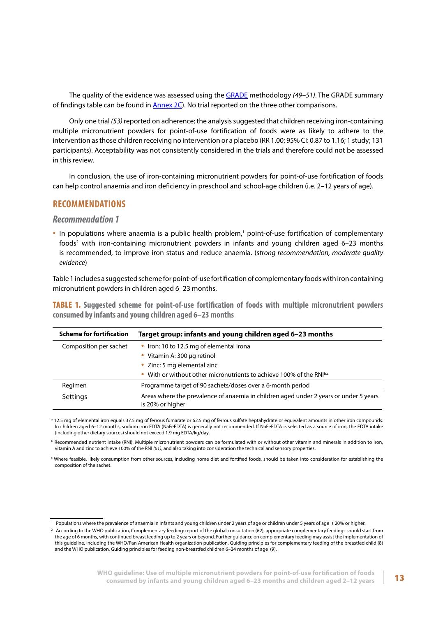<span id="page-20-0"></span>The quality of the evidence was assessed using the [GRADE](http://www.gradeworkinggroup.org/) methodology *(49–51)*. The GRADE summary of findings table can be found in  $\frac{\text{Annex } 2C}{\text{Nonex}}$ . No trial reported on the three other comparisons.

Only one trial *(53)* reported on adherence; the analysis suggested that children receiving iron-containing multiple micronutrient powders for point-of-use fortification of foods were as likely to adhere to the intervention as those children receiving no intervention or a placebo (RR 1.00; 95% CI: 0.87 to 1.16; 1 study; 131 participants). Acceptability was not consistently considered in the trials and therefore could not be assessed in this review.

In conclusion, the use of iron-containing micronutrient powders for point-of-use fortification of foods can help control anaemia and iron deficiency in preschool and school-age children (i.e. 2–12 years of age).

#### **RECOMMENDATIONS**

#### *Recommendation 1*

• In populations where anaemia is a public health problem,<sup>1</sup> point-of-use fortification of complementary foods<sup>2</sup> with iron-containing micronutrient powders in infants and young children aged 6–23 months is recommended, to improve iron status and reduce anaemia. (s*trong recommendation, moderate quality evidence*)

Table 1 includes a suggested scheme for point-of-use fortification of complementary foods with iron containing micronutrient powders in children aged 6–23 months.

TABLE 1. **Suggested scheme for point-of-use fortification of foods with multiple micronutrient powders consumed by infants and young children aged 6–23 months**

| <b>Scheme for fortification</b> | Target group: infants and young children aged 6-23 months                                                 |
|---------------------------------|-----------------------------------------------------------------------------------------------------------|
| Composition per sachet          | • Iron: 10 to 12.5 mg of elemental irona                                                                  |
|                                 | • Vitamin A: 300 µg retinol                                                                               |
|                                 | • Zinc: 5 mg elemental zinc                                                                               |
|                                 | With or without other micronutrients to achieve 100% of the RNI <sup>b,c</sup><br>$\bullet$               |
| Regimen                         | Programme target of 90 sachets/doses over a 6-month period                                                |
| Settings                        | Areas where the prevalence of anaemia in children aged under 2 years or under 5 years<br>is 20% or higher |

<sup>a</sup> 12.5 mg of elemental iron equals 37.5 mg of ferrous fumarate or 62.5 mg of ferrous sulfate heptahydrate or equivalent amounts in other iron compounds. In children aged 6–12 months, sodium iron EDTA (NaFeEDTA) is generally not recommended. If NaFeEDTA is selected as a source of iron, the EDTA intake (including other dietary sources) should not exceed 1.9 mg EDTA/kg/day.

b Recommended nutrient intake (RNI). Multiple micronutrient powders can be formulated with or without other vitamin and minerals in addition to iron, vitamin A and zinc to achieve 100% of the RNI *(61)*, and also taking into consideration the technical and sensory properties.

c Where feasible, likely consumption from other sources, including home diet and fortified foods, should be taken into consideration for establishing the composition of the sachet.

<sup>&</sup>lt;sup>1</sup> Populations where the prevalence of anaemia in infants and young children under 2 years of age or children under 5 years of age is 20% or higher.

<sup>&</sup>lt;sup>2</sup> According to the WHO publication, Complementary feeding: report of the global consultation (62), appropriate complementary feedings should start from the age of 6 months, with continued breast feeding up to 2 years or beyond. Further guidance on complementary feeding may assist the implementation of this guideline, including the WHO/Pan American Health organization publication, Guiding principles for complementary feeding of the breastfed child (8) and the WHO publication, Guiding principles for feeding non-breastfed children 6–24 months of age (9).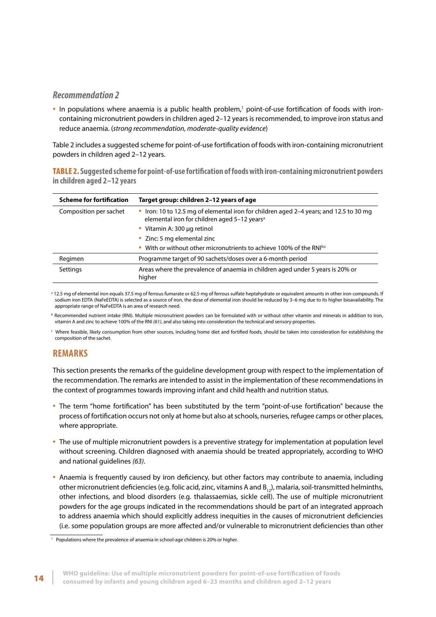## <span id="page-21-0"></span>*Recommendation 2*

. In populations where anaemia is a public health problem,<sup>1</sup> point-of-use fortification of foods with ironcontaining micronutrient powders in children aged 2–12 years is recommended, to improve iron status and reduce anaemia. (*strong recommendation, moderate-quality evidence*)

Table 2 includes a suggested scheme for point-of-use fortification of foods with iron-containing micronutrient powders in children aged 2–12 years.

TABLE 2. **Suggested scheme for point-of-use fortification of foods with iron-containing micronutrient powders in children aged 2–12 years**

| <b>Scheme for fortification</b> | Target group: children 2-12 years of age                                                                                                           |
|---------------------------------|----------------------------------------------------------------------------------------------------------------------------------------------------|
| Composition per sachet          | • Iron: 10 to 12.5 mg of elemental iron for children aged 2–4 years; and 12.5 to 30 mg<br>elemental iron for children aged 5-12 years <sup>a</sup> |
|                                 | • Vitamin A: 300 µg retinol                                                                                                                        |
|                                 | • Zinc: 5 mg elemental zinc                                                                                                                        |
|                                 | With or without other micronutrients to achieve 100% of the RNI <sup>b,c</sup>                                                                     |
| Regimen                         | Programme target of 90 sachets/doses over a 6-month period                                                                                         |
| Settings                        | Areas where the prevalence of anaemia in children aged under 5 years is 20% or<br>higher                                                           |

<sup>a</sup> 12.5 mg of elemental iron equals 37.5 mg of ferrous fumarate or 62.5 mg of ferrous sulfate heptahydrate or equivalent amounts in other iron compounds. If sodium iron EDTA (NaFeEDTA) is selected as a source of iron, the dose of elemental iron should be reduced by 3–6 mg due to its higher bioavailability. The appropriate range of NaFeEDTA is an area of research need.

**b** Recommended nutrient intake (RNI). Multiple micronutrient powders can be formulated with or without other vitamin and minerals in addition to iron, vitamin A and zinc to achieve 100% of the RNI *(61)*, and also taking into consideration the technical and sensory properties.

c Where feasible, likely consumption from other sources, including home diet and fortified foods, should be taken into consideration for establishing the composition of the sachet.

## **REMARKS**

This section presents the remarks of the guideline development group with respect to the implementation of the recommendation. The remarks are intended to assist in the implementation of these recommendations in the context of programmes towards improving infant and child health and nutrition status.

- The term "home fortification" has been substituted by the term "point-of-use fortification" because the process of fortification occurs not only at home but also at schools, nurseries, refugee camps or other places, where appropriate.
- The use of multiple micronutrient powders is a preventive strategy for implementation at population level without screening. Children diagnosed with anaemia should be treated appropriately, according to WHO and national guidelines *(63)*.
- Anaemia is frequently caused by iron deficiency, but other factors may contribute to anaemia, including other micronutrient deficiencies (e.g. folic acid, zinc, vitamins A and  $B_{12}$ ), malaria, soil-transmitted helminths, other infections, and blood disorders (e.g. thalassaemias, sickle cell). The use of multiple micronutrient powders for the age groups indicated in the recommendations should be part of an integrated approach to address anaemia which should explicitly address inequities in the causes of micronutrient deficiencies (i.e. some population groups are more affected and/or vulnerable to micronutrient deficiencies than other

<sup>&</sup>lt;sup>1</sup> Populations where the prevalence of anaemia in school-age children is 20% or higher.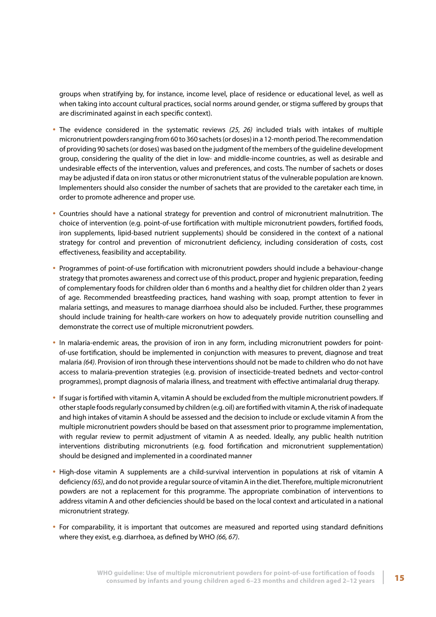groups when stratifying by, for instance, income level, place of residence or educational level, as well as when taking into account cultural practices, social norms around gender, or stigma suffered by groups that are discriminated against in each specific context).

- The evidence considered in the systematic reviews *(25, 26)* included trials with intakes of multiple micronutrient powders ranging from 60 to 360 sachets (or doses) in a 12-month period. The recommendation of providing 90 sachets (or doses) was based on the judgment of the members of the guideline development group, considering the quality of the diet in low- and middle-income countries, as well as desirable and undesirable effects of the intervention, values and preferences, and costs. The number of sachets or doses may be adjusted if data on iron status or other micronutrient status of the vulnerable population are known. Implementers should also consider the number of sachets that are provided to the caretaker each time, in order to promote adherence and proper use.
- Countries should have a national strategy for prevention and control of micronutrient malnutrition. The choice of intervention (e.g. point-of-use fortification with multiple micronutrient powders, fortified foods, iron supplements, lipid-based nutrient supplements) should be considered in the context of a national strategy for control and prevention of micronutrient deficiency, including consideration of costs, cost effectiveness, feasibility and acceptability.
- Programmes of point-of-use fortification with micronutrient powders should include a behaviour-change strategy that promotes awareness and correct use of this product, proper and hygienic preparation, feeding of complementary foods for children older than 6 months and a healthy diet for children older than 2 years of age. Recommended breastfeeding practices, hand washing with soap, prompt attention to fever in malaria settings, and measures to manage diarrhoea should also be included. Further, these programmes should include training for health-care workers on how to adequately provide nutrition counselling and demonstrate the correct use of multiple micronutrient powders.
- In malaria-endemic areas, the provision of iron in any form, including micronutrient powders for pointof-use fortification, should be implemented in conjunction with measures to prevent, diagnose and treat malaria *(64)*. Provision of iron through these interventions should not be made to children who do not have access to malaria-prevention strategies (e.g. provision of insecticide-treated bednets and vector-control programmes), prompt diagnosis of malaria illness, and treatment with effective antimalarial drug therapy.
- If sugar is fortified with vitamin A, vitamin A should be excluded from the multiple micronutrient powders. If other staple foods regularly consumed by children (e.g. oil) are fortified with vitamin A, the risk of inadequate and high intakes of vitamin A should be assessed and the decision to include or exclude vitamin A from the multiple micronutrient powders should be based on that assessment prior to programme implementation, with regular review to permit adjustment of vitamin A as needed. Ideally, any public health nutrition interventions distributing micronutrients (e.g. food fortification and micronutrient supplementation) should be designed and implemented in a coordinated manner
- High-dose vitamin A supplements are a child-survival intervention in populations at risk of vitamin A deficiency *(65)*, and do not provide a regular source of vitamin A in the diet. Therefore, multiple micronutrient powders are not a replacement for this programme. The appropriate combination of interventions to address vitamin A and other deficiencies should be based on the local context and articulated in a national micronutrient strategy.
- For comparability, it is important that outcomes are measured and reported using standard definitions where they exist, e.g. diarrhoea, as defined by WHO *(66, 67)*.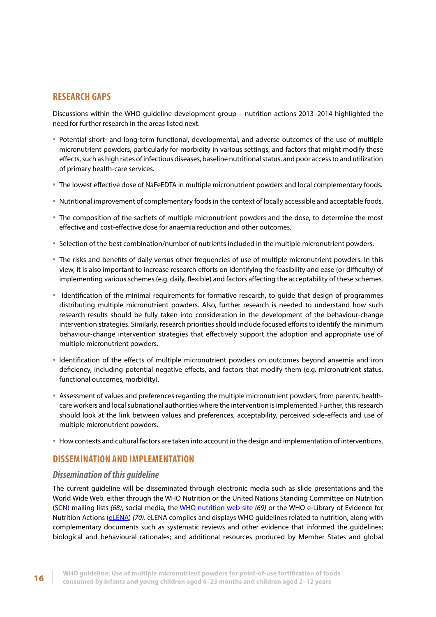## <span id="page-23-0"></span>**RESEARCH GAPS**

Discussions within the WHO guideline development group – nutrition actions 2013–2014 highlighted the need for further research in the areas listed next.

- Potential short- and long-term functional, developmental, and adverse outcomes of the use of multiple micronutrient powders, particularly for morbidity in various settings, and factors that might modify these effects, such as high rates of infectious diseases, baseline nutritional status, and poor access to and utilization of primary health-care services.
- The lowest effective dose of NaFeEDTA in multiple micronutrient powders and local complementary foods.
- Nutritional improvement of complementary foods in the context of locally accessible and acceptable foods.
- The composition of the sachets of multiple micronutrient powders and the dose, to determine the most effective and cost-effective dose for anaemia reduction and other outcomes.
- Selection of the best combination/number of nutrients included in the multiple micronutrient powders.
- The risks and benefits of daily versus other frequencies of use of multiple micronutrient powders. In this view, it is also important to increase research efforts on identifying the feasibility and ease (or difficulty) of implementing various schemes (e.g. daily, flexible) and factors affecting the acceptability of these schemes.
- Identification of the minimal requirements for formative research, to guide that design of programmes distributing multiple micronutrient powders. Also, further research is needed to understand how such research results should be fully taken into consideration in the development of the behaviour-change intervention strategies. Similarly, research priorities should include focused efforts to identify the minimum behaviour-change intervention strategies that effectively support the adoption and appropriate use of multiple micronutrient powders.
- Identification of the effects of multiple micronutrient powders on outcomes beyond anaemia and iron deficiency, including potential negative effects, and factors that modify them (e.g. micronutrient status, functional outcomes, morbidity).
- Assessment of values and preferences regarding the multiple micronutrient powders, from parents, healthcare workers and local subnational authorities where the intervention is implemented. Further, this research should look at the link between values and preferences, acceptability, perceived side-effects and use of multiple micronutrient powders.
- How contexts and cultural factors are taken into account in the design and implementation of interventions.

## **DISSEMINATION AND IMPLEMENTATION**

### *Dissemination of this guideline*

The current guideline will be disseminated through electronic media such as slide presentations and the World Wide Web, either through the WHO Nutrition or the United Nations Standing Committee on Nutrition ([SCN](http://www.unscn.org)) mailing lists *(68)*, social media, the [WHO nutrition web site](http://www.who.int/nutrition) *(69)* or the WHO e-Library of Evidence for Nutrition Actions ([eLENA\)](http://www.who.int/elena/en/) *(70)*. eLENA compiles and displays WHO guidelines related to nutrition, along with complementary documents such as systematic reviews and other evidence that informed the guidelines; biological and behavioural rationales; and additional resources produced by Member States and global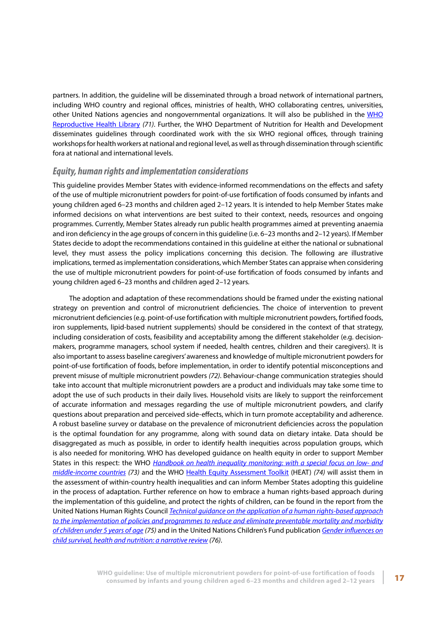<span id="page-24-0"></span>partners. In addition, the guideline will be disseminated through a broad network of international partners, including WHO country and regional offices, ministries of health, WHO collaborating centres, universities, other United Nations agencies and nongovernmental organizations. It will also be published in the [WHO](http://apps.who.int/rhl/en/index.html) [Reproductive Health Library](http://apps.who.int/rhl/en/index.html) *(71)*. Further, the WHO Department of Nutrition for Health and Development disseminates guidelines through coordinated work with the six WHO regional offices, through training workshops for health workers at national and regional level, as well as through dissemination through scientific fora at national and international levels.

## *Equity, human rights and implementation considerations*

This guideline provides Member States with evidence-informed recommendations on the effects and safety of the use of multiple micronutrient powders for point-of-use fortification of foods consumed by infants and young children aged 6–23 months and children aged 2–12 years. It is intended to help Member States make informed decisions on what interventions are best suited to their context, needs, resources and ongoing programmes. Currently, Member States already run public health programmes aimed at preventing anaemia and iron deficiency in the age groups of concern in this guideline (i.e. 6–23 months and 2–12 years). If Member States decide to adopt the recommendations contained in this guideline at either the national or subnational level, they must assess the policy implications concerning this decision. The following are illustrative implications, termed as implementation considerations, which Member States can appraise when considering the use of multiple micronutrient powders for point-of-use fortification of foods consumed by infants and young children aged 6–23 months and children aged 2–12 years.

The adoption and adaptation of these recommendations should be framed under the existing national strategy on prevention and control of micronutrient deficiencies. The choice of intervention to prevent micronutrient deficiencies (e.g. point-of-use fortification with multiple micronutrient powders, fortified foods, iron supplements, lipid-based nutrient supplements) should be considered in the context of that strategy, including consideration of costs, feasibility and acceptability among the different stakeholder (e.g. decisionmakers, programme managers, school system if needed, health centres, children and their caregivers). It is also important to assess baseline caregivers' awareness and knowledge of multiple micronutrient powders for point-of-use fortification of foods, before implementation, in order to identify potential misconceptions and prevent misuse of multiple micronutrient powders *(72)*. Behaviour-change communication strategies should take into account that multiple micronutrient powders are a product and individuals may take some time to adopt the use of such products in their daily lives. Household visits are likely to support the reinforcement of accurate information and messages regarding the use of multiple micronutrient powders, and clarify questions about preparation and perceived side-effects, which in turn promote acceptability and adherence. A robust baseline survey or database on the prevalence of micronutrient deficiencies across the population is the optimal foundation for any programme, along with sound data on dietary intake. Data should be disaggregated as much as possible, in order to identify health inequities across population groups, which is also needed for monitoring. WHO has developed guidance on health equity in order to support Member States in this respect: the WHO *[Handbook on health inequality monitoring: with a special focus on low- and](http://apps.who.int/iris/bitstream/10665/85345/1/9789241548632_eng.pdf?ua=1) [middle-income countries](http://apps.who.int/iris/bitstream/10665/85345/1/9789241548632_eng.pdf?ua=1) (73)* and the WHO [Health Equity Assessment Toolkit](http://www.who.int/gho/health_equity/assessment_toolkit/en/) (HEAT) *(74)* will assist them in the assessment of within-country health inequalities and can inform Member States adopting this guideline in the process of adaptation. Further reference on how to embrace a human rights-based approach during the implementation of this guideline, and protect the rights of children, can be found in the report from the United Nations Human Rights Council *[Technical guidance on the application of a human rights-based approach](http://www.ohchr.org/EN/Issues/Children/TechnicalGuidance/Pages/TechnicalGuidanceIndex.aspx) [to the implementation of policies and programmes to reduce and eliminate preventable mortality and morbidity](http://www.ohchr.org/EN/Issues/Children/TechnicalGuidance/Pages/TechnicalGuidanceIndex.aspx) [of children under 5 years of age](http://www.ohchr.org/EN/Issues/Children/TechnicalGuidance/Pages/TechnicalGuidanceIndex.aspx) (75)* and in the United Nations Children's Fund publication *[Gender influences on](https://www.unicef.org/gender/files/Gender_Influences_on_Child_Survival_a_Narrative_review.pdf) [child survival, health and nutrition: a narrative review](https://www.unicef.org/gender/files/Gender_Influences_on_Child_Survival_a_Narrative_review.pdf) (76)*.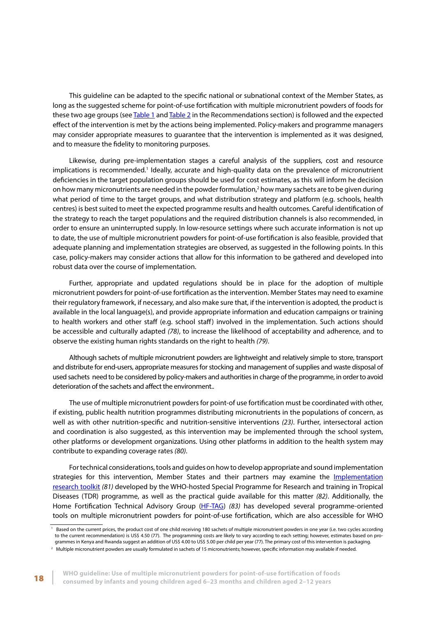This guideline can be adapted to the specific national or subnational context of the Member States, as long as the suggested scheme for point-of-use fortification with multiple micronutrient powders of foods for these two age groups (see [Table 1](#page-20-0) and [Table 2](#page-21-0) in the Recommendations section) is followed and the expected effect of the intervention is met by the actions being implemented. Policy-makers and programme managers may consider appropriate measures to guarantee that the intervention is implemented as it was designed, and to measure the fidelity to monitoring purposes.

Likewise, during pre-implementation stages a careful analysis of the suppliers, cost and resource implications is recommended.<sup>1</sup> Ideally, accurate and high-quality data on the prevalence of micronutrient deficiencies in the target population groups should be used for cost estimates, as this will inform he decision on how many micronutrients are needed in the powder formulation, $<sup>2</sup>$  how many sachets are to be given during</sup> what period of time to the target groups, and what distribution strategy and platform (e.g. schools, health centres) is best suited to meet the expected programme results and health outcomes. Careful identification of the strategy to reach the target populations and the required distribution channels is also recommended, in order to ensure an uninterrupted supply. In low-resource settings where such accurate information is not up to date, the use of multiple micronutrient powders for point-of-use fortification is also feasible, provided that adequate planning and implementation strategies are observed, as suggested in the following points. In this case, policy-makers may consider actions that allow for this information to be gathered and developed into robust data over the course of implementation.

Further, appropriate and updated regulations should be in place for the adoption of multiple micronutrient powders for point-of-use fortification as the intervention. Member States may need to examine their regulatory framework, if necessary, and also make sure that, if the intervention is adopted, the product is available in the local language(s), and provide appropriate information and education campaigns or training to health workers and other staff (e.g. school staff) involved in the implementation. Such actions should be accessible and culturally adapted *(78)*, to increase the likelihood of acceptability and adherence, and to observe the existing human rights standards on the right to health *(79)*.

Although sachets of multiple micronutrient powders are lightweight and relatively simple to store, transport and distribute for end-users, appropriate measures for stocking and management of supplies and waste disposal of used sachets need to be considered by policy-makers and authorities in charge of the programme, in order to avoid deterioration of the sachets and affect the environment..

The use of multiple micronutrient powders for point-of use fortification must be coordinated with other, if existing, public health nutrition programmes distributing micronutrients in the populations of concern, as well as with other nutrition-specific and nutrition-sensitive interventions *(23)*. Further, intersectoral action and coordination is also suggested, as this intervention may be implemented through the school system, other platforms or development organizations. Using other platforms in addition to the health system may contribute to expanding coverage rates *(80)*.

For technical considerations, tools and guides on how to develop appropriate and sound implementation strategies for this intervention, Member States and their partners may examine the [Implementation](http://www.who.int/tdr/publications/topics/ir-toolkit/en/) [research toolkit](http://www.who.int/tdr/publications/topics/ir-toolkit/en/) *(81)* developed by the WHO-hosted Special Programme for Research and training in Tropical Diseases (TDR) programme, as well as the practical guide available for this matter *(82)*. Additionally, the Home Fortification Technical Advisory Group ([HF-TAG](http://www.hftag.org/)) *(83)* has developed several programme-oriented tools on multiple micronutrient powders for point-of-use fortification, which are also accessible for WHO

Based on the current prices, the product cost of one child receiving 180 sachets of multiple micronutrient powders in one year (i.e. two cycles according to the current recommendation) is US\$ 4.50 (77). The programming costs are likely to vary according to each setting; however, estimates based on programmes in Kenya and Rwanda suggest an addition of US\$ 4.00 to US\$ 5.00 per child per year (77). The primary cost of this intervention is packaging.

<sup>&</sup>lt;sup>2</sup> Multiple micronutrient powders are usually formulated in sachets of 15 micronutrients; however, specific information may available if needed.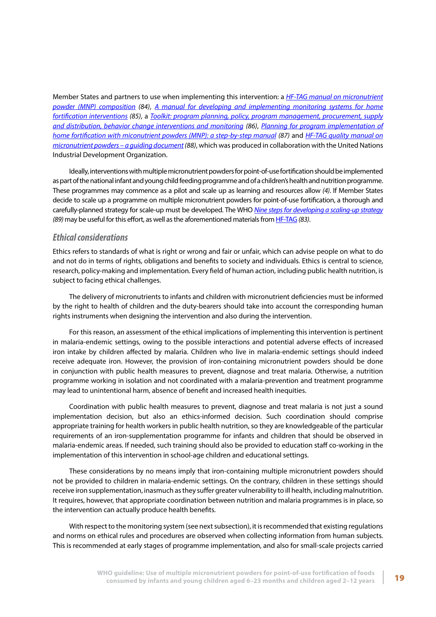<span id="page-26-0"></span>Member States and partners to use when implementing this intervention: a *[HF-TAG manual on micronutrient](ttps://www.dsm.com/content/dam/dsm/nip/en_US/documents/HF-TAG%20MNP%20Composition%20Manual.pdf) [powder \(MNP\) composition](ttps://www.dsm.com/content/dam/dsm/nip/en_US/documents/HF-TAG%20MNP%20Composition%20Manual.pdf) (84)*, *[A manual for developing and implementing monitoring systems for home](http://www.hftag.org/assets/downloads/hftag/HF-TAG%20Monitoring%20Manual%2014%20AUG%202013.pdf) [fortification interventions](http://www.hftag.org/assets/downloads/hftag/HF-TAG%20Monitoring%20Manual%2014%20AUG%202013.pdf) (85)*, a *[Toolkit: program planning, policy, program management, procurement, supply](http://www.hftag.org/downloads.asp?s=hftag) [and distribution, behavior change interventions and monitoring](http://www.hftag.org/downloads.asp?s=hftag) (86)*, *[Planning for program implementation of](http://www.hftag.org/assets/downloads/hftag/HF-TAG%20Planning%20for%20Implementation%20Manual%20May%202015.pdf) [home fortification with miconutrient powders \(MNP\): a step-by-step manual](http://www.hftag.org/assets/downloads/hftag/HF-TAG%20Planning%20for%20Implementation%20Manual%20May%202015.pdf) (87)* and *[HF-TAG quality manual on](http://www.hftag.org/assets/downloads/hftag/HF-TAG%20Quality%20Manual%20on%20Micronutrient%20Powders%20%97%20A%20Guiding%20Document.pdf) [micronutrient powders – a guiding document](http://www.hftag.org/assets/downloads/hftag/HF-TAG%20Quality%20Manual%20on%20Micronutrient%20Powders%20%97%20A%20Guiding%20Document.pdf) (88)*, which was produced in collaboration with the United Nations Industrial Development Organization.

Ideally, interventions with multiple micronutrient powders for point-of-use fortification should be implemented as part of the national infant and young child feeding programme and of a children's health and nutrition programme. These programmes may commence as a pilot and scale up as learning and resources allow *(4)*. If Member States decide to scale up a programme on multiple micronutrient powders for point-of-use fortification, a thorough and carefully-planned strategy for scale-up must be developed. The WHO *[Nine steps for developing a scaling-up strategy](http://apps.who.int/iris/bitstream/10665/44432/1/9789241500319_eng.pdf) (89)* may be useful for this effort, as well as the aforementioned materials from [HF-TAG](http://www.hftag.org/) *(83)*.

## *Ethical considerations*

Ethics refers to standards of what is right or wrong and fair or unfair, which can advise people on what to do and not do in terms of rights, obligations and benefits to society and individuals. Ethics is central to science, research, policy-making and implementation. Every field of human action, including public health nutrition, is subject to facing ethical challenges.

The delivery of micronutrients to infants and children with micronutrient deficiencies must be informed by the right to health of children and the duty-bearers should take into account the corresponding human rights instruments when designing the intervention and also during the intervention.

For this reason, an assessment of the ethical implications of implementing this intervention is pertinent in malaria-endemic settings, owing to the possible interactions and potential adverse effects of increased iron intake by children affected by malaria. Children who live in malaria-endemic settings should indeed receive adequate iron. However, the provision of iron-containing micronutrient powders should be done in conjunction with public health measures to prevent, diagnose and treat malaria. Otherwise, a nutrition programme working in isolation and not coordinated with a malaria-prevention and treatment programme may lead to unintentional harm, absence of benefit and increased health inequities.

Coordination with public health measures to prevent, diagnose and treat malaria is not just a sound implementation decision, but also an ethics-informed decision. Such coordination should comprise appropriate training for health workers in public health nutrition, so they are knowledgeable of the particular requirements of an iron-supplementation programme for infants and children that should be observed in malaria-endemic areas. If needed, such training should also be provided to education staff co-working in the implementation of this intervention in school-age children and educational settings.

These considerations by no means imply that iron-containing multiple micronutrient powders should not be provided to children in malaria-endemic settings. On the contrary, children in these settings should receive iron supplementation, inasmuch as they suffer greater vulnerability to ill health, including malnutrition. It requires, however, that appropriate coordination between nutrition and malaria programmes is in place, so the intervention can actually produce health benefits.

With respect to the monitoring system (see next subsection), it is recommended that existing regulations and norms on ethical rules and procedures are observed when collecting information from human subjects. This is recommended at early stages of programme implementation, and also for small-scale projects carried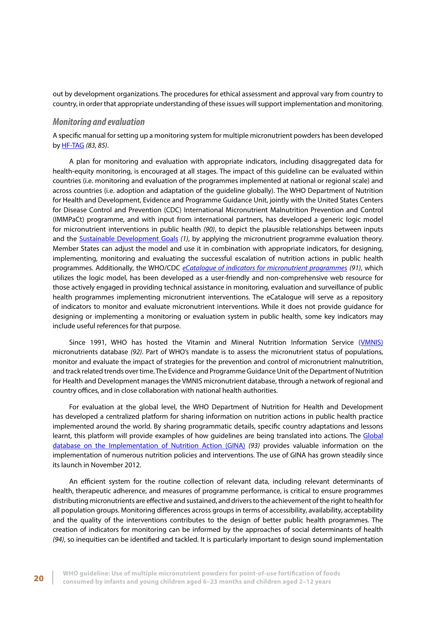<span id="page-27-0"></span>out by development organizations. The procedures for ethical assessment and approval vary from country to country, in order that appropriate understanding of these issues will support implementation and monitoring.

### *Monitoring and evaluation*

A specific manual for setting up a monitoring system for multiple micronutrient powders has been developed by [HF-TAG](http://www.hftag.org/) *(83, 85)*.

A plan for monitoring and evaluation with appropriate indicators, including disaggregated data for health-equity monitoring, is encouraged at all stages. The impact of this guideline can be evaluated within countries (i.e. monitoring and evaluation of the programmes implemented at national or regional scale) and across countries (i.e. adoption and adaptation of the guideline globally). The WHO Department of Nutrition for Health and Development, Evidence and Programme Guidance Unit, jointly with the United States Centers for Disease Control and Prevention (CDC) International Micronutrient Malnutrition Prevention and Control (IMMPaCt) programme, and with input from international partners, has developed a generic logic model for micronutrient interventions in public health *(90)*, to depict the plausible relationships between inputs and the [Sustainable Development Goals](https://sustainabledevelopment.un.org/?menu=1300) *(1)*, by applying the micronutrient programme evaluation theory. Member States can adjust the model and use it in combination with appropriate indicators, for designing, implementing, monitoring and evaluating the successful escalation of nutrition actions in public health programmes. Additionally, the WHO/CDC *[eCatalogue of indicators for micronutrient programmes](https://extranet.who.int/indcat/) (91)*, which utilizes the logic model, has been developed as a user-friendly and non-comprehensive web resource for those actively engaged in providing technical assistance in monitoring, evaluation and surveillance of public health programmes implementing micronutrient interventions. The eCatalogue will serve as a repository of indicators to monitor and evaluate micronutrient interventions. While it does not provide guidance for designing or implementing a monitoring or evaluation system in public health, some key indicators may include useful references for that purpose.

Since 1991, WHO has hosted the Vitamin and Mineral Nutrition Information Service ([VMNIS](http://www.who.int/vmnis/en/)) micronutrients database *(92)*. Part of WHO's mandate is to assess the micronutrient status of populations, monitor and evaluate the impact of strategies for the prevention and control of micronutrient malnutrition, and track related trends over time. The Evidence and Programme Guidance Unit of the Department of Nutrition for Health and Development manages the VMNIS micronutrient database, through a network of regional and country offices, and in close collaboration with national health authorities.

For evaluation at the global level, the WHO Department of Nutrition for Health and Development has developed a centralized platform for sharing information on nutrition actions in public health practice implemented around the world. By sharing programmatic details, specific country adaptations and lessons learnt, this platform will provide examples of how guidelines are being translated into actions. The [Global](https://extranet.who.int/nutrition/gina/) [database on the Implementation of Nutrition Action \(GINA\)](https://extranet.who.int/nutrition/gina/) *(93)* provides valuable information on the implementation of numerous nutrition policies and interventions. The use of GINA has grown steadily since its launch in November 2012.

An efficient system for the routine collection of relevant data, including relevant determinants of health, therapeutic adherence, and measures of programme performance, is critical to ensure programmes distributing micronutrients are effective and sustained, and drivers to the achievement of the right to health for all population groups. Monitoring differences across groups in terms of accessibility, availability, acceptability and the quality of the interventions contributes to the design of better public health programmes. The creation of indicators for monitoring can be informed by the approaches of social determinants of health *(94)*, so inequities can be identified and tackled. It is particularly important to design sound implementation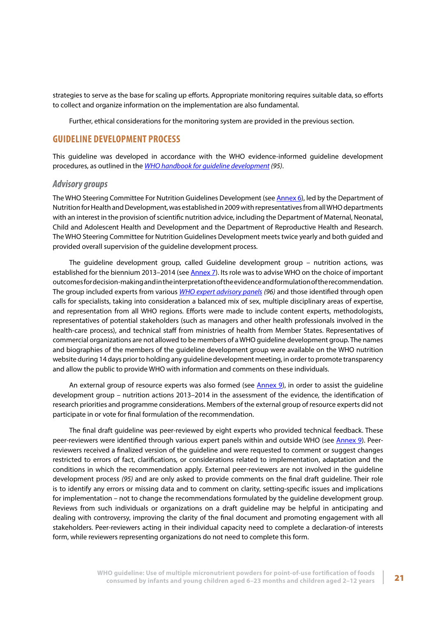<span id="page-28-0"></span>strategies to serve as the base for scaling up efforts. Appropriate monitoring requires suitable data, so efforts to collect and organize information on the implementation are also fundamental.

Further, ethical considerations for the monitoring system are provided in the previous section.

## **GUIDELINE DEVELOPMENT PROCESS**

This guideline was developed in accordance with the WHO evidence-informed guideline development procedures, as outlined in the *[WHO handbook for guideline development](http://www.who.int/kms/handbook_2nd_ed.pdf) (95)*.

#### *Advisory groups*

The WHO Steering Committee For Nutrition Guidelines Development (see [Annex 6\)](#page-51-0), led by the Department of Nutrition for Health and Development, was established in 2009 with representatives from all WHO departments with an interest in the provision of scientific nutrition advice, including the Department of Maternal, Neonatal, Child and Adolescent Health and Development and the Department of Reproductive Health and Research. The WHO Steering Committee for Nutrition Guidelines Development meets twice yearly and both guided and provided overall supervision of the guideline development process.

The guideline development group, called Guideline development group – nutrition actions, was established for the biennium 2013–2014 (see [Annex 7](#page-53-0)). Its role was to advise WHO on the choice of important outcomes for decision-making and in the interpretation of the evidence and formulation of the recommendation. The group included experts from various *[WHO expert advisory panels](http://www.who.int/rpc/expert_panels/Factsheet_EAP2010.pdf) (96)* and those identified through open calls for specialists, taking into consideration a balanced mix of sex, multiple disciplinary areas of expertise, and representation from all WHO regions. Efforts were made to include content experts, methodologists, representatives of potential stakeholders (such as managers and other health professionals involved in the health-care process), and technical staff from ministries of health from Member States. Representatives of commercial organizations are not allowed to be members of a WHO guideline development group. The names and biographies of the members of the guideline development group were available on the WHO nutrition website during 14 days prior to holding any guideline development meeting, in order to promote transparency and allow the public to provide WHO with information and comments on these individuals.

An external group of resource experts was also formed (see [Annex 9\),](#page-56-0) in order to assist the guideline development group – nutrition actions 2013–2014 in the assessment of the evidence, the identification of research priorities and programme considerations. Members of the external group of resource experts did not participate in or vote for final formulation of the recommendation.

The final draft guideline was peer-reviewed by eight experts who provided technical feedback. These peer-reviewers were identified through various expert panels within and outside WHO (see [Annex 9\).](#page-56-0) Peerreviewers received a finalized version of the guideline and were requested to comment or suggest changes restricted to errors of fact, clarifications, or considerations related to implementation, adaptation and the conditions in which the recommendation apply. External peer-reviewers are not involved in the guideline development process *(95)* and are only asked to provide comments on the final draft guideline. Their role is to identify any errors or missing data and to comment on clarity, setting-specific issues and implications for implementation – not to change the recommendations formulated by the guideline development group. Reviews from such individuals or organizations on a draft guideline may be helpful in anticipating and dealing with controversy, improving the clarity of the final document and promoting engagement with all stakeholders. Peer-reviewers acting in their individual capacity need to complete a declaration-of interests form, while reviewers representing organizations do not need to complete this form.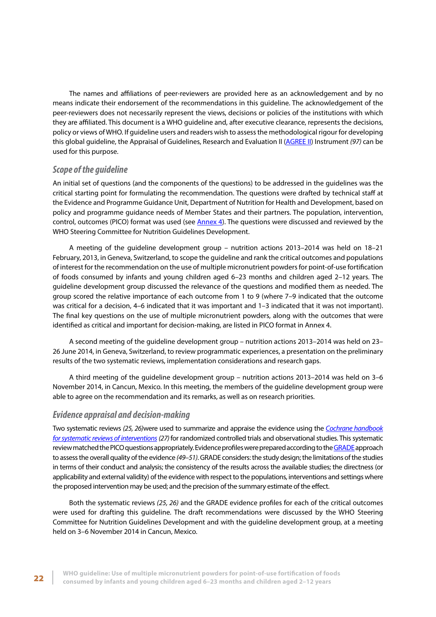<span id="page-29-0"></span>The names and affiliations of peer-reviewers are provided here as an acknowledgement and by no means indicate their endorsement of the recommendations in this guideline. The acknowledgement of the peer-reviewers does not necessarily represent the views, decisions or policies of the institutions with which they are affiliated. This document is a WHO guideline and, after executive clearance, represents the decisions, policy or views of WHO. If guideline users and readers wish to assess the methodological rigour for developing this global guideline, the Appraisal of Guidelines, Research and Evaluation II [\(AGREE II\)](http://www.nccmt.ca/registry/view/eng/100.html) Instrument *(97)* can be used for this purpose.

## *Scope of the guideline*

An initial set of questions (and the components of the questions) to be addressed in the guidelines was the critical starting point for formulating the recommendation. The questions were drafted by technical staff at the Evidence and Programme Guidance Unit, Department of Nutrition for Health and Development, based on policy and programme guidance needs of Member States and their partners. The population, intervention, control, outcomes (PICO) format was used (see [Annex 4\)](#page-49-0). The questions were discussed and reviewed by the WHO Steering Committee for Nutrition Guidelines Development.

A meeting of the guideline development group – nutrition actions 2013–2014 was held on 18–21 February, 2013, in Geneva, Switzerland, to scope the guideline and rank the critical outcomes and populations of interest for the recommendation on the use of multiple micronutrient powders for point-of-use fortification of foods consumed by infants and young children aged 6–23 months and children aged 2–12 years. The guideline development group discussed the relevance of the questions and modified them as needed. The group scored the relative importance of each outcome from 1 to 9 (where 7–9 indicated that the outcome was critical for a decision, 4–6 indicated that it was important and 1–3 indicated that it was not important). The final key questions on the use of multiple micronutrient powders, along with the outcomes that were identified as critical and important for decision-making, are listed in PICO format in Annex 4.

A second meeting of the guideline development group – nutrition actions 2013–2014 was held on 23– 26 June 2014, in Geneva, Switzerland, to review programmatic experiences, a presentation on the preliminary results of the two systematic reviews, implementation considerations and research gaps.

A third meeting of the guideline development group – nutrition actions 2013–2014 was held on 3–6 November 2014, in Cancun, Mexico. In this meeting, the members of the guideline development group were able to agree on the recommendation and its remarks, as well as on research priorities.

## *Evidence appraisal and decision-making*

Two systematic reviews *(25, 26)*were used to summarize and appraise the evidence using the *[Cochrane handbook](http://handbook.cochrane.org/) [for systematic reviews of interventions](http://handbook.cochrane.org/)(27)* for randomized controlled trials and observational studies. This systematic review matched the PICO questions appropriately. Evidence profiles were prepared according to the [GRADE](http://www.gradeworkinggroup.org/) approach to assess the overall quality of the evidence *(49–51)*. GRADE considers: the study design; the limitations of the studies in terms of their conduct and analysis; the consistency of the results across the available studies; the directness (or applicability and external validity) of the evidence with respect to the populations, interventions and settings where the proposed intervention may be used; and the precision of the summary estimate of the effect.

Both the systematic reviews *(25, 26)* and the GRADE evidence profiles for each of the critical outcomes were used for drafting this guideline. The draft recommendations were discussed by the WHO Steering Committee for Nutrition Guidelines Development and with the guideline development group, at a meeting held on 3–6 November 2014 in Cancun, Mexico.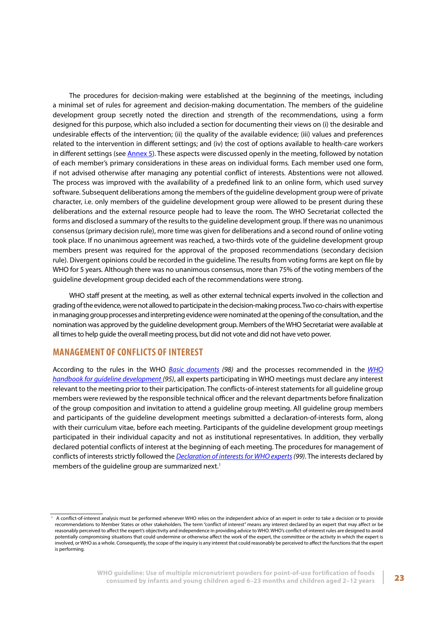<span id="page-30-0"></span>The procedures for decision-making were established at the beginning of the meetings, including a minimal set of rules for agreement and decision-making documentation. The members of the guideline development group secretly noted the direction and strength of the recommendations, using a form designed for this purpose, which also included a section for documenting their views on (i) the desirable and undesirable effects of the intervention; (ii) the quality of the available evidence; (iii) values and preferences related to the intervention in different settings; and (iv) the cost of options available to health-care workers in different settings (see [Annex 5\).](#page-50-0) These aspects were discussed openly in the meeting, followed by notation of each member's primary considerations in these areas on individual forms. Each member used one form, if not advised otherwise after managing any potential conflict of interests. Abstentions were not allowed. The process was improved with the availability of a predefined link to an online form, which used survey software. Subsequent deliberations among the members of the guideline development group were of private character, i.e. only members of the guideline development group were allowed to be present during these deliberations and the external resource people had to leave the room. The WHO Secretariat collected the forms and disclosed a summary of the results to the guideline development group. If there was no unanimous consensus (primary decision rule), more time was given for deliberations and a second round of online voting took place. If no unanimous agreement was reached, a two-thirds vote of the guideline development group members present was required for the approval of the proposed recommendations (secondary decision rule). Divergent opinions could be recorded in the guideline. The results from voting forms are kept on file by WHO for 5 years. Although there was no unanimous consensus, more than 75% of the voting members of the guideline development group decided each of the recommendations were strong.

WHO staff present at the meeting, as well as other external technical experts involved in the collection and grading of the evidence, were not allowed to participate in the decision-making process. Two co-chairs with expertise in managing group processes and interpreting evidence were nominated at the opening of the consultation, and the nomination was approved by the guideline development group. Members of the WHO Secretariat were available at all times to help guide the overall meeting process, but did not vote and did not have veto power.

## **MANAGEMENT OF CONFLICTS OF INTEREST**

According to the rules in the WHO *[Basic documents](http://apps.who.int/gb/bd/) (98)* and the processes recommended in the *[WHO](http://www.who.int/kms/handbook_2nd_ed.pdf) [handbook for guideline development](http://www.who.int/kms/handbook_2nd_ed.pdf) (95)*, all experts participating in WHO meetings must declare any interest relevant to the meeting prior to their participation. The conflicts-of-interest statements for all guideline group members were reviewed by the responsible technical officer and the relevant departments before finalization of the group composition and invitation to attend a guideline group meeting. All guideline group members and participants of the guideline development meetings submitted a declaration-of-interests form, along with their curriculum vitae, before each meeting. Participants of the guideline development group meetings participated in their individual capacity and not as institutional representatives. In addition, they verbally declared potential conflicts of interest at the beginning of each meeting. The procedures for management of conflicts of interests strictly followed the *[Declaration of interests](http://www.who.int/occupational_health/declaration_of_interest.pdf) for WHO experts (99)*. The interests declared by members of the guideline group are summarized next.<sup>1</sup>

<sup>&</sup>lt;sup>1</sup> A conflict-of-interest analysis must be performed whenever WHO relies on the independent advice of an expert in order to take a decision or to provide recommendations to Member States or other stakeholders. The term "conflict of interest" means any interest declared by an expert that may affect or be reasonably perceived to affect the expert's objectivity and independence in providing advice to WHO. WHO's conflict-of-interest rules are designed to avoid potentially compromising situations that could undermine or otherwise affect the work of the expert, the committee or the activity in which the expert is involved, or WHO as a whole. Consequently, the scope of the inquiry is any interest that could reasonably be perceived to affect the functions that the expert is performing.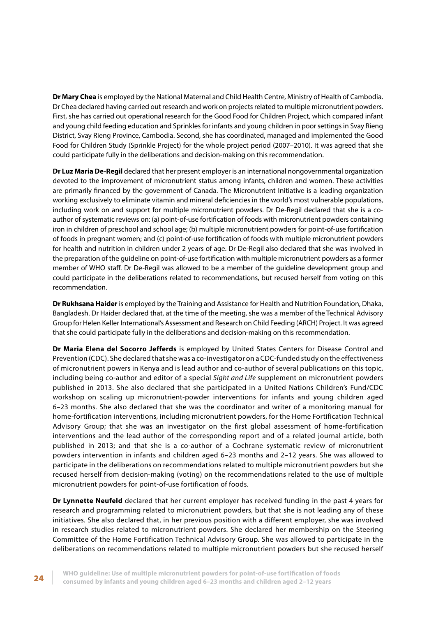**Dr Mary Chea** is employed by the National Maternal and Child Health Centre, Ministry of Health of Cambodia. Dr Chea declared having carried out research and work on projects related to multiple micronutrient powders. First, she has carried out operational research for the Good Food for Children Project, which compared infant and young child feeding education and Sprinkles for infants and young children in poor settings in Svay Rieng District, Svay Rieng Province, Cambodia. Second, she has coordinated, managed and implemented the Good Food for Children Study (Sprinkle Project) for the whole project period (2007–2010). It was agreed that she could participate fully in the deliberations and decision-making on this recommendation.

**Dr Luz Maria De-Regil** declared that her present employer is an international nongovernmental organization devoted to the improvement of micronutrient status among infants, children and women. These activities are primarily financed by the government of Canada. The Micronutrient Initiative is a leading organization working exclusively to eliminate vitamin and mineral deficiencies in the world's most vulnerable populations, including work on and support for multiple micronutrient powders. Dr De-Regil declared that she is a coauthor of systematic reviews on: (a) point-of-use fortification of foods with micronutrient powders containing iron in children of preschool and school age; (b) multiple micronutrient powders for point-of-use fortification of foods in pregnant women; and (c) point-of-use fortification of foods with multiple micronutrient powders for health and nutrition in children under 2 years of age. Dr De-Regil also declared that she was involved in the preparation of the guideline on point-of-use fortification with multiple micronutrient powders as a former member of WHO staff. Dr De-Regil was allowed to be a member of the guideline development group and could participate in the deliberations related to recommendations, but recused herself from voting on this recommendation.

**Dr Rukhsana Haider** is employed by the Training and Assistance for Health and Nutrition Foundation, Dhaka, Bangladesh. Dr Haider declared that, at the time of the meeting, she was a member of the Technical Advisory Group for Helen Keller International's Assessment and Research on Child Feeding (ARCH) Project. It was agreed that she could participate fully in the deliberations and decision-making on this recommendation.

**Dr Maria Elena del Socorro Jefferds** is employed by United States Centers for Disease Control and Prevention (CDC). She declared that she was a co-investigator on a CDC-funded study on the effectiveness of micronutrient powers in Kenya and is lead author and co-author of several publications on this topic, including being co-author and editor of a special *Sight and Life* supplement on micronutrient powders published in 2013. She also declared that she participated in a United Nations Children's Fund/CDC workshop on scaling up micronutrient-powder interventions for infants and young children aged 6–23 months. She also declared that she was the coordinator and writer of a monitoring manual for home-fortification interventions, including micronutrient powders, for the Home Fortification Technical Advisory Group; that she was an investigator on the first global assessment of home-fortification interventions and the lead author of the corresponding report and of a related journal article, both published in 2013; and that she is a co-author of a Cochrane systematic review of micronutrient powders intervention in infants and children aged 6–23 months and 2–12 years. She was allowed to participate in the deliberations on recommendations related to multiple micronutrient powders but she recused herself from decision-making (voting) on the recommendations related to the use of multiple micronutrient powders for point-of-use fortification of foods.

**Dr Lynnette Neufeld** declared that her current employer has received funding in the past 4 years for research and programming related to micronutrient powders, but that she is not leading any of these initiatives. She also declared that, in her previous position with a different employer, she was involved in research studies related to micronutrient powders. She declared her membership on the Steering Committee of the Home Fortification Technical Advisory Group. She was allowed to participate in the deliberations on recommendations related to multiple micronutrient powders but she recused herself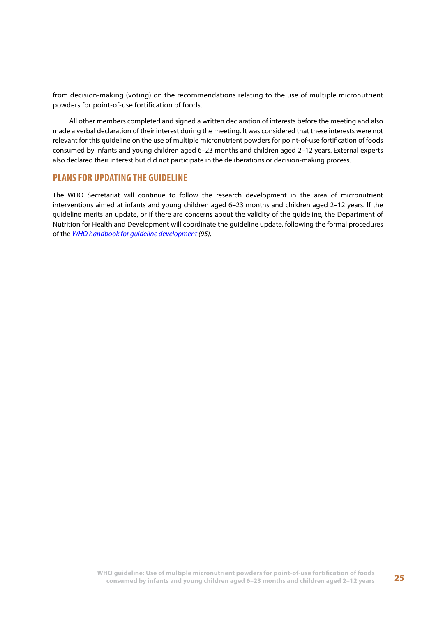<span id="page-32-0"></span>from decision-making (voting) on the recommendations relating to the use of multiple micronutrient powders for point-of-use fortification of foods.

All other members completed and signed a written declaration of interests before the meeting and also made a verbal declaration of their interest during the meeting. It was considered that these interests were not relevant for this guideline on the use of multiple micronutrient powders for point-of-use fortification of foods consumed by infants and young children aged 6–23 months and children aged 2–12 years. External experts also declared their interest but did not participate in the deliberations or decision-making process.

## **PLANS FOR UPDATING THE GUIDELINE**

The WHO Secretariat will continue to follow the research development in the area of micronutrient interventions aimed at infants and young children aged 6–23 months and children aged 2–12 years. If the guideline merits an update, or if there are concerns about the validity of the guideline, the Department of Nutrition for Health and Development will coordinate the guideline update, following the formal procedures of the *[WHO handbook for guideline development](http://www.who.int/kms/handbook_2nd_ed.pdf) (95)*.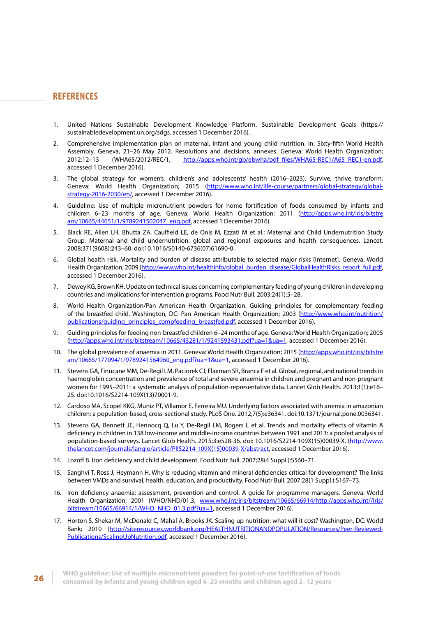## <span id="page-33-0"></span>**REFERENCES**

- 1. United Nations Sustainable Development Knowledge Platform. Sustainable Development Goals (https:// sustainabledevelopment.un.org/sdgs, accessed 1 December 2016).
- 2. Comprehensive implementation plan on maternal, infant and young child nutrition. In: Sixty-fifth World Health Assembly, Geneva, 21–26 May 2012. Resolutions and decisions, annexes. Geneva: World Health Organization;<br>2012:12–13 (WHA65/2012/REC/1: http://apps.who.int/gb/ebwha/pdf files/WHA65-REC1/A65 REC1-en.pdf. 2012:12–13 (WHA65/2012/REC/1; [http://apps.who.int/gb/ebwha/pdf\\_files/WHA65-REC1/A65\\_REC1-en.pdf](http://apps.who.int/gb/ebwha/pdf_files/WHA65-REC1/A65_REC1-en.pdf), accessed 1 December 2016).
- 3. The global strategy for women's, children's and adolescents' health (2016–2023). Survive, thrive transform. Geneva: World Health Organization; 2015 ([http://www.who.int/life-course/partners/global-strategy/global](http://www.who.int/life-course/partners/global-strategy/global-strategy-2016-2030/en/)[strategy-2016-2030/en/,](http://www.who.int/life-course/partners/global-strategy/global-strategy-2016-2030/en/) accessed 1 December 2016).
- 4. Guideline: Use of multiple micronutrient powders for home fortification of foods consumed by infants and children 6-23 months of age. Geneva: World Health Organization; 2011 [\(http://apps.who.int/iris/bitstre](http://apps.who.int/iris/bitstream/10665/44651/1/9789241502047_eng.pdf) [am/10665/44651/1/9789241502047\\_eng.pdf](http://apps.who.int/iris/bitstream/10665/44651/1/9789241502047_eng.pdf), accessed 1 December 2016).
- 5. Black RE, Allen LH, Bhutta ZA, Caulfield LE, de Onis M, Ezzati M et al.; Maternal and Child Undernutrition Study Group. Maternal and child undernutrition: global and regional exposures and health consequences. Lancet. 2008;371(9608):243–60. doi:10.1016/S0140-6736(07)61690-0.
- 6. Global health risk. Mortality and burden of disease attributable to selected major risks [Internet]. Geneva: World Health Organization; 2009 [\(http://www.who.int/healthinfo/global\\_burden\\_disease/GlobalHealthRisks\\_report\\_full.pdf](http://www.who.int/healthinfo/global_burden_disease/GlobalHealthRisks_report_full.pdf), accessed 1 December 2016).
- 7. Dewey KG, Brown KH. Update on technical issues concerning complementary feeding of young children in developing countries and implications for intervention programs. Food Nutr Bull. 2003;24(1):5–28.
- 8. World Health Organization/Pan American Health Organization. Guiding principles for complementary feeding of the breastfed child. Washington, DC: Pan American Health Organization; 2003 [\(http://www.who.int/nutrition/](http://www.who.int/nutrition/publications/guiding_principles_compfeeding_breastfed.pdf) [publications/guiding\\_principles\\_compfeeding\\_breastfed.pdf,](http://www.who.int/nutrition/publications/guiding_principles_compfeeding_breastfed.pdf) accessed 1 December 2016).
- 9. Guiding principles for feeding non-breastfed children 6–24 months of age. Geneva: World Health Organization; 2005 (<http://apps.who.int/iris/bitstream/10665/43281/1/9241593431.pdf?ua=1&ua=1>, accessed 1 December 2016).
- 10. The global prevalence of anaemia in 2011. Geneva: World Health Organization; 2015 [\(http://apps.who.int/iris/bitstre](http://apps.who.int/iris/bitstream/10665/177094/1/9789241564960_eng.pdf?ua=1&ua=1) [am/10665/177094/1/9789241564960\\_eng.pdf?ua=1&ua=1,](http://apps.who.int/iris/bitstream/10665/177094/1/9789241564960_eng.pdf?ua=1&ua=1) accessed 1 December 2016).
- 11. Stevens GA, Finucane MM, De-Regil LM, Paciorek CJ, Flaxman SR, Branca F et al. Global, regional, and national trends in haemoglobin concentration and prevalence of total and severe anaemia in children and pregnant and non-pregnant women for 1995–2011: a systematic analysis of population-representative data. Lancet Glob Health. 2013;1(1):e16– 25. doi:10.1016/S2214-109X(13)70001-9.
- 12. Cardoso MA, Scopel KKG, Muniz PT, Villamor E, Ferreira MU. Underlying factors associated with anemia in amazonian children: a population-based, cross-sectional study. PLoS One. 2012;7(5):e36341. doi:10.1371/journal.pone.0036341.
- 13. Stevens GA, Bennett JE, Hennocq Q, Lu Y, De-Regil LM, Rogers L et al. Trends and mortality effects of vitamin A deficiency in children in 138 low-income and middle-income countries between 1991 and 2013: a pooled analysis of population-based surveys. Lancet Glob Health. 2015;3:e528-36. doi: 10.1016/S2214-109X(15)00039-X. ([http://www.](http://www.thelancet.com/journals/langlo/article/PIIS2214-109X(15)00039-X/abstract) [thelancet.com/journals/langlo/article/PIIS2214-109X\(15\)00039-X/abstract](http://www.thelancet.com/journals/langlo/article/PIIS2214-109X(15)00039-X/abstract), accessed 1 December 2016).
- 14. Lozoff B. Iron deficiency and child development. Food Nutr Bull. 2007;28(4 Suppl.):S560–71.
- 15. Sanghvi T, Ross J, Heymann H. Why is reducing vitamin and mineral deficiencies critical for development? The links between VMDs and survival, health, education, and productivity. Food Nutr Bull. 2007;28(1 Suppl.):S167–73.
- 16. Iron deficiency anaemia: assessment, prevention and control. A guide for programme managers. Geneva: World Health Organization; 2001 (WHO/NHD/01.3; [www.who.int/iris/bitstream/10665/66914/http://apps.who.int//iris/](http://www.who.int/iris/bitstream/10665/66914/http://apps.who.int//iris/bitstream/10665/66914/1/WHO_NHD_01.) [bitstream/10665/66914/1/WHO\\_NHD\\_01.3.pdf?ua=1,](http://www.who.int/iris/bitstream/10665/66914/http://apps.who.int//iris/bitstream/10665/66914/1/WHO_NHD_01.) accessed 1 December 2016).
- 17. Horton S, Shekar M, McDonald C, Mahal A, Brooks JK. Scaling up nutrition: what will it cost? Washington, DC: World Bank; 2010 ([http://siteresources.worldbank.org/HEALTHNUTRITIONANDPOPULATION/Resources/Peer-Reviewed-](http://siteresources.worldbank.org/HEALTHNUTRITIONANDPOPULATION/Resources/Peer-Reviewed-Publications)[Publications/ScalingUpNutrition.pdf](http://siteresources.worldbank.org/HEALTHNUTRITIONANDPOPULATION/Resources/Peer-Reviewed-Publications), accessed 1 December 2016).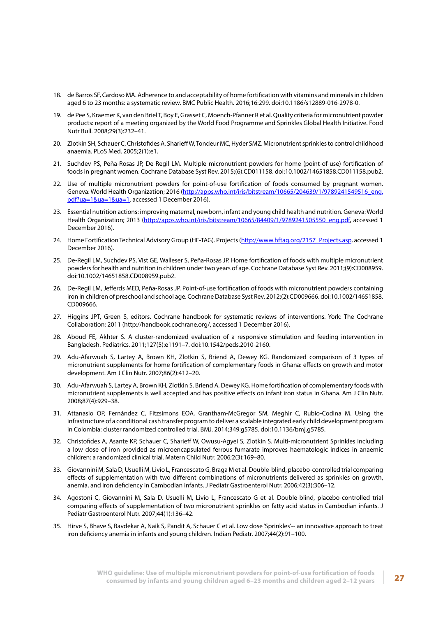- 18. de Barros SF, Cardoso MA. Adherence to and acceptability of home fortification with vitamins and minerals in children aged 6 to 23 months: a systematic review. BMC Public Health. 2016;16:299. doi:10.1186/s12889-016-2978-0.
- 19. de Pee S, Kraemer K, van den Briel T, Boy E, Grasset C, Moench-Pfanner R et al. Quality criteria for micronutrient powder products: report of a meeting organized by the World Food Programme and Sprinkles Global Health Initiative. Food Nutr Bull. 2008;29(3):232–41.
- 20. Zlotkin SH, Schauer C, Christofides A, Sharieff W, Tondeur MC, Hyder SMZ. Micronutrient sprinkles to control childhood anaemia. PLoS Med. 2005;2(1):e1.
- 21. Suchdev PS, Peña-Rosas JP, De-Regil LM. Multiple micronutrient powders for home (point-of-use) fortification of foods in pregnant women. Cochrane Database Syst Rev. 2015;(6):CD011158. doi:10.1002/14651858.CD011158.pub2.
- 22. Use of multiple micronutrient powders for point-of-use fortification of foods consumed by pregnant women. Geneva: World Health Organization; 2016 ([http://apps.who.int/iris/bitstream/10665/204639/1/9789241549516\\_eng.](http://apps.who.int/iris/bitstream/10665/204639/1/9789241549516_eng.pdf?ua=1&ua=1&ua=1) [pdf?ua=1&ua=1&ua=1](http://apps.who.int/iris/bitstream/10665/204639/1/9789241549516_eng.pdf?ua=1&ua=1&ua=1), accessed 1 December 2016).
- 23. Essential nutrition actions: improving maternal, newborn, infant and young child health and nutrition. Geneva: World Health Organization; 2013 [\(http://apps.who.int/iris/bitstream/10665/84409/1/9789241505550\\_eng.pdf,](http://apps.who.int/iris/bitstream/10665/84409/1/9789241505550_eng.pdf) accessed 1 December 2016).
- 24. Home Fortification Technical Advisory Group (HF-TAG). Projects [\(http://www.hftag.org/2157\\_Projects.asp](http://www.hftag.org/2157_Projects.asp), accessed 1 December 2016).
- 25. De-Regil LM, Suchdev PS, Vist GE, Walleser S, Peña-Rosas JP. Home fortification of foods with multiple micronutrient powders for health and nutrition in children under two years of age. Cochrane Database Syst Rev. 2011;(9):CD008959. doi:10.1002/14651858.CD008959.pub2.
- 26. De-Regil LM, Jefferds MED, Peña-Rosas JP. Point-of-use fortification of foods with micronutrient powders containing iron in children of preschool and school age. Cochrane Database Syst Rev. 2012;(2):CD009666. doi:10.1002/14651858. CD009666.
- 27. Higgins JPT, Green S, editors. Cochrane handbook for systematic reviews of interventions. York: The Cochrane Collaboration; 2011 (http://handbook.cochrane.org/, accessed 1 December 2016).
- 28. Aboud FE, Akhter S. A cluster-randomized evaluation of a responsive stimulation and feeding intervention in Bangladesh. Pediatrics. 2011;127(5):e1191–7. doi:10.1542/peds.2010-2160.
- 29. Adu-Afarwuah S, Lartey A, Brown KH, Zlotkin S, Briend A, Dewey KG. Randomized comparison of 3 types of micronutrient supplements for home fortification of complementary foods in Ghana: effects on growth and motor development. Am J Clin Nutr. 2007;86(2):412–20.
- 30. Adu-Afarwuah S, Lartey A, Brown KH, Zlotkin S, Briend A, Dewey KG. Home fortification of complementary foods with micronutrient supplements is well accepted and has positive effects on infant iron status in Ghana. Am J Clin Nutr. 2008;87(4):929–38.
- 31. Attanasio OP, Fernández C, Fitzsimons EOA, Grantham-McGregor SM, Meghir C, Rubio-Codina M. Using the infrastructure of a conditional cash transfer program to deliver a scalable integrated early child development program in Colombia: cluster randomized controlled trial. BMJ. 2014;349:g5785. doi:10.1136/bmj.g5785.
- 32. Christofides A, Asante KP, Schauer C, Sharieff W, Owusu-Agyei S, Zlotkin S. Multi-micronutrient Sprinkles including a low dose of iron provided as microencapsulated ferrous fumarate improves haematologic indices in anaemic children: a randomized clinical trial. Matern Child Nutr. 2006;2(3):169–80.
- 33. Giovannini M, Sala D, Usuelli M, Livio L, Francescato G, Braga M et al. Double-blind, placebo-controlled trial comparing effects of supplementation with two different combinations of micronutrients delivered as sprinkles on growth, anemia, and iron deficiency in Cambodian infants. J Pediatr Gastroenterol Nutr. 2006;42(3):306–12.
- 34. Agostoni C, Giovannini M, Sala D, Usuelli M, Livio L, Francescato G et al. Double-blind, placebo-controlled trial comparing effects of supplementation of two micronutrient sprinkles on fatty acid status in Cambodian infants. J Pediatr Gastroenterol Nutr. 2007;44(1):136–42.
- 35. Hirve S, Bhave S, Bavdekar A, Naik S, Pandit A, Schauer C et al. Low dose 'Sprinkles'-- an innovative approach to treat iron deficiency anemia in infants and young children. Indian Pediatr. 2007;44(2):91–100.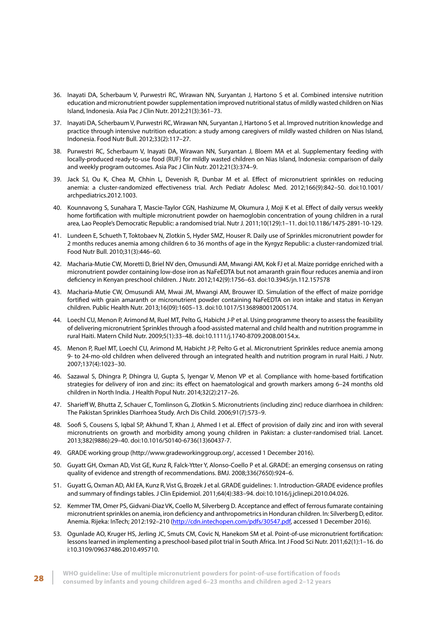- 36. Inayati DA, Scherbaum V, Purwestri RC, Wirawan NN, Suryantan J, Hartono S et al. Combined intensive nutrition education and micronutrient powder supplementation improved nutritional status of mildly wasted children on Nias Island, Indonesia. Asia Pac J Clin Nutr. 2012;21(3):361–73.
- 37. Inayati DA, Scherbaum V, Purwestri RC, Wirawan NN, Suryantan J, Hartono S et al. Improved nutrition knowledge and practice through intensive nutrition education: a study among caregivers of mildly wasted children on Nias Island, Indonesia. Food Nutr Bull. 2012;33(2):117–27.
- 38. Purwestri RC, Scherbaum V, Inayati DA, Wirawan NN, Suryantan J, Bloem MA et al. Supplementary feeding with locally-produced ready-to-use food (RUF) for mildly wasted children on Nias Island, Indonesia: comparison of daily and weekly program outcomes. Asia Pac J Clin Nutr. 2012;21(3):374–9.
- 39. Jack SJ, Ou K, Chea M, Chhin L, Devenish R, Dunbar M et al. Effect of micronutrient sprinkles on reducing anemia: a cluster-randomized effectiveness trial. Arch Pediatr Adolesc Med. 2012;166(9):842–50. doi:10.1001/ archpediatrics.2012.1003.
- 40. Kounnavong S, Sunahara T, Mascie-Taylor CGN, Hashizume M, Okumura J, Moji K et al. Effect of daily versus weekly home fortification with multiple micronutrient powder on haemoglobin concentration of young children in a rural area, Lao People's Democratic Republic: a randomised trial. Nutr J. 2011;10(129):1–11. doi:10.1186/1475-2891-10-129.
- 41. Lundeen E, Schueth T, Toktobaev N, Zlotkin S, Hyder SMZ, Houser R. Daily use of Sprinkles micronutrient powder for 2 months reduces anemia among children 6 to 36 months of age in the Kyrgyz Republic: a cluster-randomized trial. Food Nutr Bull. 2010;31(3):446–60.
- 42. Macharia-Mutie CW, Moretti D, Briel NV den, Omusundi AM, Mwangi AM, Kok FJ et al. Maize porridge enriched with a micronutrient powder containing low-dose iron as NaFeEDTA but not amaranth grain flour reduces anemia and iron deficiency in Kenyan preschool children. J Nutr. 2012;142(9):1756–63. doi:10.3945/jn.112.157578
- 43. Macharia-Mutie CW, Omusundi AM, Mwai JM, Mwangi AM, Brouwer ID. Simulation of the effect of maize porridge fortified with grain amaranth or micronutrient powder containing NaFeEDTA on iron intake and status in Kenyan children. Public Health Nutr. 2013;16(09):1605–13. doi:10.1017/S1368980012005174.
- 44. Loechl CU, Menon P, Arimond M, Ruel MT, Pelto G, Habicht J-P et al. Using programme theory to assess the feasibility of delivering micronutrient Sprinkles through a food-assisted maternal and child health and nutrition programme in rural Haiti. Matern Child Nutr. 2009;5(1):33–48. doi:10.1111/j.1740-8709.2008.00154.x.
- 45. Menon P, Ruel MT, Loechl CU, Arimond M, Habicht J-P, Pelto G et al. Micronutrient Sprinkles reduce anemia among 9- to 24-mo-old children when delivered through an integrated health and nutrition program in rural Haiti. J Nutr. 2007;137(4):1023–30.
- 46. Sazawal S, Dhingra P, Dhingra U, Gupta S, Iyengar V, Menon VP et al. Compliance with home-based fortification strategies for delivery of iron and zinc: its effect on haematological and growth markers among 6–24 months old children in North India. J Health Popul Nutr. 2014;32(2):217–26.
- 47. Sharieff W, Bhutta Z, Schauer C, Tomlinson G, Zlotkin S. Micronutrients (including zinc) reduce diarrhoea in children: The Pakistan Sprinkles Diarrhoea Study. Arch Dis Child. 2006;91(7):573–9.
- 48. Soofi S, Cousens S, Iqbal SP, Akhund T, Khan J, Ahmed I et al. Effect of provision of daily zinc and iron with several micronutrients on growth and morbidity among young children in Pakistan: a cluster-randomised trial. Lancet. 2013;382(9886):29–40. doi:10.1016/S0140-6736(13)60437-7.
- 49. GRADE working group (http://www.gradeworkinggroup.org/, accessed 1 December 2016).
- 50. Guyatt GH, Oxman AD, Vist GE, Kunz R, Falck-Ytter Y, Alonso-Coello P et al. GRADE: an emerging consensus on rating quality of evidence and strength of recommendations. BMJ. 2008;336(7650):924–6.
- 51. Guyatt G, Oxman AD, Akl EA, Kunz R, Vist G, Brozek J et al. GRADE guidelines: 1. Introduction-GRADE evidence profiles and summary of findings tables. J Clin Epidemiol. 2011;64(4):383–94. doi:10.1016/j.jclinepi.2010.04.026.
- 52. Kemmer TM, Omer PS, Gidvani-Diaz VK, Coello M, Silverberg D. Acceptance and effect of ferrous fumarate containing micronutrient sprinkles on anemia, iron deficiency and anthropometrics in Honduran children. In: Silverberg D, editor. Anemia. Rijeka: InTech; 2012:192–210 (<http://cdn.intechopen.com/pdfs/30547.pdf>, accessed 1 December 2016).
- 53. Ogunlade AO, Kruger HS, Jerling JC, Smuts CM, Covic N, Hanekom SM et al. Point-of-use micronutrient fortification: lessons learned in implementing a preschool-based pilot trial in South Africa. Int J Food Sci Nutr. 2011;62(1):1–16. do i:10.3109/09637486.2010.495710.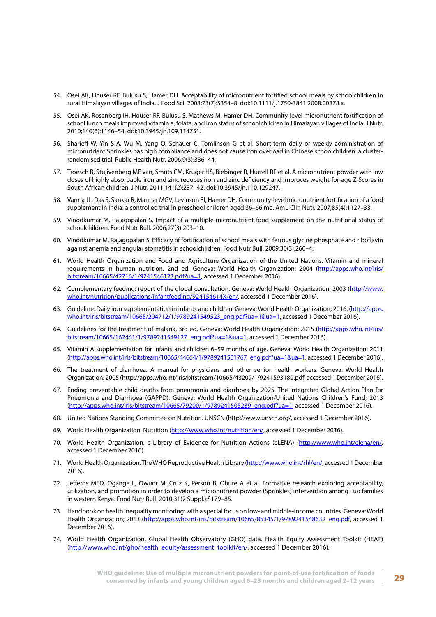- 54. Osei AK, Houser RF, Bulusu S, Hamer DH. Acceptability of micronutrient fortified school meals by schoolchildren in rural Himalayan villages of India. J Food Sci. 2008;73(7):S354–8. doi:10.1111/j.1750-3841.2008.00878.x.
- 55. Osei AK, Rosenberg IH, Houser RF, Bulusu S, Mathews M, Hamer DH. Community-level micronutrient fortification of school lunch meals improved vitamin a, folate, and iron status of schoolchildren in Himalayan villages of India. J Nutr. 2010;140(6):1146–54. doi:10.3945/jn.109.114751.
- 56. Sharieff W, Yin S-A, Wu M, Yang Q, Schauer C, Tomlinson G et al. Short-term daily or weekly administration of micronutrient Sprinkles has high compliance and does not cause iron overload in Chinese schoolchildren: a clusterrandomised trial. Public Health Nutr. 2006;9(3):336–44.
- 57. Troesch B, Stujivenberg ME van, Smuts CM, Kruger HS, Biebinger R, Hurrell RF et al. A micronutrient powder with low doses of highly absorbable iron and zinc reduces iron and zinc deficiency and improves weight-for-age Z-Scores in South African children. J Nutr. 2011;141(2):237–42. doi:10.3945/jn.110.129247.
- 58. Varma JL, Das S, Sankar R, Mannar MGV, Levinson FJ, Hamer DH. Community-level micronutrient fortification of a food supplement in India: a controlled trial in preschool children aged 36–66 mo. Am J Clin Nutr. 2007;85(4):1127–33.
- 59. Vinodkumar M, Rajagopalan S. Impact of a multiple-micronutrient food supplement on the nutritional status of schoolchildren. Food Nutr Bull. 2006;27(3):203–10.
- 60. Vinodkumar M, Rajagopalan S. Efficacy of fortification of school meals with ferrous glycine phosphate and riboflavin against anemia and angular stomatitis in schoolchildren. Food Nutr Bull. 2009;30(3):260–4.
- 61. World Health Organization and Food and Agriculture Organization of the United Nations. Vitamin and mineral requirements in human nutrition, 2nd ed. Geneva: World Health Organization; 2004 [\(http://apps.who.int/iris/](http://apps.who.int/iris/bitstream/10665/42716/1/9241546123.pdf?ua=1) [bitstream/10665/42716/1/9241546123.pdf?ua=1,](http://apps.who.int/iris/bitstream/10665/42716/1/9241546123.pdf?ua=1) accessed 1 December 2016).
- 62. Complementary feeding: report of the global consultation. Geneva: World Health Organization; 2003 ([http://www.](http://www.who.int/nutrition/publications/infantfeeding/924154614X/en/) [who.int/nutrition/publications/infantfeeding/924154614X/en/](http://www.who.int/nutrition/publications/infantfeeding/924154614X/en/), accessed 1 December 2016).
- 63. Guideline: Daily iron supplementation in infants and children. Geneva: World Health Organization; 2016. [\(http://apps.](http://apps.who.int/iris/bitstream/10665/204712/1/9789241549523_eng.pdf?ua=1&ua=1) [who.int/iris/bitstream/10665/204712/1/9789241549523\\_eng.pdf?ua=1&ua=1](http://apps.who.int/iris/bitstream/10665/204712/1/9789241549523_eng.pdf?ua=1&ua=1), accessed 1 December 2016).
- 64. Guidelines for the treatment of malaria, 3rd ed. Geneva: World Health Organization; 2015 [\(http://apps.who.int/iris/](http://apps.who.int/iris/bitstream/10665/162441/1/9789241549127_eng.pdf?ua=1&ua=1) [bitstream/10665/162441/1/9789241549127\\_eng.pdf?ua=1&ua=1,](http://apps.who.int/iris/bitstream/10665/162441/1/9789241549127_eng.pdf?ua=1&ua=1) accessed 1 December 2016).
- 65. Vitamin A supplementation for infants and children 6–59 months of age. Geneva: World Health Organization; 2011 [\(http://apps.who.int/iris/bitstream/10665/44664/1/9789241501767\\_eng.pdf?ua=1&ua=1,](http://apps.who.int/iris/bitstream/10665/44664/1/9789241501767_eng.pdf?ua=1&ua=1) accessed 1 December 2016).
- 66. The treatment of diarrhoea. A manual for physicians and other senior health workers. Geneva: World Health Organization; 2005 (http://apps.who.int/iris/bitstream/10665/43209/1/9241593180.pdf, accessed 1 December 2016).
- 67. Ending preventable child deaths from pneumonia and diarrhoea by 2025. The Integrated Global Action Plan for Pneumonia and Diarrhoea (GAPPD). Geneva: World Health Organization/United Nations Children's Fund; 2013 ([http://apps.who.int/iris/bitstream/10665/79200/1/9789241505239\\_eng.pdf?ua=1](http://apps.who.int/iris/bitstream/10665/79200/1/9789241505239_eng.pdf?ua=1), accessed 1 December 2016).
- 68. United Nations Standing Committee on Nutrition. UNSCN (http://www.unscn.org/, accessed 1 December 2016).
- 69. World Health Organization. Nutrition ([http://www.who.int/nutrition/en/,](http://www.who.int/nutrition/en/) accessed 1 December 2016).
- 70. World Health Organization. e-Library of Evidence for Nutrition Actions (eLENA) [\(http://www.who.int/elena/en/](http://www.who.int/elena/en/), accessed 1 December 2016).
- 71. World Health Organization. The WHO Reproductive Health Library [\(http://www.who.int/rhl/en/](http://www.who.int/rhl/en/), accessed 1 December 2016).
- 72. Jefferds MED, Ogange L, Owuor M, Cruz K, Person B, Obure A et al. Formative research exploring acceptability, utilization, and promotion in order to develop a micronutrient powder (Sprinkles) intervention among Luo families in western Kenya. Food Nutr Bull. 2010;31(2 Suppl.):S179–85.
- 73. Handbook on health inequality monitoring: with a special focus on low- and middle-income countries. Geneva: World Health Organization; 2013 [\(http://apps.who.int/iris/bitstream/10665/85345/1/9789241548632\\_eng.pdf,](http://apps.who.int/iris/bitstream/10665/85345/1/9789241548632_eng.pdf) accessed 1 December 2016).
- 74. World Health Organization. Global Health Observatory (GHO) data. Health Equity Assessment Toolkit (HEAT) ([http://www.who.int/gho/health\\_equity/assessment\\_toolkit/en/](http://www.who.int/gho/health_equity/assessment_toolkit/en/), accessed 1 December 2016).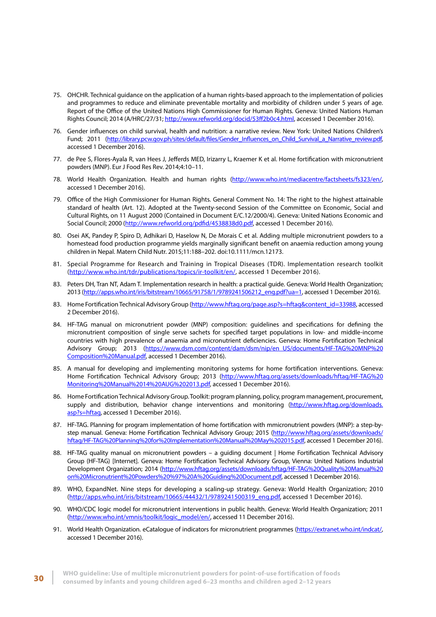- 75. OHCHR. Technical guidance on the application of a human rights-based approach to the implementation of policies and programmes to reduce and eliminate preventable mortality and morbidity of children under 5 years of age. Report of the Office of the United Nations High Commissioner for Human Rights. Geneva: United Nations Human Rights Council; 2014 (A/HRC/27/31;<http://www.refworld.org/docid/53ff2b0c4.html>, accessed 1 December 2016).
- 76. Gender influences on child survival, health and nutrition: a narrative review. New York: United Nations Children's Fund; 2011 [\(http://library.pcw.gov.ph/sites/default/files/Gender\\_Influences\\_on\\_Child\\_Survival\\_a\\_Narrative\\_review.pdf](http://library.pcw.gov.ph/sites/default/files/Gender_Influences_on_Child_Survival_a_Narrative_review), accessed 1 December 2016).
- 77. de Pee S, Flores-Ayala R, van Hees J, Jefferds MED, Irizarry L, Kraemer K et al. Home fortification with micronutrient powders (MNP). Eur J Food Res Rev. 2014;4:10–11.
- 78. World Health Organization. Health and human rights [\(http://www.who.int/mediacentre/factsheets/fs323/en/](http://www.who.int/mediacentre/factsheets/fs323/en/), accessed 1 December 2016).
- 79. Office of the High Commissioner for Human Rights. General Comment No. 14: The right to the highest attainable standard of health (Art. 12). Adopted at the Twenty-second Session of the Committee on Economic, Social and Cultural Rights, on 11 August 2000 (Contained in Document E/C.12/2000/4). Geneva: United Nations Economic and Social Council; 2000 (<http://www.refworld.org/pdfid/4538838d0.pdf>, accessed 1 December 2016).
- 80. Osei AK, Pandey P, Spiro D, Adhikari D, Haselow N, De Morais C et al. Adding multiple micronutrient powders to a homestead food production programme yields marginally significant benefit on anaemia reduction among young children in Nepal. Matern Child Nutr. 2015;11:188–202. doi:10.1111/mcn.12173.
- 81. Special Programme for Research and Training in Tropical Diseases (TDR). Implementation research toolkit ([http://www.who.int/tdr/publications/topics/ir-toolkit/en/,](http://www.who.int/tdr/publications/topics/ir-toolkit/en/) accessed 1 December 2016).
- 83. Peters DH, Tran NT, Adam T. Implementation research in health: a practical guide. Geneva: World Health Organization; 2013 [\(http://apps.who.int/iris/bitstream/10665/91758/1/9789241506212\\_eng.pdf?ua=1](http://apps.who.int/iris/bitstream/10665/91758/1/9789241506212_eng.pdf?ua=1), accessed 1 December 2016).
- 83. Home Fortification Technical Advisory Group ([http://www.hftag.org/page.asp?s=hftag&content\\_id=33988](http://www.hftag.org/page.asp?s=hftag&content_id=33988), accessed 2 December 2016).
- 84. HF-TAG manual on micronutrient powder (MNP) composition: guidelines and specifications for defining the micronutrient composition of single serve sachets for specified target populations in low- and middle-income countries with high prevalence of anaemia and micronutrient deficiencies. Geneva: Home Fortification Technical Advisory Group; 2013 [\(https://www.dsm.com/content/dam/dsm/nip/en\\_US/documents/HF-TAG%20MNP%20](https://www.dsm.com/content/dam/dsm/nip/en_US/documents/HF-TAG%20MNP%20Composition%20Manual.pdf) [Composition%20Manual.pdf](https://www.dsm.com/content/dam/dsm/nip/en_US/documents/HF-TAG%20MNP%20Composition%20Manual.pdf), accessed 1 December 2016).
- 85. A manual for developing and implementing monitoring systems for home fortification interventions. Geneva: Home Fortification Technical Advisory Group; 2013 [\(http://www.hftag.org/assets/downloads/hftag/HF-TAG%20](http://www.hftag.org/assets/downloads/hftag/HF-TAG%20Monitoring%20Manual%2014%20AUG%202013.pdf) [Monitoring%20Manual%2014%20AUG%202013.pdf,](http://www.hftag.org/assets/downloads/hftag/HF-TAG%20Monitoring%20Manual%2014%20AUG%202013.pdf) accessed 1 December 2016).
- 86. Home Fortification Technical Advisory Group. Toolkit: program planning, policy, program management, procurement, supply and distribution, behavior change interventions and monitoring [\(http://www.hftag.org/downloads.](http://www.hftag.org/downloads.asp?s=hftag) [asp?s=hftag,](http://www.hftag.org/downloads.asp?s=hftag) accessed 1 December 2016).
- 87. HF-TAG. Planning for program implementation of home fortification with mmicronutrient powders (MNP): a step-bystep manual. Geneva: Home Fortification Technical Advisory Group; 2015 ([http://www.hftag.org/assets/downloads/](http://www.hftag.org/assets/downloads/hftag/HF-TAG%20Planning%20for%20Implementation%20Manual%20May%) [hftag/HF-TAG%20Planning%20for%20Implementation%20Manual%20May%202015.pdf,](http://www.hftag.org/assets/downloads/hftag/HF-TAG%20Planning%20for%20Implementation%20Manual%20May%) accessed 1 December 2016).
- 88. HF-TAG quality manual on micronutrient powders a guiding document | Home Fortification Technical Advisory Group (HF-TAG) [Internet]. Geneva: Home Fortification Technical Advisory Group, Vienna: United Nations Industrial Development Organization; 2014 [\(http://www.hftag.org/assets/downloads/hftag/HF-TAG%20Quality%20Manual%20](http://www.hftag.org/assets/downloads/hftag/HF-TAG%20Quality%20Manual%20on%20Micronutrient%20Powders) [on%20Micronutrient%20Powders%20%97%20A%20Guiding%20Document.pdf](http://www.hftag.org/assets/downloads/hftag/HF-TAG%20Quality%20Manual%20on%20Micronutrient%20Powders), accessed 1 December 2016).
- 89. WHO, ExpandNet. Nine steps for developing a scaling-up strategy. Geneva: World Health Organization; 2010 ([http://apps.who.int/iris/bitstream/10665/44432/1/9789241500319\\_eng.pdf,](http://apps.who.int/iris/bitstream/10665/44432/1/9789241500319_eng.pdf) accessed 1 December 2016).
- 90. WHO/CDC logic model for micronutrient interventions in public health. Geneva: World Health Organization; 2011 ([http://www.who.int/vmnis/toolkit/logic\\_model/en/](http://www.who.int/vmnis/toolkit/logic_model/en/), accessed 11 December 2016).
- 91. World Health Organization. eCatalogue of indicators for micronutrient programmes [\(https://extranet.who.int/indcat/](https://extranet.who.int/indcat/), accessed 1 December 2016).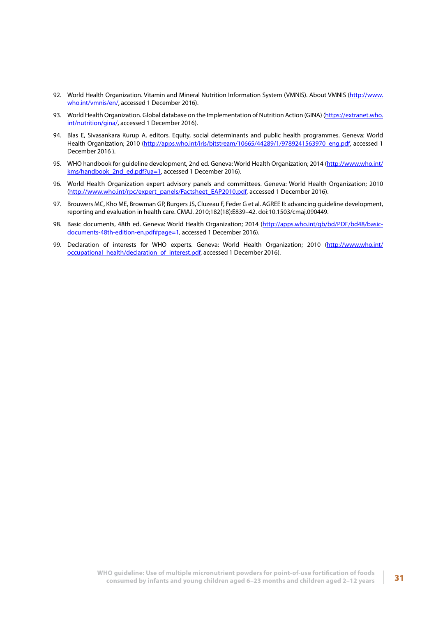- 92. World Health Organization. Vitamin and Mineral Nutrition Information System (VMNIS). About VMNIS ([http://www.](http://www.who.int/vmnis/en/) [who.int/vmnis/en/,](http://www.who.int/vmnis/en/) accessed 1 December 2016).
- 93. World Health Organization. Global database on the Implementation of Nutrition Action (GINA) [\(https://extranet.who.](https://extranet.who.int/nutrition/gina/) [int/nutrition/gina/,](https://extranet.who.int/nutrition/gina/) accessed 1 December 2016).
- 94. Blas E, Sivasankara Kurup A, editors. Equity, social determinants and public health programmes. Geneva: World Health Organization; 2010 [\(http://apps.who.int/iris/bitstream/10665/44289/1/9789241563970\\_eng.pdf,](http://apps.who.int/iris/bitstream/10665/44289/1/9789241563970_eng.pdf) accessed 1 December 2016 ).
- 95. WHO handbook for guideline development, 2nd ed. Geneva: World Health Organization; 2014 [\(http://www.who.int/](http://www.who.int/kms/handbook_2nd_ed.pdf?ua=1) [kms/handbook\\_2nd\\_ed.pdf?ua=1,](http://www.who.int/kms/handbook_2nd_ed.pdf?ua=1) accessed 1 December 2016).
- 96. World Health Organization expert advisory panels and committees. Geneva: World Health Organization; 2010 ([http://www.who.int/rpc/expert\\_panels/Factsheet\\_EAP2010.pdf,](http://www.who.int/rpc/expert_panels/Factsheet_EAP2010.pdf) accessed 1 December 2016).
- 97. Brouwers MC, Kho ME, Browman GP, Burgers JS, Cluzeau F, Feder G et al. AGREE II: advancing guideline development, reporting and evaluation in health care. CMAJ. 2010;182(18):E839–42. doi:10.1503/cmaj.090449.
- 98. Basic documents, 48th ed. Geneva: World Health Organization; 2014 ([http://apps.who.int/gb/bd/PDF/bd48/basic](http://apps.who.int/gb/bd/PDF/bd48/basic-documents-48th-edition-en.pdf#page=1)[documents-48th-edition-en.pdf#page=1,](http://apps.who.int/gb/bd/PDF/bd48/basic-documents-48th-edition-en.pdf#page=1) accessed 1 December 2016).
- 99. Declaration of interests for WHO experts. Geneva: World Health Organization; 2010 [\(http://www.who.int/](http://www.who.int/occupational_health/declaration_of_interest.pdf) [occupational\\_health/declaration\\_of\\_interest.pdf,](http://www.who.int/occupational_health/declaration_of_interest.pdf) accessed 1 December 2016).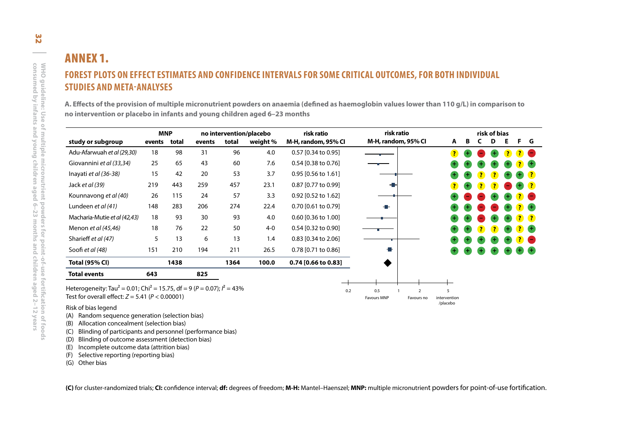## ANNEX 1. **FOREST PLOTS ON EFFECT ESTIMATES AND CONFIDENCE INTERVALS FOR SOME CRITICAL OUTCOMES, FOR BOTH INDIVIDUAL STUDIES AND META-ANALYSES**

<span id="page-39-0"></span>

| no intervention or placebo in infants and young children aged 6-23 months |        |                     |        |                                  |          |                                   |                                   |   |   |                   |   |  |
|---------------------------------------------------------------------------|--------|---------------------|--------|----------------------------------|----------|-----------------------------------|-----------------------------------|---|---|-------------------|---|--|
| study or subgroup                                                         | events | <b>MNP</b><br>total | events | no intervention/placebo<br>total | weight % | risk ratio<br>M-H, random, 95% CI | risk ratio<br>M-H, random, 95% CI | A | B | risk of bias<br>D | Е |  |
| Adu-Afarwuah et al (29,30)                                                | 18     | 98                  | 31     | 96                               | 4.0      | 0.57 [0.34 to 0.95]               |                                   |   |   |                   |   |  |
| Giovannini et al (33,34)                                                  | 25     | 65                  | 43     | 60                               | 7.6      | 0.54 [0.38 to 0.76]               |                                   |   |   |                   |   |  |
| Inayati et al (36-38)                                                     | 15     | 42                  | 20     | 53                               | 3.7      | 0.95 [0.56 to 1.61]               |                                   |   |   |                   |   |  |
| Jack et al (39)                                                           | 219    | 443                 | 259    | 457                              | 23.1     | 0.87 [0.77 to 0.99]               |                                   |   |   |                   |   |  |
| Kounnavong et al (40)                                                     | 26     | 115                 | 24     | 57                               | 3.3      | 0.92 [0.52 to 1.62]               |                                   |   |   |                   |   |  |
| Lundeen et al (41)                                                        | 148    | 283                 | 206    | 274                              | 22.4     | 0.70 [0.61 to 0.79]               |                                   |   |   |                   |   |  |
| Macharia-Mutie et al (42,43)                                              | 18     | 93                  | 30     | 93                               | 4.0      | 0.60 [0.36 to 1.00]               |                                   |   |   |                   |   |  |
| Menon et al (45,46)                                                       | 18     | 76                  | 22     | 50                               | $4 - 0$  | 0.54 [0.32 to 0.90]               |                                   |   |   |                   |   |  |
| Sharieff et al (47)                                                       | 5      | 13                  | 6      | 13                               | 1.4      | 0.83 [0.34 to 2.06]               |                                   |   |   |                   |   |  |
| Soofi et al (48)                                                          | 151    | 210                 | 194    | 211                              | 26.5     | 0.78 [0.71 to 0.86]               |                                   |   |   |                   |   |  |
| <b>Total (95% CI)</b>                                                     |        | 1438                |        | 1364                             | 100.0    | 0.74 [0.66 to 0.83]               |                                   |   |   |                   |   |  |
| <b>Total events</b>                                                       | 643    |                     | 825    |                                  |          |                                   |                                   |   |   |                   |   |  |
|                                                                           |        |                     |        |                                  |          |                                   |                                   |   |   |                   |   |  |

- (A) Random sequence generation (selection bias)
- (B) Allocation concealment (selection bias)
- (C) Blinding of participants and personnel (performance bias)
- (D) Blinding of outcome assessment (detection bias)
- (E) Incomplete outcome data (attrition bias)
- (F) Selective reporting (reporting bias)
- (G) Other bias

**(C)** for cluster-randomized trials; **CI:** confidence interval; **df:** degrees of freedom; **M-H:** Mantel–Haenszel; **MNP:** multiple micronutrient powders for point-of-use fortification.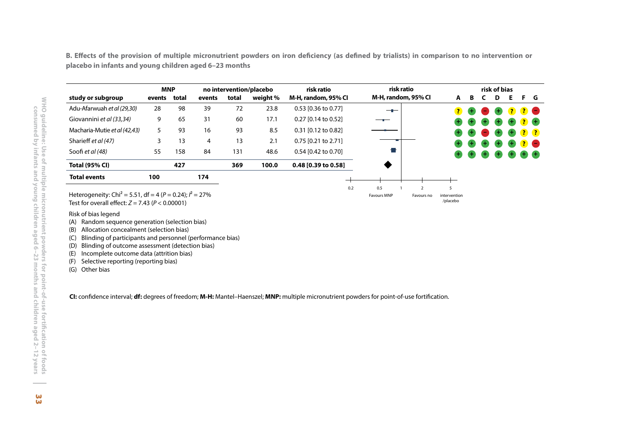<span id="page-40-0"></span>**B. Effects of the provision of multiple micronutrient powders on iron deficiency (as defined by trialists) in comparison to no intervention or placebo in infants and young children aged 6–23 months**

|                              | <b>MNP</b> |       |        |       | no intervention/placebo | risk ratio            | risk ratio          |          |           |                   | risk of bias |                      |           |                                     |
|------------------------------|------------|-------|--------|-------|-------------------------|-----------------------|---------------------|----------|-----------|-------------------|--------------|----------------------|-----------|-------------------------------------|
| study or subgroup            | events     | total | events | total | weight %                | M-H, random, 95% CI   | M-H, random, 95% CI | A        | в         |                   | D            | F                    | F.        | G                                   |
| Adu-Afarwuah et al (29,30)   | 28         | 98    | 39     | 72    | 23.8                    | 0.53 [0.36 to 0.77]   | $-$                 | <b>?</b> | $\bullet$ | $\sim$            | $+$          |                      | <b>20</b> |                                     |
| Giovannini et al (33,34)     | 9          | 65    | 31     | 60    | 17.1                    | $0.27$ [0.14 to 0.52] |                     |          | $\bullet$ | $\left( +\right)$ | $+$          | $\blacksquare$       | $\bullet$ |                                     |
| Macharia-Mutie et al (42.43) | 5          | 93    | 16     | 93    | 8.5                     | 0.31 [0.12 to 0.82]   |                     |          | $\bullet$ | $\sim$            | $+$          | $\left( \pm \right)$ |           | $\left( 2\right)$ $\left( 2\right)$ |
| Sharieff et al (47)          | 3          | 13    | 4      | 13    | 2.1                     | $0.75$ [0.21 to 2.71] |                     |          | $\bullet$ | Œ                 | $\bigoplus$  | $\pm$                |           | <b>? O</b>                          |
| Soofi et al (48)             | 55         | 158   | 84     | 131   | 48.6                    | 0.54 [0.42 to 0.70]   |                     |          | $\bullet$ | $\left( +\right)$ | <b>GEO</b>   |                      |           |                                     |
| <b>Total (95% CI)</b>        |            | 427   |        | 369   | 100.0                   | 0.48 [0.39 to 0.58]   |                     |          |           |                   |              |                      |           |                                     |
| <b>Total events</b>          | 100        |       | 174    |       |                         |                       |                     |          |           |                   |              |                      |           |                                     |
|                              |            |       |        |       |                         |                       | 0.2<br>0.5          |          |           |                   |              |                      |           |                                     |

Favours MNP Favours no intervention

/placebo

Heterogeneity: Chi<sup>2</sup> = 5.51, df = 4 ( $P$  = 0.24);  $I^2$  = 27% Test for overall effect: *Z =* 7.43 (*P* < 0.00001)

Risk of bias legend

(A) Random sequence generation (selection bias)

(B) Allocation concealment (selection bias)

(C) Blinding of participants and personnel (performance bias)

(D) Blinding of outcome assessment (detection bias)

(E) Incomplete outcome data (attrition bias)

(F) Selective reporting (reporting bias)

(G) Other bias

**CI:** confidence interval; **df:** degrees of freedom; **M-H:** Mantel–Haenszel; **MNP:** multiple micronutrient powders for point-of-use fortification.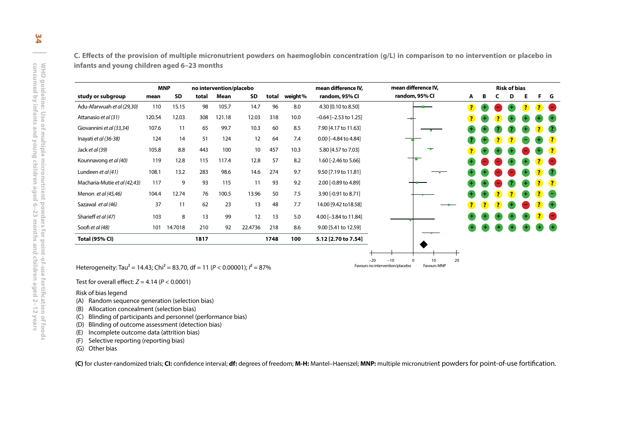**C. Effects of the provision of multiple micronutrient powders on haemoglobin concentration (g/L) in comparison to no intervention or placebo in infants and young children aged 6–23 months**

<span id="page-41-0"></span>

| study or subgroup<br>Adu-Afarwuah et al (29,30)<br>Attanasio et al (31) | mean   | <b>MNP</b>  |       | no intervention/placebo |         |       |         | mean difference IV.        | mean difference IV, |   |   |   | <b>Risk of bias</b> |   |
|-------------------------------------------------------------------------|--------|-------------|-------|-------------------------|---------|-------|---------|----------------------------|---------------------|---|---|---|---------------------|---|
|                                                                         |        | <b>SD</b>   | total | Mean                    | SD      | total | weight% | random, 95% CI             | random, 95% Cl      | A | в | C | D                   | Е |
|                                                                         | 110    | 15.15       | 98    | 105.7                   | 14.7    | 96    | 8.0     | 4.30 [0.10 to 8.50]        |                     |   |   |   |                     |   |
|                                                                         | 120.54 | 12.03       | 308   | 121.18                  | 12.03   | 318   | 10.0    | $-0.64$ [ $-2.53$ to 1.25] |                     |   |   |   |                     |   |
| Giovannini et al (33,34)                                                | 107.6  | 11          | 65    | 99.7                    | 10.3    | 60    | 8.5     | 7.90 [4.17 to 11.63]       |                     |   |   |   |                     |   |
| Inayati et al (36-38)                                                   | 124    | 14          | 51    | 124                     | 12      | 64    | 7.4     | 0.00 [-4.84 to 4.84]       |                     |   |   |   |                     |   |
| Jack et al (39)                                                         | 105.8  | 8.8         | 443   | 100                     | 10      | 457   | 10.3    | 5.80 [4.57 to 7.03]        |                     |   |   |   |                     |   |
| Kounnavong et al (40)                                                   | 119    | 12.8        | 115   | 117.4                   | 12.8    | 57    | 8.2     | 1.60 [-2.46 to 5.66]       |                     |   |   |   |                     |   |
| Lundeen et al (41)                                                      | 108.1  | 13.2        | 283   | 98.6                    | 14.6    | 274   | 9.7     | 9.50 [7.19 to 11.81]       |                     |   |   |   |                     |   |
| Macharia-Mutie et al (42,43)                                            | 117    | 9           | 93    | 115                     | 11      | 93    | 9.2     | 2.00 [-0.89 to 4.89]       |                     |   |   |   |                     |   |
| Menon et al (45,46)                                                     | 104.4  | 12.74       | 76    | 100.5                   | 13.96   | 50    | 7.5     | 3.90 [-0.91 to 8.71]       |                     |   |   |   |                     |   |
| Sazawal et al (46)                                                      | 37     | 11          | 62    | 23                      | 13      | 48    | 7.7     | 14.00 [9.42 to 18.58]      |                     |   |   |   |                     |   |
| Sharieff et al (47)                                                     | 103    | 8           | 13    | 99                      | 12      | 13    | 5.0     | 4.00 [-3.84 to 11.84]      |                     |   |   |   |                     |   |
| Soofi et al (48)                                                        |        | 101 14.7018 | 210   | 92                      | 22.4736 | 218   | 8.6     | 9.00 [5.41 to 12.59]       |                     |   |   |   |                     |   |
| <b>Total (95% CI)</b>                                                   |        |             | 1817  |                         |         | 1748  | 100     | 5.12 [2.70 to 7.54]        |                     |   |   |   |                     |   |

- 
- 
- 
- 
- 
- 
- (G) Other bias

**(C)** for cluster-randomized trials; **CI:** confidence interval; **df:** degrees of freedom; **M-H:** Mantel–Haenszel; **MNP:** multiple micronutrient powders for point-of-use fortification.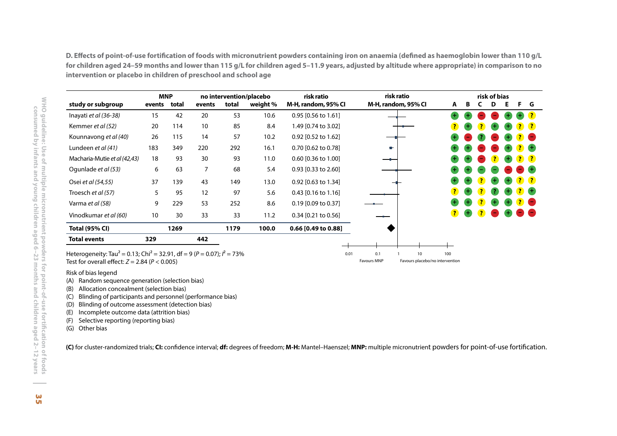<span id="page-42-0"></span>**D. Effects of point-of-use fortification of foods with micronutrient powders containing iron on anaemia (defined as haemoglobin lower than 110 g/L for children aged 24–59 months and lower than 115 g/L for children aged 5–11.9 years, adjusted by altitude where appropriate) in comparison to no intervention or placebo in children of preschool and school age**

|                              |        | <b>MNP</b> |        |       | no intervention/placebo | risk ratio            | risk ratio          |                         |                |                         | risk of bias |     |              |                                                 |
|------------------------------|--------|------------|--------|-------|-------------------------|-----------------------|---------------------|-------------------------|----------------|-------------------------|--------------|-----|--------------|-------------------------------------------------|
| study or subgroup            | events | total      | events | total | weight %                | M-H, random, 95% Cl   | M-H, random, 95% CI | A                       | В              | C                       | D            | Е   | F.           | G                                               |
| Inayati et al (36-38)        | 15     | 42         | 20     | 53    | 10.6                    | $0.95$ [0.56 to 1.61] |                     | $^{\rm +}$              |                |                         |              |     |              | $\left( 7\right)$                               |
| Kemmer et al (52)            | 20     | 114        | 10     | 85    | 8.4                     | 1.49 [0.74 to 3.02]   |                     | $\overline{\mathbf{?}}$ | $\blacksquare$ |                         | ÷.           |     |              | <b>?</b> ?                                      |
| Kounnavong et al (40)        | 26     | 115        | 14     | 57    | 10.2                    | 0.92 [0.52 to 1.62]   |                     | +                       |                |                         |              |     |              | $\mathbf{?}$ $\blacksquare$                     |
| Lundeen et al (41)           | 183    | 349        | 220    | 292   | 16.1                    | 0.70 [0.62 to 0.78]   | a.                  |                         |                |                         |              |     | $\mathbf{r}$ | $+$                                             |
| Macharia-Mutie et al (42,43) | 18     | 93         | 30     | 93    | 11.0                    | 0.60 [0.36 to 1.00]   |                     |                         |                | -                       | <u>?</u>     | $+$ |              | ? ?                                             |
| Ogunlade et al (53)          | 6      | 63         | 7      | 68    | 5.4                     | 0.93 [0.33 to 2.60]   |                     |                         |                |                         |              |     |              | - +                                             |
| Osei et al (54,55)           | 37     | 139        | 43     | 149   | 13.0                    | 0.92 [0.63 to 1.34]   |                     |                         | ٠              |                         | Œ,           | ÷   |              | ? ?                                             |
| Troesch et al (57)           | 5      | 95         | 12     | 97    | 5.6                     | $0.43$ [0.16 to 1.16] |                     | $\overline{\mathbf{?}}$ | $+$            | $\overline{\mathbf{r}}$ |              |     |              | $\overline{\mathbf{?}}$ $\overline{\mathbf{+}}$ |
| Varma et al (58)             | 9      | 229        | 53     | 252   | 8.6                     | $0.19$ [0.09 to 0.37] |                     |                         |                |                         | æ,           |     |              | <u>? O</u>                                      |
| Vinodkumar et al (60)        | 10     | 30         | 33     | 33    | 11.2                    | $0.34$ [0.21 to 0.56] |                     | 3                       | $+$            |                         |              |     |              | $\blacksquare$                                  |
| <b>Total (95% CI)</b>        |        | 1269       |        | 1179  | 100.0                   | $0.66$ [0.49 to 0.88] |                     |                         |                |                         |              |     |              |                                                 |
| <b>Total events</b>          | 329    |            | 442    |       |                         |                       |                     |                         |                |                         |              |     |              |                                                 |

Heterogeneity: Tau² = 0.13; Chi² = 32.91, df = 9 (*<sup>P</sup>* = 0.07); *I*² = 73% Test for overall effect:  $Z = 2.84$  ( $P < 0.005$ )

#### Risk of bias legend

- (A) Random sequence generation (selection bias)
- (B) Allocation concealment (selection bias)
- (C) Blinding of participants and personnel (performance bias)
- (D) Blinding of outcome assessment (detection bias)
- (E) Incomplete outcome data (attrition bias)
- (F) Selective reporting (reporting bias)
- (G) Other bias

**(C)** for cluster-randomized trials; **CI:** confidence interval; **df:** degrees of freedom; **M-H:** Mantel–Haenszel; **MNP:** multiple micronutrient powders for point-of-use fortification.

Favours MNP Favours placebo/no intervention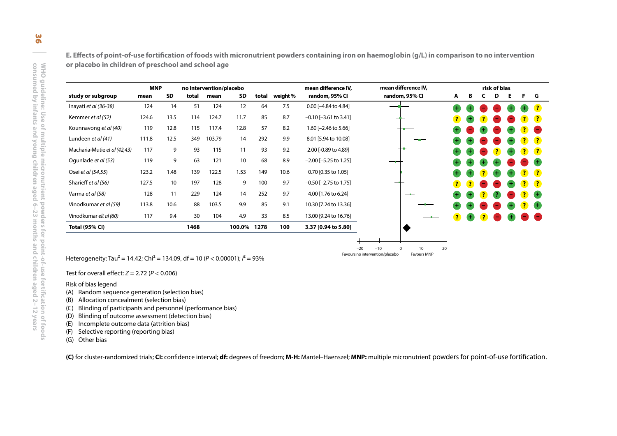**E. Effects of point-of-use fortification of foods with micronutrient powders containing iron on haemoglobin (g/L) in comparison to no intervention or placebo in children of preschool and school age**

<span id="page-43-0"></span>

|                                                                                                             | <b>MNP</b> |      |       | no intervention/placebo |             |       |         | mean difference IV,        | mean difference IV,                                                       |    |   |   | risk of bias |   |   |
|-------------------------------------------------------------------------------------------------------------|------------|------|-------|-------------------------|-------------|-------|---------|----------------------------|---------------------------------------------------------------------------|----|---|---|--------------|---|---|
| study or subgroup                                                                                           | mean       | SD   | total | mean                    | <b>SD</b>   | total | weight% | random, 95% CI             | random, 95% Cl                                                            | A  | B | C | D            | Е | F |
| Inayati et al (36-38)                                                                                       | 124        | 14   | 51    | 124                     | 12          | 64    | 7.5     | 0.00 [-4.84 to 4.84]       |                                                                           |    |   |   |              |   |   |
| Kemmer et al (52)                                                                                           | 124.6      | 13.5 | 114   | 124.7                   | 11.7        | 85    | 8.7     | $-0.10$ [ $-3.61$ to 3.41] |                                                                           |    |   |   |              |   |   |
| Kounnavong et al (40)                                                                                       | 119        | 12.8 | 115   | 117.4                   | 12.8        | 57    | 8.2     | 1.60 [-2.46 to 5.66]       |                                                                           |    |   |   |              |   |   |
| Lundeen et al (41)                                                                                          | 111.8      | 12.5 | 349   | 103.79                  | 14          | 292   | 9.9     | 8.01 [5.94 to 10.08]       |                                                                           |    |   |   |              |   |   |
| Macharia-Mutie et al (42,43)                                                                                | 117        | 9    | 93    | 115                     | 11          | 93    | 9.2     | 2.00 [-0.89 to 4.89]       |                                                                           |    |   |   |              |   |   |
| Oqunlade et al (53)                                                                                         | 119        | 9    | 63    | 121                     | 10          | 68    | 8.9     | $-2.00$ [ $-5.25$ to 1.25] |                                                                           |    |   |   |              |   |   |
| Osei et al (54,55)                                                                                          | 123.2      | 1.48 | 139   | 122.5                   | 1.53        | 149   | 10.6    | 0.70 [0.35 to 1.05]        |                                                                           |    |   |   |              |   |   |
| Sharieff et al (56)                                                                                         | 127.5      | 10   | 197   | 128                     | 9           | 100   | 9.7     | $-0.50$ [ $-2.75$ to 1.75] |                                                                           |    |   |   |              |   |   |
| Varma et al (58)                                                                                            | 128        | 11   | 229   | 124                     | 14          | 252   | 9.7     | 4.00 [1.76 to 6.24]        |                                                                           |    |   |   |              |   |   |
| Vinodkumar et al (59)                                                                                       | 113.8      | 10.6 | 88    | 103.5                   | 9.9         | 85    | 9.1     | 10.30 [7.24 to 13.36]      |                                                                           |    |   |   |              |   |   |
| Vinodkumar elt al (60)                                                                                      | 117        | 9.4  | 30    | 104                     | 4.9         | 33    | 8.5     | 13.00 [9.24 to 16.76]      |                                                                           |    |   |   |              |   |   |
| <b>Total (95% CI)</b>                                                                                       |            |      | 1468  |                         | 100.0% 1278 |       | 100     | 3.37 [0.94 to 5.80]        |                                                                           |    |   |   |              |   |   |
| Heterogeneity: Tau <sup>2</sup> = 14.42; Chi <sup>2</sup> = 134.09, df = 10 ( $P < 0.00001$ ); $l^2 = 93\%$ |            |      |       |                         |             |       |         | $-20$                      | $-10$<br>10<br>$\Omega$<br>Favours no intervention/placebo<br>Favours MNP | 20 |   |   |              |   |   |
| Test for overall effect: $Z = 2.72$ ( $P < 0.006$ )                                                         |            |      |       |                         |             |       |         |                            |                                                                           |    |   |   |              |   |   |
| Risk of bias legend<br>Random sequence generation (selection bias)<br>(A)                                   |            |      |       |                         |             |       |         |                            |                                                                           |    |   |   |              |   |   |
| Allocation concealment (selection bias)<br>(B)                                                              |            |      |       |                         |             |       |         |                            |                                                                           |    |   |   |              |   |   |
| Blinding of participants and personnel (performance bias)<br>(C)                                            |            |      |       |                         |             |       |         |                            |                                                                           |    |   |   |              |   |   |
|                                                                                                             |            |      |       |                         |             |       |         |                            |                                                                           |    |   |   |              |   |   |

- 
- 
- 
- 
- 
- 
- 

**(C)** for cluster-randomized trials; **CI:** confidence interval; **df:** degrees of freedom; **M-H:** Mantel–Haenszel; **MNP:** multiple micronutrient powders for point-of-use fortification.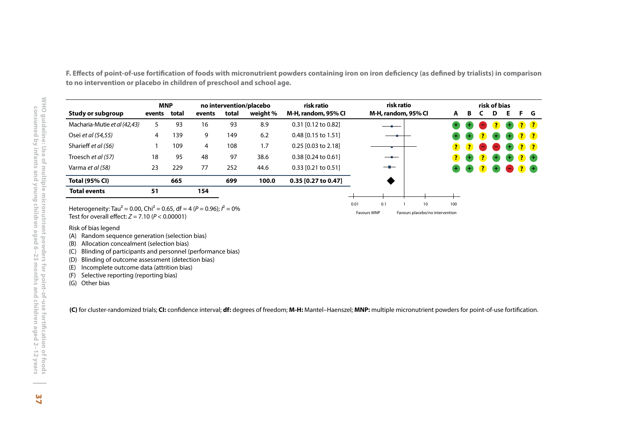<span id="page-44-0"></span>**F. Effects of point-of-use fortification of foods with micronutrient powders containing iron on iron deficiency (as defined by trialists) in comparison to no intervention or placebo in children of preschool and school age.**

| <b>Study or subgroup</b>                                                                                                                                                      | <b>MNP</b>   |     |        |       | no intervention/placebo | risk ratio          |      | risk ratio          |    |     |   |   | risk of bias   |    |
|-------------------------------------------------------------------------------------------------------------------------------------------------------------------------------|--------------|-----|--------|-------|-------------------------|---------------------|------|---------------------|----|-----|---|---|----------------|----|
|                                                                                                                                                                               | events total |     | events | total | weight %                | M-H, random, 95% CI |      | M-H, random, 95% CI |    | A   | В | C | D              | E. |
| Macharia-Mutie et al (42,43)                                                                                                                                                  | 5            | 93  | 16     | 93    | 8.9                     | 0.31 [0.12 to 0.82] |      |                     |    |     |   |   | $\overline{?}$ |    |
| Osei et al (54,55)                                                                                                                                                            | 4            | 139 | 9      | 149   | 6.2                     | 0.48 [0.15 to 1.51] |      |                     |    |     |   |   |                |    |
| Sharieff et al (56)                                                                                                                                                           | 1            | 109 | 4      | 108   | 1.7                     | 0.25 [0.03 to 2.18] |      |                     |    |     |   |   |                |    |
| Troesch et al (57)                                                                                                                                                            | 18           | 95  | 48     | 97    | 38.6                    | 0.38 [0.24 to 0.61] |      |                     |    |     |   |   |                |    |
| Varma et al (58)                                                                                                                                                              | 23           | 229 | 77     | 252   | 44.6                    | 0.33 [0.21 to 0.51] |      |                     |    |     |   |   |                |    |
| <b>Total (95% CI)</b>                                                                                                                                                         |              | 665 |        | 699   | 100.0                   | 0.35 [0.27 to 0.47] |      |                     |    |     |   |   |                |    |
| <b>Total events</b>                                                                                                                                                           | 51           |     | 154    |       |                         |                     |      |                     |    |     |   |   |                |    |
| Heterogeneity: Tau <sup>2</sup> = 0.00, Chi <sup>2</sup> = 0.65, df = 4 ( $P$ = 0.96); $l^2$ = 0%                                                                             |              |     |        |       |                         |                     | 0.01 | 0.1                 | 10 | 100 |   |   |                |    |
| Blinding of outcome assessment (detection bias)<br>(D)<br>Incomplete outcome data (attrition bias)<br>(E)<br>Selective reporting (reporting bias)<br>(F)<br>Other bias<br>(G) |              |     |        |       |                         |                     |      |                     |    |     |   |   |                |    |
|                                                                                                                                                                               |              |     |        |       |                         |                     |      |                     |    |     |   |   |                |    |



- 
- 
- 
- 
- 
- 
-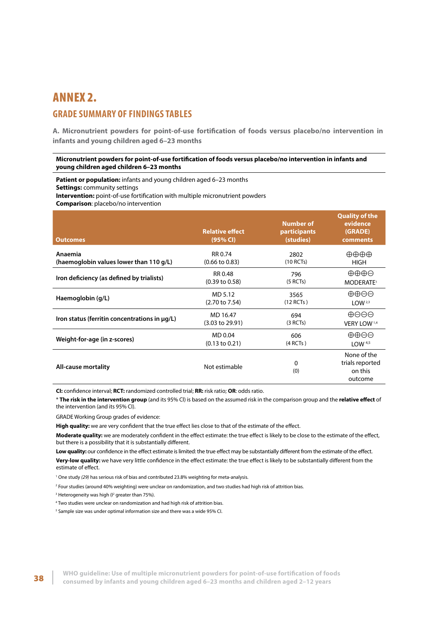## <span id="page-45-0"></span>ANNEX 2. **GRADE SUMMARY OF FINDINGS TABLES**

**A. Micronutrient powders for point-of-use fortification of foods versus placebo/no intervention in infants and young children aged 6–23 months**

#### **Micronutrient powders for point-of-use fortification of foods versus placebo/no intervention in infants and young children aged children 6–23 months**

**Patient or population:** infants and young children aged 6–23 months **Settings:** community settings **Intervention:** point-of-use fortification with multiple micronutrient powders

**Comparison**: placebo/no intervention

| <b>Outcomes</b>                               | <b>Relative effect</b><br>(95% CI) | <b>Number of</b><br>participants<br>(studies) | <b>Quality of the</b><br>evidence<br>(GRADE)<br>comments |
|-----------------------------------------------|------------------------------------|-----------------------------------------------|----------------------------------------------------------|
| Anaemia                                       | RR 0.74                            | 2802                                          | ⊕⊕⊕⊕                                                     |
| (haemoglobin values lower than 110 g/L)       | $(0.66 \text{ to } 0.83)$          | (10 RCTs)                                     | <b>HIGH</b>                                              |
| Iron deficiency (as defined by trialists)     | RR 0.48                            | 796                                           | $\oplus \oplus \oplus \ominus$                           |
|                                               | $(0.39 \text{ to } 0.58)$          | (5 RCTs)                                      | MODERATE <sup>1</sup>                                    |
| Haemoglobin (g/L)                             | MD 5.12                            | 3565                                          | $\oplus \oplus \ominus$                                  |
|                                               | $(2.70 \text{ to } 7.54)$          | $(12$ RCTs)                                   | LOW <sup>2,3</sup>                                       |
| Iron status (ferritin concentrations in µg/L) | MD 16.47                           | 694                                           | $\oplus$ OO                                              |
|                                               | $(3.03 \text{ to } 29.91)$         | (3 RCTs)                                      | VERY LOW 1,4                                             |
| Weight-for-age (in z-scores)                  | MD 0.04                            | 606                                           | $\oplus \oplus \ominus$                                  |
|                                               | $(0.13 \text{ to } 0.21)$          | (4 RCTs)                                      | LOW $4,5$                                                |
| All-cause mortality                           | Not estimable                      | 0<br>(0)                                      | None of the<br>trials reported<br>on this<br>outcome     |

**CI:** confidence interval; **RCT:** randomized controlled trial; **RR:** risk ratio; **OR**: odds ratio.

\* **The risk in the intervention group** (and its 95% Cl) is based on the assumed risk in the comparison group and the **relative effect** of the intervention (and its 95% CI).

GRADE Working Group grades of evidence:

**High quality:** we are very confident that the true effect lies close to that of the estimate of the effect.

**Moderate quality:** we are moderately confident in the effect estimate: the true effect is likely to be close to the estimate of the effect, but there is a possibility that it is substantially different.

Low quality: our confidence in the effect estimate is limited: the true effect may be substantially different from the estimate of the effect.

**Very-low quality:** we have very little confidence in the effect estimate: the true effect is likely to be substantially different from the estimate of effect.

1 One study *(29)* has serious risk of bias and contributed 23.8% weighting for meta-analysis.

2 Four studies (around 40% weighting) were unclear on randomization, and two studies had high risk of attrition bias.

 $3$  Heterogeneity was high ( $1<sup>2</sup>$  greater than 75%).

4 Two studies were unclear on randomization and had high risk of attrition bias.

<sup>5</sup> Sample size was under optimal information size and there was a wide 95% CI.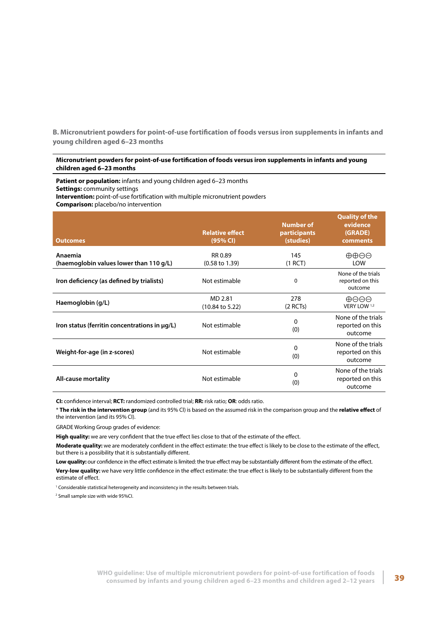<span id="page-46-0"></span>**B. Micronutrient powders for point-of-use fortification of foods versus iron supplements in infants and young children aged 6–23 months**

#### **Micronutrient powders for point-of-use fortification of foods versus iron supplements in infants and young children aged 6–23 months**

**Patient or population:** infants and young children aged 6–23 months **Settings:** community settings **Intervention:** point-of-use fortification with multiple micronutrient powders

**Comparison:** placebo/no intervention

| <b>Outcomes</b>                                    | <b>Relative effect</b><br>(95% CI)    | <b>Number of</b><br>participants<br>(studies) | <b>Quality of the</b><br>evidence<br>(GRADE)<br>comments |
|----------------------------------------------------|---------------------------------------|-----------------------------------------------|----------------------------------------------------------|
| Anaemia<br>(haemoglobin values lower than 110 g/L) | RR 0.89<br>$(0.58 \text{ to } 1.39)$  | 145<br>$(1$ RCT)                              | $\oplus \oplus \ominus \ominus$<br><b>LOW</b>            |
| Iron deficiency (as defined by trialists)          | Not estimable                         | 0                                             | None of the trials<br>reported on this<br>outcome        |
| Haemoglobin (g/L)                                  | MD 2.81<br>$(10.84 \text{ to } 5.22)$ | 278<br>$(2$ RCTs)                             | $\oplus$ $\ominus$ $\ominus$<br>VERY LOW 1,2             |
| Iron status (ferritin concentrations in µg/L)      | Not estimable                         | 0<br>(0)                                      | None of the trials<br>reported on this<br>outcome        |
| Weight-for-age (in z-scores)                       | Not estimable                         | 0<br>(0)                                      | None of the trials<br>reported on this<br>outcome        |
| <b>All-cause mortality</b>                         | Not estimable                         | 0<br>(0)                                      | None of the trials<br>reported on this<br>outcome        |

**CI:** confidence interval; **RCT:** randomized controlled trial; **RR:** risk ratio; **OR**: odds ratio.

\* **The risk in the intervention group** (and its 95% Cl) is based on the assumed risk in the comparison group and the **relative effect** of the intervention (and its 95% CI).

GRADE Working Group grades of evidence:

**High quality:** we are very confident that the true effect lies close to that of the estimate of the effect.

**Moderate quality:** we are moderately confident in the effect estimate: the true effect is likely to be close to the estimate of the effect, but there is a possibility that it is substantially different.

Low quality: our confidence in the effect estimate is limited: the true effect may be substantially different from the estimate of the effect. **Very-low quality:** we have very little confidence in the effect estimate: the true effect is likely to be substantially different from the estimate of effect.

<sup>1</sup> Considerable statistical heterogeneity and inconsistency in the results between trials.

2 Small sample size with wide 95%CI.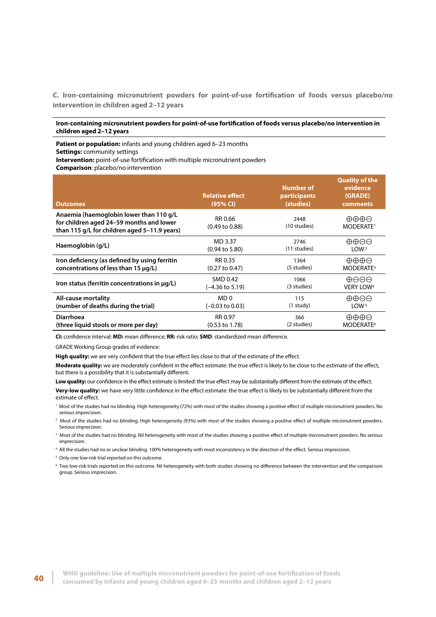<span id="page-47-0"></span>**C. Iron-containing micronutrient powders for point-of-use fortification of foods versus placebo/no intervention in children aged 2–12 years**

#### **Iron-containing micronutrient powders for point-of-use fortification of foods versus placebo/no intervention in children aged 2–12 years**

**Patient or population:** infants and young children aged 6–23 months **Settings:** community settings

**Intervention:** point-of-use fortification with multiple micronutrient powders

**Comparison**: placebo/no intervention

| Outcomes                                                                                                                            | <b>Relative effect</b><br>(95% CI)   | <b>Number of</b><br>participants<br>(studies) | <b>Quality of the</b><br>evidence<br>(GRADE)<br>comments |
|-------------------------------------------------------------------------------------------------------------------------------------|--------------------------------------|-----------------------------------------------|----------------------------------------------------------|
| Anaemia (haemoglobin lower than 110 g/L<br>for children aged 24–59 months and lower<br>than 115 g/L for children aged 5-11.9 years) | RR 0.66<br>$(0.49 \text{ to } 0.88)$ | 2448<br>(10 studies)                          | ⊕⊕⊕⊝<br>MODERATE <sup>1</sup>                            |
| Haemoglobin (g/L)                                                                                                                   | MD 3.37                              | 2746                                          | $\oplus \oplus \ominus \ominus$                          |
|                                                                                                                                     | $(0.94 \text{ to } 5.80)$            | (11 studies)                                  | LOW <sup>2</sup>                                         |
| Iron deficiency (as defined by using ferritin                                                                                       | RR 0.35                              | 1364                                          | ⊕⊕⊕⊝                                                     |
| concentrations of less than 15 $\mu$ q/L)                                                                                           | $(0.27 \text{ to } 0.47)$            | (5 studies)                                   | MODERATE <sup>3</sup>                                    |
| Iron status (ferritin concentrations in $\mu q/L$ )                                                                                 | SMD 0.42                             | 1066                                          | $\oplus \ominus \ominus$                                 |
|                                                                                                                                     | $(-4.36 \text{ to } 5.19)$           | (3 studies)                                   | <b>VERY LOW<sup>4</sup></b>                              |
| <b>All-cause mortality</b>                                                                                                          | MD <sub>0</sub>                      | 115                                           | $\oplus \oplus \ominus \ominus$                          |
| (number of deaths during the trial)                                                                                                 | $(-0.03 \text{ to } 0.03)$           | $(1$ study)                                   | LOW <sup>5</sup>                                         |
| Diarrhoea                                                                                                                           | RR 0.97                              | 366                                           | $\oplus \oplus \oplus \ominus$                           |
| (three liquid stools or more per day)                                                                                               | $(0.53 \text{ to } 1.78)$            | (2 studies)                                   | MODERATE <sup>6</sup>                                    |

**CI:** confidence interval; **MD:** mean difference; **RR:** risk ratio; **SMD**: standardized mean difference.

GRADE Working Group grades of evidence:

**High quality:** we are very confident that the true effect lies close to that of the estimate of the effect.

**Moderate quality:** we are moderately confident in the effect estimate: the true effect is likely to be close to the estimate of the effect, but there is a possibility that it is substantially different.

Low quality: our confidence in the effect estimate is limited: the true effect may be substantially different from the estimate of the effect.

**Very-low quality:** we have very little confidence in the effect estimate: the true effect is likely to be substantially different from the estimate of effect.

1 Most of the studies had no blinding. High heterogeneity (72%) with most of the studies showing a positive effect of multiple micronutrient powders. No serious imprecision.

 $^2$  Most of the studies had no blinding. High heterogeneity (93%) with most of the studies showing a positive effect of multiple micronutrient powders. Serious imprecision.

 $\,$  Most of the studies had no blinding. Nil heterogeneity with most of the studies showing a positive effect of multiple micronutrient powders. No serious imprecision.

4 All the studies had no or unclear blinding. 100% heterogeneity with most inconsistency in the direction of the effect. Serious imprecision.

<sup>5</sup> Only one low-risk trial reported on this outcome.

6 Two low-risk trials reported on this outcome. Nil heterogeneity with both studies showing no difference between the intervention and the comparison group. Serious imprecision.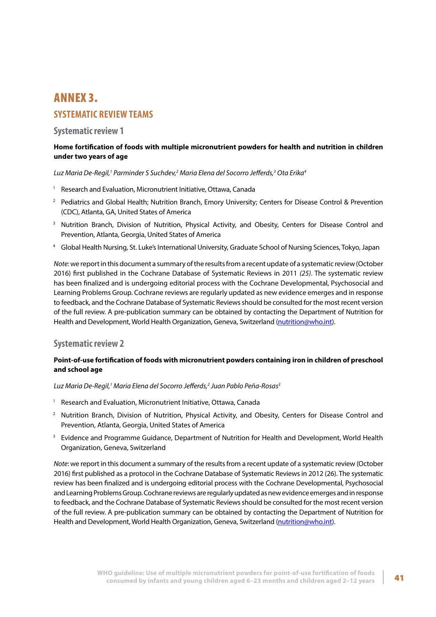## <span id="page-48-0"></span>ANNEX 3. **SYSTEMATIC REVIEW TEAMS**

## **Systematic review 1**

## **Home fortification of foods with multiple micronutrient powders for health and nutrition in children under two years of age**

*Luz Maria De-Regil,1 Parminder S Suchdev,2 Maria Elena del Socorro Jefferds,3 Ota Erika4*

- <sup>1</sup> Research and Evaluation, Micronutrient Initiative, Ottawa, Canada
- <sup>2</sup> Pediatrics and Global Health; Nutrition Branch, Emory University; Centers for Disease Control & Prevention (CDC), Atlanta, GA, United States of America
- <sup>3</sup> Nutrition Branch, Division of Nutrition, Physical Activity, and Obesity, Centers for Disease Control and Prevention, Atlanta, Georgia, United States of America
- <sup>4</sup> Global Health Nursing, St. Luke's International University, Graduate School of Nursing Sciences, Tokyo, Japan

*Note:* we report in this document a summary of the results from a recent update of a systematic review (October 2016) first published in the Cochrane Database of Systematic Reviews in 2011 *(25)*. The systematic review has been finalized and is undergoing editorial process with the Cochrane Developmental, Psychosocial and Learning Problems Group. Cochrane reviews are regularly updated as new evidence emerges and in response to feedback, and the Cochrane Database of Systematic Reviews should be consulted for the most recent version of the full review. A pre-publication summary can be obtained by contacting the Department of Nutrition for Health and Development, World Health Organization, Geneva, Switzerland ([nutrition@who.int](mailto:nutrition@who.int)).

## **Systematic review 2**

## **Point-of-use fortification of foods with micronutrient powders containing iron in children of preschool and school age**

*Luz Maria De-Regil,1 Maria Elena del Socorro Jefferds,2 Juan Pablo Peña-Rosas3*

- <sup>1</sup> Research and Evaluation, Micronutrient Initiative, Ottawa, Canada
- <sup>2</sup> Nutrition Branch, Division of Nutrition, Physical Activity, and Obesity, Centers for Disease Control and Prevention, Atlanta, Georgia, United States of America
- <sup>3</sup> Evidence and Programme Guidance, Department of Nutrition for Health and Development, World Health Organization, Geneva, Switzerland

*Note*: we report in this document a summary of the results from a recent update of a systematic review (October 2016) first published as a protocol in the Cochrane Database of Systematic Reviews in 2012 (26). The systematic review has been finalized and is undergoing editorial process with the Cochrane Developmental, Psychosocial and Learning Problems Group. Cochrane reviews are regularly updated as new evidence emerges and in response to feedback, and the Cochrane Database of Systematic Reviews should be consulted for the most recent version of the full review. A pre-publication summary can be obtained by contacting the Department of Nutrition for Health and Development, World Health Organization, Geneva, Switzerland (nutrition@who.int).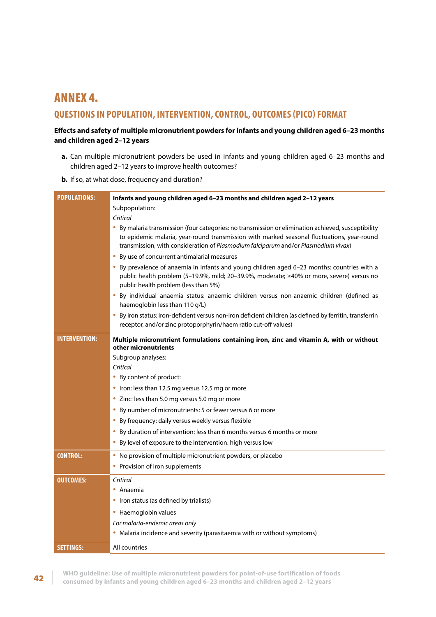## <span id="page-49-0"></span>ANNEX 4. **QUESTIONS IN POPULATION, INTERVENTION, CONTROL, OUTCOMES (PICO) FORMAT**

## **Effects and safety of multiple micronutrient powders for infants and young children aged 6–23 months and children aged 2–12 years**

- **a.** Can multiple micronutrient powders be used in infants and young children aged 6–23 months and children aged 2–12 years to improve health outcomes?
- **b.** If so, at what dose, frequency and duration?

| <b>POPULATIONS:</b>  | Infants and young children aged 6-23 months and children aged 2-12 years                                                                                                                                                                                                              |
|----------------------|---------------------------------------------------------------------------------------------------------------------------------------------------------------------------------------------------------------------------------------------------------------------------------------|
|                      | Subpopulation:                                                                                                                                                                                                                                                                        |
|                      | Critical                                                                                                                                                                                                                                                                              |
|                      | By malaria transmission (four categories: no transmission or elimination achieved, susceptibility<br>to epidemic malaria, year-round transmission with marked seasonal fluctuations, year-round<br>transmission; with consideration of Plasmodium falciparum and/or Plasmodium vivax) |
|                      | By use of concurrent antimalarial measures                                                                                                                                                                                                                                            |
|                      | . By prevalence of anaemia in infants and young children aged 6-23 months: countries with a<br>public health problem (5-19.9%, mild; 20-39.9%, moderate; ≥40% or more, severe) versus no<br>public health problem (less than 5%)                                                      |
|                      | By individual anaemia status: anaemic children versus non-anaemic children (defined as<br>۰<br>haemoglobin less than 110 g/L)                                                                                                                                                         |
|                      | By iron status: iron-deficient versus non-iron deficient children (as defined by ferritin, transferrin<br>۰<br>receptor, and/or zinc protoporphyrin/haem ratio cut-off values)                                                                                                        |
| <b>INTERVENTION:</b> | Multiple micronutrient formulations containing iron, zinc and vitamin A, with or without                                                                                                                                                                                              |
|                      | other micronutrients                                                                                                                                                                                                                                                                  |
|                      | Subgroup analyses:                                                                                                                                                                                                                                                                    |
|                      | Critical                                                                                                                                                                                                                                                                              |
|                      | • By content of product:                                                                                                                                                                                                                                                              |
|                      | • Iron: less than 12.5 mg versus 12.5 mg or more                                                                                                                                                                                                                                      |
|                      | • Zinc: less than 5.0 mg versus 5.0 mg or more                                                                                                                                                                                                                                        |
|                      | • By number of micronutrients: 5 or fewer versus 6 or more                                                                                                                                                                                                                            |
|                      | • By frequency: daily versus weekly versus flexible                                                                                                                                                                                                                                   |
|                      | • By duration of intervention: less than 6 months versus 6 months or more                                                                                                                                                                                                             |
|                      | • By level of exposure to the intervention: high versus low                                                                                                                                                                                                                           |
| <b>CONTROL:</b>      | No provision of multiple micronutrient powders, or placebo<br>۰                                                                                                                                                                                                                       |
|                      | • Provision of iron supplements                                                                                                                                                                                                                                                       |
| OUTCOMES:            | Critical                                                                                                                                                                                                                                                                              |
|                      | • Anaemia                                                                                                                                                                                                                                                                             |
|                      | • Iron status (as defined by trialists)                                                                                                                                                                                                                                               |
|                      | • Haemoglobin values                                                                                                                                                                                                                                                                  |
|                      | For malaria-endemic areas only                                                                                                                                                                                                                                                        |
|                      | • Malaria incidence and severity (parasitaemia with or without symptoms)                                                                                                                                                                                                              |
| <b>SETTINGS:</b>     | All countries                                                                                                                                                                                                                                                                         |

42 **WHO guideline: Use of multiple micronutrient powders for point-of-use fortification of foods consumed by infants and young children aged 6–23 months and children aged 2–12 years**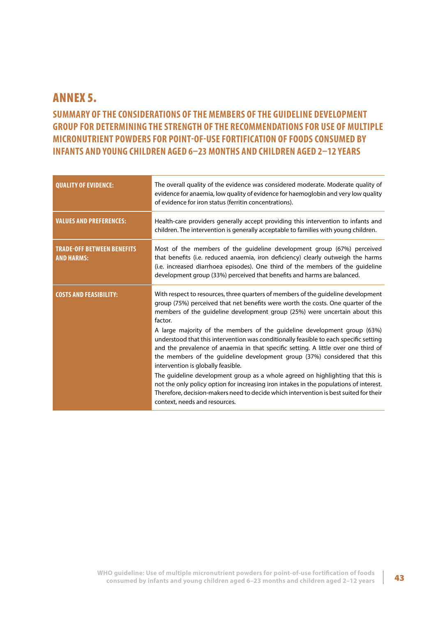## <span id="page-50-0"></span>ANNEX 5.

## **SUMMARY OF THE CONSIDERATIONS OF THE MEMBERS OF THE GUIDELINE DEVELOPMENT GROUP FOR DETERMINING THE STRENGTH OF THE RECOMMENDATIONS FOR USE OF MULTIPLE MICRONUTRIENT POWDERS FOR POINT-OF-USE FORTIFICATION OF FOODS CONSUMED BY INFANTS AND YOUNG CHILDREN AGED 6–23 MONTHS AND CHILDREN AGED 2–12 YEARS**

| <b>QUALITY OF EVIDENCE:</b>                            | The overall quality of the evidence was considered moderate. Moderate quality of<br>evidence for anaemia, low quality of evidence for haemoglobin and very low quality<br>of evidence for iron status (ferritin concentrations).                                                                                                                                                                                                                                                                                                                                                                                                                                                                                                                                                                                                                                                                                                                   |
|--------------------------------------------------------|----------------------------------------------------------------------------------------------------------------------------------------------------------------------------------------------------------------------------------------------------------------------------------------------------------------------------------------------------------------------------------------------------------------------------------------------------------------------------------------------------------------------------------------------------------------------------------------------------------------------------------------------------------------------------------------------------------------------------------------------------------------------------------------------------------------------------------------------------------------------------------------------------------------------------------------------------|
| <b>VALUES AND PREFERENCES:</b>                         | Health-care providers generally accept providing this intervention to infants and<br>children. The intervention is generally acceptable to families with young children.                                                                                                                                                                                                                                                                                                                                                                                                                                                                                                                                                                                                                                                                                                                                                                           |
| <b>TRADE-OFF BETWEEN BENEFITS</b><br><b>AND HARMS:</b> | Most of the members of the guideline development group (67%) perceived<br>that benefits (i.e. reduced anaemia, iron deficiency) clearly outweigh the harms<br>(i.e. increased diarrhoea episodes). One third of the members of the guideline<br>development group (33%) perceived that benefits and harms are balanced.                                                                                                                                                                                                                                                                                                                                                                                                                                                                                                                                                                                                                            |
| <b>COSTS AND FEASIBILITY:</b>                          | With respect to resources, three quarters of members of the guideline development<br>group (75%) perceived that net benefits were worth the costs. One quarter of the<br>members of the guideline development group (25%) were uncertain about this<br>factor.<br>A large majority of the members of the guideline development group (63%)<br>understood that this intervention was conditionally feasible to each specific setting<br>and the prevalence of anaemia in that specific setting. A little over one third of<br>the members of the guideline development group (37%) considered that this<br>intervention is globally feasible.<br>The guideline development group as a whole agreed on highlighting that this is<br>not the only policy option for increasing iron intakes in the populations of interest.<br>Therefore, decision-makers need to decide which intervention is best suited for their<br>context, needs and resources. |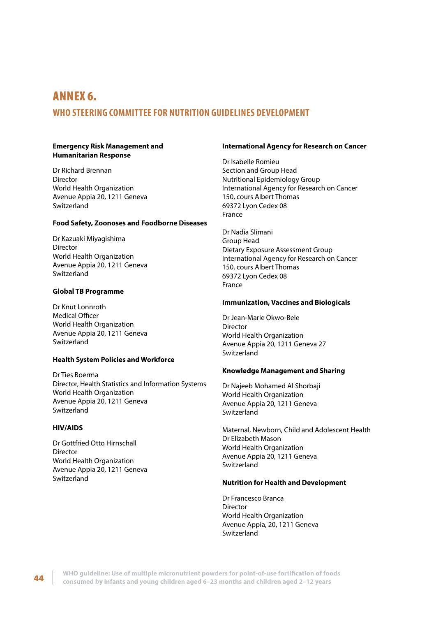## <span id="page-51-0"></span>ANNEX 6.

## **WHO STEERING COMMITTEE FOR NUTRITION GUIDELINES DEVELOPMENT**

#### **Emergency Risk Management and Humanitarian Response**

Dr Richard Brennan Director World Health Organization Avenue Appia 20, 1211 Geneva Switzerland

#### **Food Safety, Zoonoses and Foodborne Diseases**

Dr Kazuaki Miyagishima Director World Health Organization Avenue Appia 20, 1211 Geneva Switzerland

### **Global TB Programme**

Dr Knut Lonnroth Medical Officer World Health Organization Avenue Appia 20, 1211 Geneva Switzerland

#### **Health System Policies and Workforce**

Dr Ties Boerma Director, Health Statistics and Information Systems World Health Organization Avenue Appia 20, 1211 Geneva Switzerland

#### **HIV/AIDS**

Dr Gottfried Otto Hirnschall Director World Health Organization Avenue Appia 20, 1211 Geneva Switzerland

#### **International Agency for Research on Cancer**

Dr Isabelle Romieu Section and Group Head Nutritional Epidemiology Group International Agency for Research on Cancer 150, cours Albert Thomas 69372 Lyon Cedex 08 France

Dr Nadia Slimani Group Head Dietary Exposure Assessment Group International Agency for Research on Cancer 150, cours Albert Thomas 69372 Lyon Cedex 08 France

#### **Immunization, Vaccines and Biologicals**

Dr Jean-Marie Okwo-Bele Director World Health Organization Avenue Appia 20, 1211 Geneva 27 **Switzerland** 

#### **Knowledge Management and Sharing**

Dr Najeeb Mohamed Al Shorbaji World Health Organization Avenue Appia 20, 1211 Geneva Switzerland

Maternal, Newborn, Child and Adolescent Health Dr Elizabeth Mason World Health Organization Avenue Appia 20, 1211 Geneva Switzerland

#### **Nutrition for Health and Development**

Dr Francesco Branca Director World Health Organization Avenue Appia, 20, 1211 Geneva **Switzerland**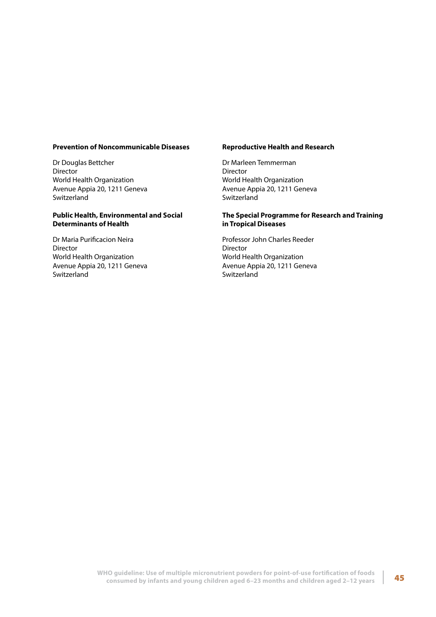#### **Prevention of Noncommunicable Diseases**

Dr Douglas Bettcher Director World Health Organization Avenue Appia 20, 1211 Geneva Switzerland

#### **Public Health, Environmental and Social Determinants of Health**

Dr Maria Purificacion Neira Director World Health Organization Avenue Appia 20, 1211 Geneva Switzerland

#### **Reproductive Health and Research**

Dr Marleen Temmerman Director World Health Organization Avenue Appia 20, 1211 Geneva Switzerland

#### **The Special Programme for Research and Training in Tropical Diseases**

Professor John Charles Reeder Director World Health Organization Avenue Appia 20, 1211 Geneva Switzerland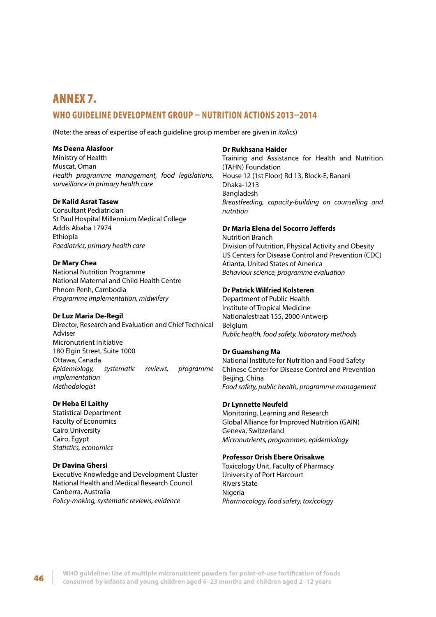## <span id="page-53-0"></span>ANNEX 7. **WHO GUIDELINE DEVELOPMENT GROUP – NUTRITION ACTIONS 2013–2014**

(Note: the areas of expertise of each guideline group member are given in *italics*)

#### **Ms Deena Alasfoor**

Ministry of Health Muscat, Oman *Health programme management, food legislations, surveillance in primary health care*

#### **Dr Kalid Asrat Tasew**

Consultant Pediatrician St Paul Hospital Millennium Medical College Addis Ababa 17974 Ethiopia *Paediatrics, primary health care*

#### **Dr Mary Chea**

National Nutrition Programme National Maternal and Child Health Centre Phnom Penh, Cambodia *Programme implementation, midwifery*

### **Dr Luz Maria De-Regil**

Director, Research and Evaluation and Chief Technical Adviser Micronutrient Initiative 180 Elgin Street, Suite 1000 Ottawa, Canada *Epidemiology, systematic reviews, programme implementation Methodologist*

### **Dr Heba El Laithy**

Statistical Department Faculty of Economics Cairo University Cairo, Egypt *Statistics, economics*

### **Dr Davina Ghersi**

Executive Knowledge and Development Cluster National Health and Medical Research Council Canberra, Australia *Policy-making, systematic reviews, evidence*

#### **Dr Rukhsana Haider**

Training and Assistance for Health and Nutrition (TAHN) Foundation House 12 (1st Floor) Rd 13, Block-E, Banani Dhaka-1213 Bangladesh *Breastfeeding, capacity-building on counselling and nutrition*

## **Dr Maria Elena del Socorro Jefferds**

Nutrition Branch Division of Nutrition, Physical Activity and Obesity US Centers for Disease Control and Prevention (CDC) Atlanta, United States of America *Behaviour science, programme evaluation*

#### **Dr Patrick Wilfried Kolsteren**

Department of Public Health Institute of Tropical Medicine Nationalestraat 155, 2000 Antwerp Belgium *Public health, food safety, laboratory methods*

#### **Dr Guansheng Ma**

National Institute for Nutrition and Food Safety Chinese Center for Disease Control and Prevention Beijing, China *Food safety, public health, programme management*

### **Dr Lynnette Neufeld**

Monitoring, Learning and Research Global Alliance for Improved Nutrition (GAIN) Geneva, Switzerland *Micronutrients, programmes, epidemiology*

#### **Professor Orish Ebere Orisakwe**

Toxicology Unit, Faculty of Pharmacy University of Port Harcourt Rivers State Nigeria *Pharmacology, food safety, toxicology*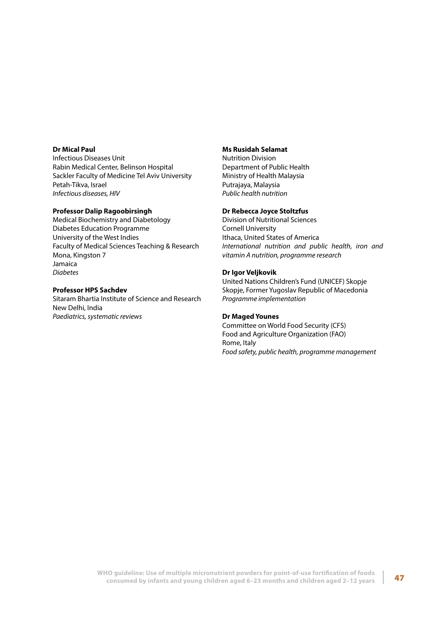#### **Dr Mical Paul**

Infectious Diseases Unit Rabin Medical Center, Belinson Hospital Sackler Faculty of Medicine Tel Aviv University Petah-Tikva, Israel *Infectious diseases, HIV*

#### **Professor Dalip Ragoobirsingh**

Medical Biochemistry and Diabetology Diabetes Education Programme University of the West Indies Faculty of Medical Sciences Teaching & Research Mona, Kingston 7 Jamaica *Diabetes*

#### **Professor HPS Sachdev**

Sitaram Bhartia Institute of Science and Research New Delhi, India *Paediatrics, systematic reviews*

### **Ms Rusidah Selamat**

Nutrition Division Department of Public Health Ministry of Health Malaysia Putrajaya, Malaysia *Public health nutrition*

#### **Dr Rebecca Joyce Stoltzfus**

Division of Nutritional Sciences Cornell University Ithaca, United States of America *International nutrition and public health, iron and vitamin A nutrition, programme research*

#### **Dr Igor Veljkovik**

United Nations Children's Fund (UNICEF) Skopje Skopje, Former Yugoslav Republic of Macedonia *Programme implementation*

#### **Dr Maged Younes**

Committee on World Food Security (CFS) Food and Agriculture Organization (FAO) Rome, Italy *Food safety, public health, programme management*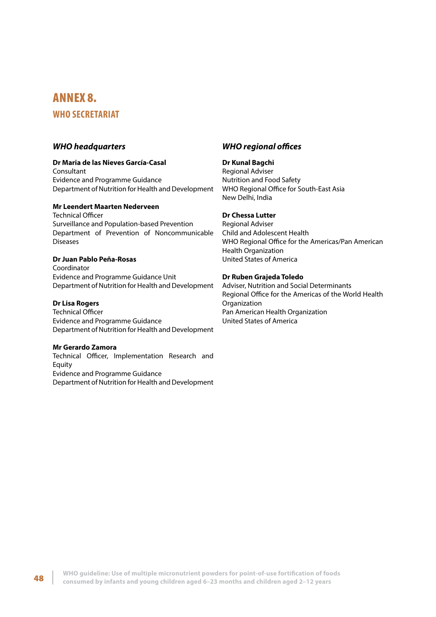## <span id="page-55-0"></span>ANNEX 8.

## **WHO SECRETARIAT**

### *WHO headquarters*

#### **Dr Maria de las Nieves García-Casal**

Consultant Evidence and Programme Guidance Department of Nutrition for Health and Development

## **Mr Leendert Maarten Nederveen**

Technical Officer Surveillance and Population-based Prevention Department of Prevention of Noncommunicable Diseases

### **Dr Juan Pablo Peña-Rosas**

Coordinator Evidence and Programme Guidance Unit Department of Nutrition for Health and Development

#### **Dr Lisa Rogers**

Technical Officer Evidence and Programme Guidance Department of Nutrition for Health and Development

#### **Mr Gerardo Zamora**

Technical Officer, Implementation Research and Equity Evidence and Programme Guidance Department of Nutrition for Health and Development

## *WHO regional offices*

#### **Dr Kunal Bagchi**

Regional Adviser Nutrition and Food Safety WHO Regional Office for South-East Asia New Delhi, India

### **Dr Chessa Lutter**

Regional Adviser Child and Adolescent Health WHO Regional Office for the Americas/Pan American Health Organization United States of America

### **Dr Ruben Grajeda Toledo**

Adviser, Nutrition and Social Determinants Regional Office for the Americas of the World Health **Organization** Pan American Health Organization United States of America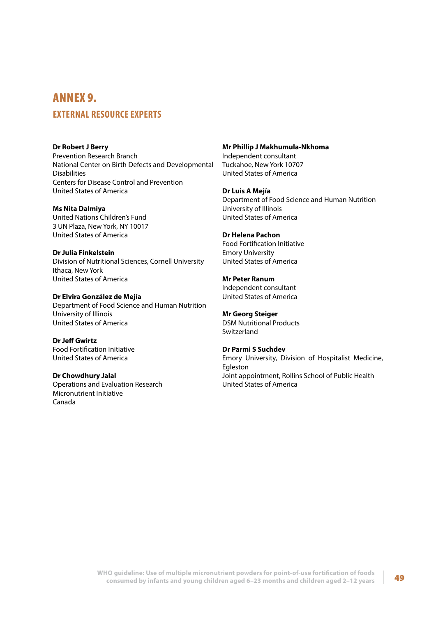## <span id="page-56-0"></span>ANNEX 9. **EXTERNAL RESOURCE EXPERTS**

**Dr Robert J Berry** Prevention Research Branch National Center on Birth Defects and Developmental Disabilities Centers for Disease Control and Prevention United States of America

**Ms Nita Dalmiya** United Nations Children's Fund 3 UN Plaza, New York, NY 10017 United States of America

**Dr Julia Finkelstein** Division of Nutritional Sciences, Cornell University Ithaca, New York United States of America

**Dr Elvira González de Mejía** Department of Food Science and Human Nutrition University of Illinois United States of America

**Dr Jeff Gwirtz** Food Fortification Initiative United States of America

**Dr Chowdhury Jalal** Operations and Evaluation Research Micronutrient Initiative Canada

**Mr Phillip J Makhumula-Nkhoma** Independent consultant Tuckahoe, New York 10707 United States of America

**Dr Luis A Mejía** Department of Food Science and Human Nutrition University of Illinois United States of America

**Dr Helena Pachon** Food Fortification Initiative Emory University United States of America

**Mr Peter Ranum** Independent consultant United States of America

**Mr Georg Steiger** DSM Nutritional Products **Switzerland** 

**Dr Parmi S Suchdev** Emory University, Division of Hospitalist Medicine, Egleston Joint appointment, Rollins School of Public Health United States of America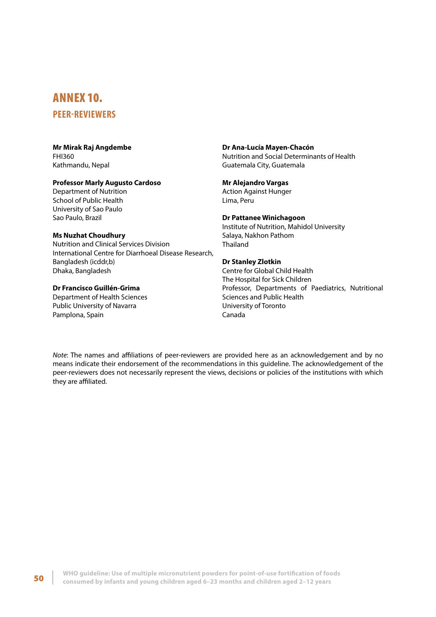## <span id="page-57-0"></span>ANNEX 10.

## **PEER-REVIEWERS**

#### **Mr Mirak Raj Angdembe** FHI360 Kathmandu, Nepal

#### **Professor Marly Augusto Cardoso**

Department of Nutrition School of Public Health University of Sao Paulo Sao Paulo, Brazil

#### **Ms Nuzhat Choudhury**

Nutrition and Clinical Services Division International Centre for Diarrhoeal Disease Research, Bangladesh (icddr,b) Dhaka, Bangladesh

#### **Dr Francisco Guillén-Grima**

Department of Health Sciences Public University of Navarra Pamplona, Spain

## **Dr Ana-Lucía Mayen-Chacón**

Nutrition and Social Determinants of Health Guatemala City, Guatemala

#### **Mr Alejandro Vargas**

Action Against Hunger Lima, Peru

#### **Dr Pattanee Winichagoon**

Institute of Nutrition, Mahidol University Salaya, Nakhon Pathom Thailand

## **Dr Stanley Zlotkin**

Centre for Global Child Health The Hospital for Sick Children Professor, Departments of Paediatrics, Nutritional Sciences and Public Health University of Toronto Canada

*Note*: The names and affiliations of peer-reviewers are provided here as an acknowledgement and by no means indicate their endorsement of the recommendations in this guideline. The acknowledgement of the peer-reviewers does not necessarily represent the views, decisions or policies of the institutions with which they are affiliated.